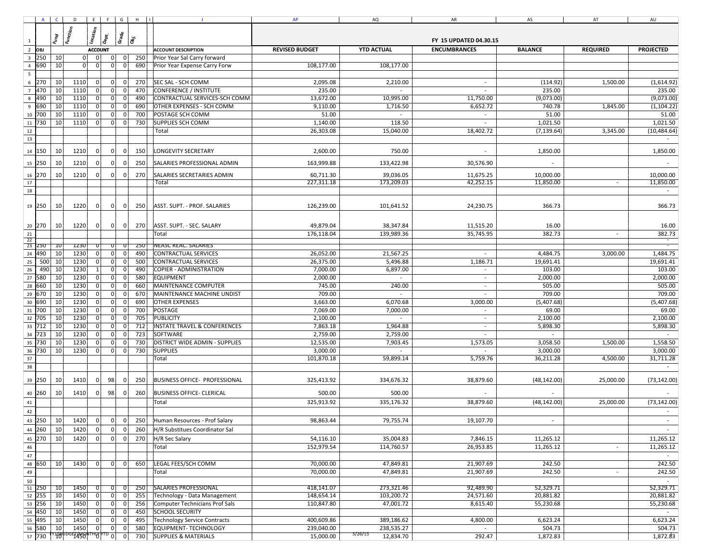|                                                                                                                                                                                                                                                                | $\mathbf{J}$ | AP | AQ | AR | AS | AT | AU |
|----------------------------------------------------------------------------------------------------------------------------------------------------------------------------------------------------------------------------------------------------------------|--------------|----|----|----|----|----|----|
|                                                                                                                                                                                                                                                                |              |    |    |    |    |    |    |
|                                                                                                                                                                                                                                                                |              |    |    |    |    |    |    |
|                                                                                                                                                                                                                                                                |              |    |    |    |    |    |    |
|                                                                                                                                                                                                                                                                |              |    |    |    |    |    |    |
|                                                                                                                                                                                                                                                                |              |    |    |    |    |    |    |
|                                                                                                                                                                                                                                                                |              |    |    |    |    |    |    |
|                                                                                                                                                                                                                                                                |              |    |    |    |    |    |    |
|                                                                                                                                                                                                                                                                |              |    |    |    |    |    |    |
|                                                                                                                                                                                                                                                                |              |    |    |    |    |    |    |
|                                                                                                                                                                                                                                                                |              |    |    |    |    |    |    |
|                                                                                                                                                                                                                                                                |              |    |    |    |    |    |    |
|                                                                                                                                                                                                                                                                |              |    |    |    |    |    |    |
|                                                                                                                                                                                                                                                                |              |    |    |    |    |    |    |
|                                                                                                                                                                                                                                                                |              |    |    |    |    |    |    |
|                                                                                                                                                                                                                                                                |              |    |    |    |    |    |    |
|                                                                                                                                                                                                                                                                |              |    |    |    |    |    |    |
|                                                                                                                                                                                                                                                                |              |    |    |    |    |    |    |
|                                                                                                                                                                                                                                                                |              |    |    |    |    |    |    |
|                                                                                                                                                                                                                                                                |              |    |    |    |    |    |    |
|                                                                                                                                                                                                                                                                |              |    |    |    |    |    |    |
|                                                                                                                                                                                                                                                                |              |    |    |    |    |    |    |
|                                                                                                                                                                                                                                                                |              |    |    |    |    |    |    |
|                                                                                                                                                                                                                                                                |              |    |    |    |    |    |    |
|                                                                                                                                                                                                                                                                |              |    |    |    |    |    |    |
|                                                                                                                                                                                                                                                                |              |    |    |    |    |    |    |
|                                                                                                                                                                                                                                                                |              |    |    |    |    |    |    |
|                                                                                                                                                                                                                                                                |              |    |    |    |    |    |    |
|                                                                                                                                                                                                                                                                |              |    |    |    |    |    |    |
|                                                                                                                                                                                                                                                                |              |    |    |    |    |    |    |
|                                                                                                                                                                                                                                                                |              |    |    |    |    |    |    |
|                                                                                                                                                                                                                                                                |              |    |    |    |    |    |    |
|                                                                                                                                                                                                                                                                |              |    |    |    |    |    |    |
|                                                                                                                                                                                                                                                                |              |    |    |    |    |    |    |
|                                                                                                                                                                                                                                                                |              |    |    |    |    |    |    |
|                                                                                                                                                                                                                                                                |              |    |    |    |    |    |    |
|                                                                                                                                                                                                                                                                |              |    |    |    |    |    |    |
|                                                                                                                                                                                                                                                                |              |    |    |    |    |    |    |
|                                                                                                                                                                                                                                                                |              |    |    |    |    |    |    |
|                                                                                                                                                                                                                                                                |              |    |    |    |    |    |    |
|                                                                                                                                                                                                                                                                |              |    |    |    |    |    |    |
|                                                                                                                                                                                                                                                                |              |    |    |    |    |    |    |
|                                                                                                                                                                                                                                                                |              |    |    |    |    |    |    |
|                                                                                                                                                                                                                                                                |              |    |    |    |    |    |    |
|                                                                                                                                                                                                                                                                |              |    |    |    |    |    |    |
| $\begin{array}{c c c c c} \hline & 45 & & \\ \hline & 45 & & \\ \hline & 47 & & \\ \hline & 47 & & \\ \hline & 49 & & \\ \hline & 50 & & \\ \hline & 51 & & \\ \hline & 52 & & \\ \hline & 53 & & \\ \hline & 54 & & \\ \hline & 57 & & \\ \hline \end{array}$ |              |    |    |    |    |    |    |
|                                                                                                                                                                                                                                                                |              |    |    |    |    |    |    |
|                                                                                                                                                                                                                                                                |              |    |    |    |    |    |    |
|                                                                                                                                                                                                                                                                |              |    |    |    |    |    |    |
|                                                                                                                                                                                                                                                                |              |    |    |    |    |    |    |
|                                                                                                                                                                                                                                                                |              |    |    |    |    |    |    |
|                                                                                                                                                                                                                                                                |              |    |    |    |    |    |    |
|                                                                                                                                                                                                                                                                |              |    |    |    |    |    |    |
|                                                                                                                                                                                                                                                                |              |    |    |    |    |    |    |
|                                                                                                                                                                                                                                                                |              |    |    |    |    |    |    |
|                                                                                                                                                                                                                                                                |              |    |    |    |    |    |    |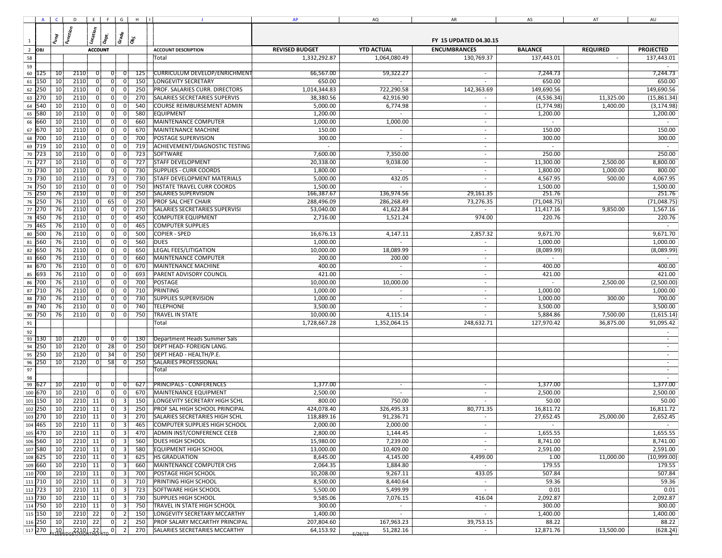|                |            |                 |           |             |                                            | ACDEFGHI              | $\mathbf{J}$                         | AP           | AQ                       | AR                       | AS          | AT        | AU           |
|----------------|------------|-----------------|-----------|-------------|--------------------------------------------|-----------------------|--------------------------------------|--------------|--------------------------|--------------------------|-------------|-----------|--------------|
|                |            |                 |           |             |                                            |                       |                                      |              |                          |                          |             |           |              |
|                |            |                 |           |             |                                            |                       |                                      |              |                          |                          |             |           |              |
| $\mathbf{1}$   |            |                 |           |             |                                            |                       |                                      |              |                          |                          |             |           |              |
| $\overline{2}$ |            |                 |           |             |                                            |                       |                                      |              |                          |                          |             |           |              |
| 58             |            |                 |           |             |                                            |                       | Total                                | 1,332,292.87 | 1,064,080.49             | 130,769.37               | 137,443.01  |           | 137,443.01   |
| 59<br>60       | 125        | $\overline{10}$ | 2110      |             | 0                                          | 125                   | <b>CURRICULUM DEVELOP/ENRICHMENT</b> | 66.567.00    | 59,322.27                | $\sim$                   | 7,244.73    |           | 7,244.73     |
| 61             | 150        | 10              | 2110      | $\mathbf 0$ | 0                                          | 150<br> 0             | <b>LONGEVITY SECRETARY</b>           | 650.00       | $\sim$                   |                          | 650.00      |           | 650.00       |
| 62             | 250        | 10              | 2110      | $\Omega$    | 0                                          | 0 I<br>250            | PROF. SALARIES CURR. DIRECTORS       | 1,014,344.83 | 722,290.58               | 142,363.69               | 149,690.56  |           | 149,690.56   |
| 63             | 270        | 10              | 2110      | 0           | 0                                          | 270<br>0              | SALARIES SECRETARIES SUPERVIS        | 38,380.56    | 42,916.90                |                          | (4,536.34)  | 11,325.00 | (15,861.34)  |
| 64             | 540        | 10              | 2110      | $\Omega$    | 0                                          | $\mathbf 0$<br>540    | COURSE REIMBURSEMENT ADMIN           | 5,000.00     | 6,774.98                 | $\sim$                   | (1,774.98)  | 1,400.00  | (3, 174.98)  |
| 65             | 580        | 10              | 2110      | $\mathbf 0$ | 0                                          | $\mathbf 0$<br>580    | <b>EQUIPMENT</b>                     | 1,200.00     | $\sim$                   | $\sim$                   | 1,200.00    |           | 1,200.00     |
| 66             | 660        | 10              | 2110      | $\Omega$    | 0                                          | 660<br>0              | MAINTENANCE COMPUTER                 | 1,000.00     | 1,000.00                 | $\sim$                   | $\sim$      |           | $\sim$       |
| 67             | 670        | 10              | 2110      |             | 0 <br>$\Omega$                             | 670                   | MAINTENANCE MACHINE                  | 150.00       | $\sim$                   | $\sim$                   | 150.00      |           | 150.00       |
| 68             | 700        | 10              | 2110      |             | 0                                          | 700                   | POSTAGE SUPERVISION                  | 300.00       | $\sim$                   | $\sim$                   | 300.00      |           | 300.00       |
| 69             | 719        | 10              | 2110      |             | 0                                          | 719                   | ACHIEVEMENT/DIAGNOSTIC TESTING       |              |                          | $\overline{\phantom{a}}$ |             |           |              |
| 70             | 723        | 10              | 2110      |             | 0 <br>$\Omega$                             | 723                   | SOFTWARE                             | 7,600.00     | 7,350.00                 | $\sim$                   | 250.00      |           | 250.00       |
| 71             | 727        | 10              | 2110      |             | 0                                          | 727                   | <b>STAFF DEVELOPMENT</b>             | 20,338.00    | 9,038.00                 |                          | 11,300.00   | 2,500.00  | 8,800.00     |
| 72             | 730        | 10              | 2110      |             | 0                                          | 730                   | <b>SUPPLIES - CURR COORDS</b>        | 1,800.00     |                          | $\overline{\phantom{a}}$ | 1,800.00    | 1,000.00  | 800.00       |
| 73             | 730        | 10              | 2110      |             | 73                                         | 730                   | <b>STAFF DEVELOPMENT MATERIALS</b>   | 5,000.00     | 432.05                   |                          | 4,567.95    | 500.00    | 4,067.95     |
| 74             | 750        | 10              | 2110      |             | 0                                          | 750<br>$\mathbf 0$    | <b>INSTATE TRAVEL CURR COORDS</b>    | 1,500.00     |                          |                          | 1,500.00    |           | 1,500.00     |
| 75             | 250        | 76              | 2110      |             | $\overline{0}$                             | 250                   | <b>SALARIES SUPERVISION</b>          | 166,387.67   | 136,974.56               | 29,161.35                | 251.76      |           | 251.76       |
|                | 76 250     | 76              | 2110      | 0           | 65                                         | 250<br>0              | <b>PROF SAL CHET CHAIR</b>           | 288,496.09   | 286,268.49               | 73,276.35                | (71,048.75) |           | (71, 048.75) |
| 77             | 270        | 76              | 2110      | $\mathbf 0$ | 0                                          | 270<br>$\overline{0}$ | SALARIES SECRETARIES SUPERVISI       | 53,040.00    | 41,622.84                | $\sim$                   | 11,417.16   | 9,850.00  | 1,567.16     |
| 78             | 450        | 76              | 2110      |             | 0 <br>$\Omega$                             | 450                   | <b>COMPUTER EQUIPMENT</b>            | 2,716.00     | 1,521.24                 | 974.00                   | 220.76      |           | 220.76       |
| 79             | 465        | 76              | 2110      |             | $\overline{0}$<br>$\Omega$                 | 465                   | <b>COMPUTER SUPPLIES</b>             |              |                          |                          |             |           | $\sim$       |
| 80             | 500        | 76              | 2110      |             | 0 <br>$\Omega$                             | 500                   | <b>COPIER - SPED</b>                 | 16,676.13    | 4,147.11                 | 2,857.32                 | 9,671.70    |           | 9,671.70     |
| 81             | 560        | 76              | 2110      |             | 0                                          | 560                   | <b>DUES</b>                          | 1,000.00     |                          | $\sim$                   | 1,000.00    |           | 1,000.00     |
| 82             | 650        | 76              | 2110      |             | $\overline{0}$                             | 650                   | <b>LEGAL FEES/LITIGATION</b>         | 10,000.00    | 18,089.99                |                          | (8,089.99)  |           | (8,089.99)   |
| 83             | 660        | 76              | 2110      |             | 0                                          | 660                   | <b>MAINTENANCE COMPUTER</b>          | 200.00       | 200.00                   | $\sim$                   | $\sim$      |           |              |
| 84             | 670        | 76              | 2110      |             | 0                                          | 670                   | <b>MAINTENANCE MACHINE</b>           | 400.00       | $\overline{\phantom{a}}$ |                          | 400.00      |           | 400.00       |
| 85             | 693        | 76              | 2110      |             | 0                                          | 693<br>$\Omega$       | PARENT ADVISORY COUNCIL              | 421.00       | $\overline{\phantom{a}}$ | $\overline{\phantom{a}}$ | 421.00      |           | 421.00       |
| 86             | 700        | 76              | 2110      |             | 0                                          | 700                   | <b>POSTAGE</b>                       | 10,000.00    | 10,000.00                |                          |             | 2,500.00  | (2,500.00)   |
| 87             | 710        | 76              | 2110      |             | 0                                          | 710<br>$\Omega$       | PRINTING                             | 1,000.00     |                          | $\sim$                   | 1,000.00    |           | 1,000.00     |
| 88             | 730        | 76              | 2110      |             | $\overline{0}$                             | 730                   | <b>SUPPLIES SUPERVISION</b>          | 1,000.00     | $\sim$                   |                          | 1,000.00    | 300.00    | 700.00       |
| 89             | 740        | 76              | 2110      |             | 0                                          | 740<br>0              | <b>TELEPHONE</b>                     | 3,500.00     |                          | $\overline{\phantom{a}}$ | 3,500.00    |           | 3,500.00     |
| 90             | 750        | 76              | 2110      |             | 0                                          | 750<br>0              | <b>TRAVEL IN STATE</b>               | 10,000.00    | 4,115.14                 |                          | 5,884.86    | 7,500.00  | (1,615.14)   |
| $91\,$         |            |                 |           |             |                                            |                       | Total                                | 1,728,667.28 | 1,352,064.15             | 248,632.71               | 127,970.42  | 36,875.00 | 91,095.42    |
| 92             |            |                 |           |             |                                            |                       |                                      |              |                          |                          |             |           |              |
|                | 93 130     | - 10            | 2120      |             | 01                                         | 130<br>0              | Department Heads Summer Sals         |              |                          |                          |             |           |              |
| 94             | 250        | 10              | 2120      |             | 28                                         | 250<br>0              | DEPT HEAD- FOREIGN LANG.             |              |                          |                          |             |           |              |
| 95             | 250        | 10              | 2120      | 0           | 34                                         | 250<br>0 I            | DEPT HEAD - HEALTH/P.E.              |              |                          |                          |             |           | $\sim$       |
| 96             | 250        | 10              | 2120      | 0           | 58                                         | 250<br>0              | SALARIES PROFESSIONAL                |              |                          |                          |             |           |              |
| 97             |            |                 |           |             |                                            |                       | Total                                |              |                          |                          |             |           |              |
| 98             |            |                 |           |             |                                            |                       |                                      |              |                          |                          |             |           |              |
| 99             | 627        | 10              | 2210      | $\Omega$    | 0                                          | 627<br>$\mathbf 0$    | PRINCIPALS - CONFERENCES             | 1,377.00     | $\sim$                   | $\sim$                   | 1,377.00    |           | 1,377.00     |
|                | 100 670    | 10              | 2210      | 0           | 0                                          | 670<br>0              | MAINTENANCE EQUIPMENT                | 2,500.00     | $\sim$                   | $\overline{\phantom{a}}$ | 2,500.00    |           | 2,500.00     |
| 101            | 150        | 10              | 2210      | 11          | 0                                          | 3<br>150              | LONGEVITY SECRETARY HIGH SCHL        | 800.00       | 750.00                   | $\sim$                   | 50.00       |           | 50.00        |
|                | 102 250    | 10              | 2210      | 11          | 0 <br>3                                    | 250                   | PROF SAL HIGH SCHOOL PRINCIPAL       | 424,078.40   | 326,495.33               | 80,771.35                | 16,811.72   |           | 16,811.72    |
|                | 103 270    | 10              | 2210      | 11          | $\overline{0}$                             | 270<br>3              | SALARIES SECRETARIES HIGH SCHL       | 118,889.16   | 91,236.71                |                          | 27,652.45   | 25,000.00 | 2,652.45     |
|                | 104 465 10 |                 | $2210$ 11 |             | 0                                          | 465<br>$\vert$ 3      | COMPUTER SUPPLIES HIGH SCHOOL        | 2,000.00     | 2,000.00                 |                          |             |           |              |
|                | 105 470 10 |                 | 2210      | 11          | 0                                          | $\vert$ 3<br>470      | ADMIN INST/CONFERENCE CEEB           | 2,800.00     | 1,144.45                 | $\sim$                   | 1,655.55    |           | 1,655.55     |
|                | 106 560    | 10              | 2210      | 11          | 0 <br>3                                    | 560                   | <b>DUES HIGH SCHOOL</b>              | 15,980.00    | 7,239.00                 |                          | 8,741.00    |           | 8,741.00     |
|                | 107 580    | 10              | 2210      | 11          | 0                                          | 580<br>3              | <b>EQUIPMENT HIGH SCHOOL</b>         | 13,000.00    | 10,409.00                |                          | 2,591.00    |           | 2,591.00     |
|                | 108 625    | 10              | 2210      | 11          | 0                                          | 625                   | <b>HS GRADUATION</b>                 | 8,645.00     | 4,145.00                 | 4,499.00                 | 1.00        | 11,000.00 | (10,999.00)  |
|                | 109 660    | 10              | 2210 11   |             | 0                                          | 3<br>660              | MAINTENANCE COMPUTER CHS             | 2,064.35     | 1,884.80                 |                          | 179.55      |           | 179.55       |
|                | 110 700    | 10              | 2210      | 11          | $\overline{0}$                             | 700                   | POSTAGE HIGH SCHOOL                  | 10,208.00    | 9,267.11                 | 433.05                   | 507.84      |           | 507.84       |
|                | 111 710    | 10              | 2210      | 11          | 01<br>3                                    | 710                   | PRINTING HIGH SCHOOL                 | 8,500.00     | 8,440.64                 | $\sim$                   | 59.36       |           | 59.36        |
|                | 112 723    | 10              | 2210      | 11          | 0                                          | 723<br>-3             | SOFTWARE HIGH SCHOOL                 | 5,500.00     | 5,499.99                 | $\sim$                   | 0.01        |           | 0.01         |
|                | 113 730    | 10              | 2210 11   |             | 0 <br>-3                                   | 730                   | SUPPLIES HIGH SCHOOL                 | 9,585.06     | 7,076.15                 | 416.04                   | 2,092.87    |           | 2,092.87     |
|                | 114 750    | 10              | 2210      | 11          | $\overline{0}$<br>$\mathbf{a}$             | 750                   | TRAVEL IN STATE HIGH SCHOOL          | 300.00       | $\sim$                   | $\sim$                   | 300.00      |           | 300.00       |
|                | 115 150    | 10              | $2210$ 22 |             | 0                                          | 150<br>$\overline{2}$ | LONGEVITY SECRETARY MCCARTHY         | 1,400.00     | $\sim$                   | $\sim$                   | 1,400.00    |           | 1,400.00     |
|                | 116 250    | 10              | 2210      | 22          | 0                                          | 250<br>$\overline{2}$ | PROF SALARY MCCARTHY PRINCIPAL       | 207,804.60   | 167,963.23               | 39,753.15                | 88.22       |           | 88.22        |
|                | 117 270    | .10             |           |             | $2210$ $22$ $\text{V}$ 0<br>$\overline{2}$ | 270                   | SALARIES SECRETARIES MCCARTHY        | 64,153.92    | 51,282.16<br>5/26/15     | $\sim$                   | 12,871.76   | 13,500.00 | (628.24)     |
|                |            |                 |           |             |                                            |                       |                                      |              |                          |                          |             |           |              |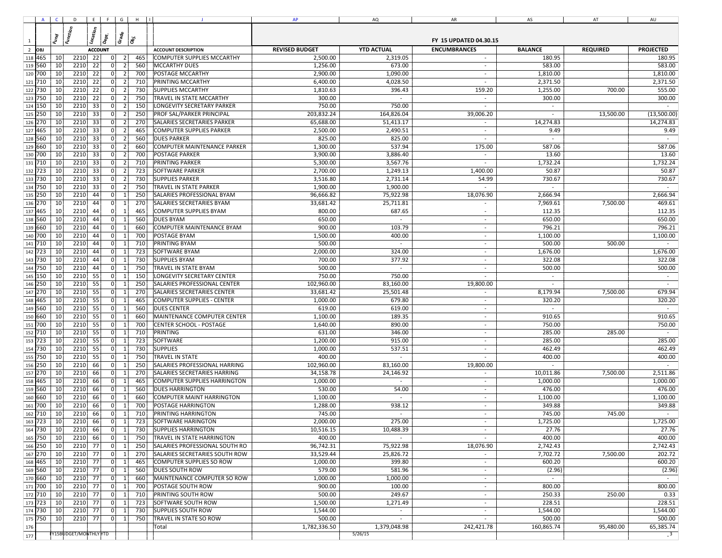|                    |     |    | $A$ $C$ $D$ $E$ $F$ $G$ $H$ $ I $ |     |                      |     | $\mathbf{J}$                        | AP           | AQ                       | AR                       | AS         | AT        | AU             |
|--------------------|-----|----|-----------------------------------|-----|----------------------|-----|-------------------------------------|--------------|--------------------------|--------------------------|------------|-----------|----------------|
|                    |     |    |                                   |     |                      |     |                                     |              |                          |                          |            |           |                |
|                    |     |    |                                   |     |                      |     |                                     |              |                          |                          |            |           |                |
| $\mathbf{1}$       |     |    |                                   |     |                      |     |                                     |              |                          |                          |            |           |                |
| $\overline{2}$     |     |    |                                   |     |                      |     |                                     |              |                          |                          |            |           |                |
| 118 465            |     | 10 | 2210                              | 22  | 0 <br>$\overline{2}$ | 465 | COMPUTER SUPPLIES MCCARTHY          | 2,500.00     | 2,319.05                 | $\sim$                   | 180.95     |           | 180.95         |
| 119 560            |     | 10 | 2210 22                           |     | 0 <br>$\vert$ 2      | 560 | <b>MCCARTHY DUES</b>                | 1,256.00     | 673.00                   | $\overline{\phantom{a}}$ | 583.00     |           | 583.00         |
| 120 700            |     | 10 | 2210                              | 22  | 0 <br>$\vert$ 2      | 700 | <b>POSTAGE MCCARTHY</b>             | 2,900.00     | 1,090.00                 | $\sim$                   | 1,810.00   |           | 1,810.00       |
| 121 710            |     | 10 | 2210                              | 22  | 0 <br>2              | 710 | <b>PRINTING MCCARTHY</b>            | 6,400.00     | 4,028.50                 | $\sim$                   | 2,371.50   |           | 2,371.50       |
| 122                | 730 | 10 | 2210                              | 22  | 0 <br>2              | 730 | <b>SUPPLIES MCCARTHY</b>            | 1,810.63     | 396.43                   | 159.20                   | 1,255.00   | 700.00    | 555.00         |
| 123 750            |     | 10 | 2210                              | 22  | 0 <br>$\overline{2}$ | 750 | TRAVEL IN STATE MCCARTHY            | 300.00       | $\sim$                   | $\sim$                   | 300.00     |           | 300.00         |
| 124 150            |     | 10 | 2210                              | 33  | 0 <br>2              | 150 | LONGEVITY SECRETARY PARKER          | 750.00       | 750.00                   | $\sim$                   | $\sim$     |           | $\sim$         |
| 125 250            |     | 10 | 2210                              | 33  | 0 <br>$\overline{2}$ | 250 | <b>PROF SAL/PARKER PRINCIPAL</b>    | 203,832.24   | 164,826.04               | 39,006.20                |            | 13,500.00 | (13,500.00)    |
| 126 270            |     | 10 | 2210                              | 33  | 0                    | 270 | <b>SALARIES SECRETARIES PARKER</b>  | 65,688.00    | 51,413.17                | $\sim$                   | 14,274.83  |           | 14,274.83      |
| 127 465            |     | 10 | 2210                              | 33  | 0                    | 465 | <b>COMPUTER SUPPLIES PARKER</b>     | 2,500.00     | 2,490.51                 | $\sim$                   | 9.49       |           | 9.49           |
| 128 560            |     | 10 | 2210                              | 33  | 0                    | 560 | <b>DUES PARKER</b>                  | 825.00       | 825.00                   |                          |            |           |                |
| 129 660            |     | 10 | 2210                              | 33  | 0                    | 660 | <b>COMPUTER MAINTENANCE PARKER</b>  | 1,300.00     | 537.94                   | 175.00                   | 587.06     |           | 587.06         |
| 130 700            |     | 10 | 2210                              | 33  | 0 <br>$\overline{2}$ | 700 | <b>POSTAGE PARKER</b>               | 3,900.00     | 3,886.40                 |                          | 13.60      |           | 13.60          |
|                    |     |    |                                   |     |                      |     |                                     |              |                          |                          |            |           |                |
| 131                | 710 | 10 | 2210                              | 33  | 0                    | 710 | <b>PRINTING PARKER</b>              | 5,300.00     | 3,567.76                 |                          | 1,732.24   |           | 1,732.24       |
| 132 723            |     | 10 | 2210                              | 33  | 0                    | 723 | <b>SOFTWARE PARKER</b>              | 2,700.00     | 1,249.13                 | 1,400.00                 | 50.87      |           | 50.87          |
| 133                | 730 | 10 | 2210                              | 33  | 0                    | 730 | <b>SUPPLIES PARKER</b>              | 3,516.80     | 2,731.14                 | 54.99                    | 730.67     |           | 730.67         |
| 134 750            |     | 10 | 2210                              | 33  | 0 <br>$\overline{2}$ | 750 | <b>TRAVEL IN STATE PARKER</b>       | 1,900.00     | 1,900.00                 |                          | $\sim$     |           |                |
| 135                | 250 | 10 | 2210                              | 44  | 0 <br>$\mathbf{1}$   | 250 | SALARIES PROFESSIONAL BYAM          | 96,666.82    | 75,922.98                | 18,076.90                | 2,666.94   |           | 2,666.94       |
| 136 270            |     | 10 | 2210                              | 44  | 0<br>$\mathbf{1}$    | 270 | SALARIES SECRETARIES BYAM           | 33,681.42    | 25,711.81                | $\sim$                   | 7,969.61   | 7,500.00  | 469.61         |
| 137                | 465 | 10 | 2210                              | 44  | 0 <br>$\mathbf{1}$   | 465 | <b>COMPUTER SUPPLIES BYAM</b>       | 800.00       | 687.65                   | $\sim$                   | 112.35     |           | 112.35         |
| 138 560            |     | 10 | 2210                              | 44  | 0<br>$\mathbf{1}$    | 560 | <b>DUES BYAM</b>                    | 650.00       | $\sim$                   | $\sim$                   | 650.00     |           | 650.00         |
| 139 660            |     | 10 | 2210                              | 44  | 0                    | 660 | <b>COMPUTER MAINTENANCE BYAM</b>    | 900.00       | 103.79                   | $\sim$                   | 796.21     |           | 796.21         |
| 140 700            |     | 10 | 2210                              | -44 | 0 l<br>$\mathbf{1}$  | 700 | <b>POSTAGE BYAM</b>                 | 1,500.00     | 400.00                   | $\sim$                   | 1,100.00   |           | 1,100.00       |
| 141                | 710 | 10 | 2210                              | 44  | 0 <br>-1             | 710 | PRINTING BYAM                       | 500.00       | $\sim$                   | $\sim$                   | 500.00     | 500.00    | $\sim$         |
| 142 723            |     | 10 | 2210                              | -44 | 0 <br>1              | 723 | <b>SOFTWARE BYAM</b>                | 2,000.00     | 324.00                   | $\overline{\phantom{a}}$ | 1,676.00   |           | 1,676.00       |
| 143                | 730 | 10 | 2210                              | 44  | 0 <br>$\mathbf{1}$   | 730 | <b>SUPPLIES BYAM</b>                | 700.00       | 377.92                   | $\sim$                   | 322.08     |           | 322.08         |
| 144 750            |     | 10 | 2210                              | 44  | 0 <br>1              | 750 | TRAVEL IN STATE BYAM                | 500.00       | $\sim$                   | $\overline{\phantom{a}}$ | 500.00     |           | 500.00         |
| 145 150            |     | 10 | 2210                              | 55  | 0 <br>1              | 150 | LONGEVITY SECRETARY CENTER          | 750.00       | 750.00                   | $\sim$                   | $\sim$     |           | $\sim$         |
| 146 250            |     | 10 | 2210                              | 55  | 0 <br>1              | 250 | SALARIES PROFESSIONAL CENTER        | 102,960.00   | 83,160.00                | 19,800.00                | $\sim$     |           | $\sim$         |
| 147                | 270 | 10 | 2210                              | 55  | 0 <br>1              | 270 | SALARIES SECRETARIES CENTER         | 33,681.42    | 25,501.48                | $\sim$                   | 8,179.94   | 7,500.00  | 679.94         |
| 148 465            |     | 10 | 2210 55                           |     | 0 <br>1              | 465 | <b>COMPUTER SUPPLIES - CENTER</b>   | 1,000.00     | 679.80                   | $\sim$                   | 320.20     |           | 320.20         |
| 149 560            |     | 10 | 2210                              | 55  | 0 <br>1              | 560 | <b>DUES CENTER</b>                  | 619.00       | 619.00                   | $\sim$                   | $\sim$     |           | $\sim$         |
| 150 660            |     | 10 | 2210                              | 55  | 0 <br>$\mathbf{1}$   | 660 | MAINTENANCE COMPUTER CENTER         | 1,100.00     | 189.35                   | $\sim$                   | 910.65     |           | 910.65         |
| 151                | 700 | 10 | 2210                              | 55  | 0                    | 700 | <b>CENTER SCHOOL - POSTAGE</b>      | 1,640.00     | 890.00                   | $\sim$                   | 750.00     |           | 750.00         |
|                    |     | 10 | 2210                              | 55  | 0 <br>1              | 710 | <b>PRINTING</b>                     | 631.00       | 346.00                   | $\sim$                   | 285.00     | 285.00    |                |
| 152 710            |     |    |                                   |     |                      |     |                                     |              |                          |                          |            |           |                |
| 153                | 723 | 10 | 2210                              | 55  | 0 <br>-1             | 723 | SOFTWARE                            | 1,200.00     | 915.00                   | $\sim$                   | 285.00     |           | 285.00         |
| 154                | 730 | 10 | 2210                              | 55  | 0                    | 730 | <b>SUPPLIES</b>                     | 1,000.00     | 537.51                   |                          | 462.49     |           | 462.49         |
| 155                | 750 | 10 | 2210                              | 55  | 0                    | 750 | <b>TRAVEL IN STATE</b>              | 400.00       | $\sim$                   |                          | 400.00     |           | 400.00         |
| 156 250            |     | 10 | 2210                              | 66  | 0                    | 250 | SALARIES PROFESSIONAL HARRING       | 102,960.00   | 83,160.00                | 19,800.00                |            |           |                |
| 157 270            |     | 10 | 2210                              | 66  | 0                    | 270 | SALARIES SECRETARIES HARRING        | 34,158.78    | 24,146.92                | $\overline{\phantom{a}}$ | 10,011.86  | 7,500.00  | 2,511.86       |
| 158                | 465 | 10 | 2210                              | 66  | 0                    | 465 | <b>COMPUTER SUPPLIES HARRINGTON</b> | 1,000.00     | $\sim$                   | $\sim$                   | 1,000.00   |           | 1,000.00       |
| 159 560            |     | 10 | 2210                              | 66  | 0 <br>$\mathbf{1}$   | 560 | <b>DUES HARRINGTON</b>              | 530.00       | 54.00                    | $\sim$                   | 476.00     |           | 476.00         |
| 160                | 660 | 10 | 2210                              | 66  | 0 <br>$\mathbf{1}$   | 660 | COMPUTER MAINT HARRINGTON           | 1,100.00     | $\sim$                   | $\overline{\phantom{a}}$ | 1,100.00   |           | 1,100.00       |
| 161                | 700 | 10 | 2210                              | 66  | 0 <br>$\mathbf{1}$   | 700 | <b>POSTAGE HARRINGTON</b>           | 1,288.00     | 938.12                   | $\sim$                   | 349.88     |           | 349.88         |
| 162                | 710 | 10 | 2210                              | 66  | 0                    | 710 | PRINTING HARRINGTON                 | 745.00       | $\sim$                   | $\sim$                   | 745.00     | 745.00    |                |
| 163 723            |     | 10 | 2210                              | 66  | 0<br>1               | 723 | <b>SOFTWARE HARINGTON</b>           | 2,000.00     | 275.00                   |                          | 1,725.00   |           | 1,725.00       |
| 164 730            |     | 10 | 2210                              | 66  | 0 <br>-1             | 730 | <b>SUPPLIES HARRINGTON</b>          | 10,516.15    | 10,488.39                |                          | 27.76      |           | 27.76          |
| 165 750            |     | 10 | 2210                              | 66  | 0 <br>$\mathbf{1}$   | 750 | <b>TRAVEL IN STATE HARRINGTON</b>   | 400.00       | $\sim$                   |                          | 400.00     |           | 400.00         |
| 166 250            |     | 10 | 2210                              | 77  | 0 <br>-1             | 250 | SALARIES PROFESSIONAL SOUTH RO      | 96,742.31    | 75,922.98                | 18,076.90                | 2,742.43   |           | 2,742.43       |
| 167 270            |     | 10 | 2210 77                           |     | 0 <br>1              | 270 | SALARIES SECRETARIES SOUTH ROW      | 33,529.44    | 25,826.72                | $\sim$                   | 7,702.72   | 7,500.00  | 202.72         |
| 168 465            |     | 10 | 2210                              | 77  | 0 <br>$\mathbf{1}$   | 465 | <b>COMPUTER SUPPLIES SO ROW</b>     | 1,000.00     | 399.80                   | $\sim$                   | 600.20     |           | 600.20         |
| 169 560            |     | 10 | 2210 77                           |     | 0 <br>1              | 560 | <b>DUES SOUTH ROW</b>               | 579.00       | 581.96                   | $\sim$                   | (2.96)     |           | (2.96)         |
| 170 660            |     | 10 | 2210 77                           |     | 0 <br>$\mathbf{1}$   | 660 | MAINTENANCE COMPUTER SO ROW         | 1,000.00     | 1,000.00                 | $\sim$                   | $\sim$     |           | $\sim$         |
|                    |     |    | 2210 77                           |     | 0 <br>$\mathbf{1}$   | 700 |                                     | 900.00       | 100.00                   | $\sim$                   |            |           |                |
| 171 700<br>172 710 |     | 10 |                                   |     | 0                    |     | <b>POSTAGE SOUTH ROW</b>            |              |                          |                          | 800.00     |           | 800.00<br>0.33 |
|                    |     | 10 | 2210                              | 77  | 1                    | 710 | <b>PRINTING SOUTH ROW</b>           | 500.00       | 249.67                   | $\sim$                   | 250.33     | 250.00    |                |
| 173 723            |     | 10 | 2210 77                           |     | 0 <br>1              | 723 | <b>SOFTWARE SOUTH ROW</b>           | 1,500.00     | 1,271.49                 | $\sim$                   | 228.51     |           | 228.51         |
| 174 730            |     | 10 | 2210                              | 77  | 0 <br> 1             | 730 | <b>SUPPLIES SOUTH ROW</b>           | 1,544.00     | $\sim$                   | $\sim$                   | 1,544.00   |           | 1,544.00       |
| 175 750            |     | 10 | 2210                              | 77  | 0 <br>$\vert$ 1      | 750 | TRAVEL IN STATE SO ROW              | 500.00       | $\overline{\phantom{a}}$ | $\sim$                   | 500.00     |           | 500.00         |
| 176                |     |    |                                   |     |                      |     | Total                               | 1,782,336.50 | 1,379,048.98             | 242,421.78               | 160,865.74 | 95,480.00 | 65,385.74      |
| 177                |     |    | <b>Y15BUDGET/MONTHLYNTD</b>       |     |                      |     |                                     |              | 5/26/15                  |                          |            |           | $-3$           |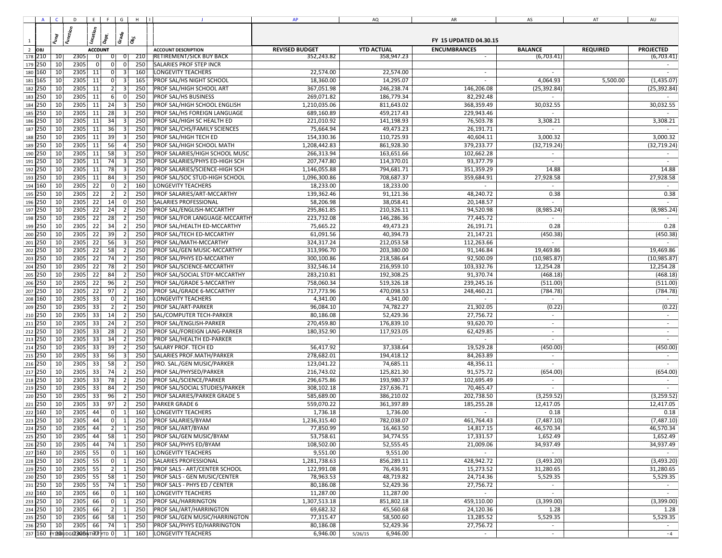|                | A C D E F G H II                 |                 |                |                |     | $\mathbf{J}$                    | AP           | AQ                  | AR         | AS                       | AT       | AU           |
|----------------|----------------------------------|-----------------|----------------|----------------|-----|---------------------------------|--------------|---------------------|------------|--------------------------|----------|--------------|
|                |                                  |                 |                |                |     |                                 |              |                     |            |                          |          |              |
|                |                                  |                 |                |                |     |                                 |              |                     |            |                          |          |              |
| $\overline{1}$ |                                  |                 |                |                |     |                                 |              |                     |            |                          |          |              |
| $\overline{2}$ |                                  |                 |                |                |     |                                 |              |                     |            |                          |          |              |
| 178 210        | 2305<br>10                       |                 | 0              | 01             | 210 | <b>RETIREMENT/SICK BUY BACK</b> | 352,243.82   | 358,947.23          |            | (6,703.41)               |          | (6,703.41)   |
| 179 250        | 2305<br>10                       |                 | 0              | 0              | 250 | <b>SALARIES PROF STEP INCR</b>  |              |                     |            |                          |          |              |
| 180 160        | 2305 11<br>10                    |                 | 0              | $\overline{3}$ | 160 | <b>LONGEVITY TEACHERS</b>       | 22,574.00    | 22,574.00           |            |                          |          |              |
| 181 165        | 10<br>2305                       | 11              | 0 l            | 3              | 165 | PROF SAL/HS NIGHT SCHOOL        | 18,360.00    | 14,295.07           |            | 4,064.93                 | 5,500.00 | (1,435.07)   |
| 182 250        | 2305<br>10                       | 11              | 2              | $\overline{3}$ | 250 | PROF SAL/HIGH SCHOOL ART        | 367,051.98   | 246,238.74          | 146,206.08 | (25, 392.84)             |          | (25, 392.84) |
| 183<br>250     | 10<br>2305                       | 11              | 6              | 0              | 250 | <b>PROF SAL/HS BUSINESS</b>     | 269,071.82   | 186,779.34          | 82,292.48  |                          |          |              |
| 184<br>250     | 2305<br>10                       | 11              | 24             | $\overline{3}$ | 250 | PROF SAL/HIGH SCHOOL ENGLISH    | 1,210,035.06 | 811,643.02          | 368,359.49 | 30,032.55                |          | 30,032.55    |
| 250<br>185     | 10<br>2305                       | 11              | 28             | $\mathbf{a}$   | 250 | PROF SAL/HS FOREIGN LANGUAGE    | 689,160.89   | 459,217.43          | 229,943.46 |                          |          |              |
| 186 250        | 2305<br>10                       | 11              | 34             | $\lceil$       | 250 | PROF SAL/HIGH SC HEALTH ED      | 221,010.92   | 141,198.93          | 76,503.78  | 3,308.21                 |          | 3,308.21     |
| 187<br>250     | 10<br>2305                       | 11              | 36             | 3              | 250 | PROF SAL/CHS/FAMILY SCIENCES    | 75,664.94    | 49,473.23           | 26,191.71  | $\sim$                   |          |              |
| 188 250        | 2305<br>10                       | 11              | 39             | 3              | 250 | PROF SAL/HIGH TECH ED           | 154,330.36   | 110,725.93          | 40,604.11  | 3,000.32                 |          | 3,000.32     |
| 189 250        | 2305<br>10                       | 11              | 56             | $\vert$        | 250 | PROF SAL/HIGH SCHOOL MATH       | 1,208,442.83 | 861,928.30          | 379,233.77 | (32, 719.24)             |          | (32, 719.24) |
| 190 250        | 2305<br>10                       | 11              | 58             | $\vert$ 3      | 250 | PROF SALARIES/HIGH SCHOOL MUSC  | 266,313.94   | 163,651.66          | 102,662.28 |                          |          |              |
| 191 250        | 2305<br>10                       | 11              | 74             | $\vert$ 3      | 250 | PROF SALARIES/PHYS ED-HIGH SCH  | 207,747.80   | 114,370.01          | 93,377.79  | $\sim$                   |          | $\sim$       |
| 192 250        | 2305<br>10                       | 11              | 78             | $\vert$ 3      | 250 | PROF SALARIES/SCIENCE-HIGH SCH  | 1,146,055.88 | 794,681.71          | 351,359.29 | 14.88                    |          | 14.88        |
|                | 2305<br>10                       | 11              | 84             | $\vert$ 3      | 250 |                                 |              |                     |            |                          |          | 27,928.58    |
| 193 250        |                                  |                 |                |                |     | PROF SAL/SOC STUD-HIGH SCHOOL   | 1,096,300.86 | 708,687.37          | 359,684.91 | 27,928.58                |          |              |
| 194 160        | 2305<br>10                       | 22              | 0              | $\overline{2}$ | 160 | LONGEVITY TEACHERS              | 18,233.00    | 18,233.00           |            | $\sim$                   |          |              |
| 195 250        | 2305<br>10                       | 22              | $\vert$ 2      | 2              | 250 | PROF SALARIES/ART-MCCARTHY      | 139,362.46   | 91,121.36           | 48,240.72  | 0.38                     |          | 0.38         |
| 196 250        | 2305<br>10                       | 22              | 14             | - 0 I          | 250 | SALARIES PROFESSIONAL           | 58,206.98    | 38,058.41           | 20,148.57  | $\sim$                   |          |              |
| 197 250        | 2305<br>10                       | $\overline{22}$ | 24             | 2              | 250 | PROF SAL/ENGLISH-MCCARTHY       | 295,861.85   | 210,326.11          | 94,520.98  | (8,985.24)               |          | (8,985.24)   |
| 198 250        | 2305<br>10                       | 22              | 28             | 2              | 250 | PROF SAL/FOR LANGUAGE-MCCARTH'  | 223,732.08   | 146,286.36          | 77,445.72  |                          |          |              |
| 199 250        | 2305<br>10                       | 22              | 34             | $\overline{2}$ | 250 | PROF SAL/HEALTH ED-MCCARTHY     | 75,665.22    | 49,473.23           | 26,191.71  | 0.28                     |          | 0.28         |
| 200 250        | 2305<br>10                       | 22              | 39             | $\overline{2}$ | 250 | PROF SAL/TECH ED-MCCARTHY       | 61,091.56    | 40,394.73           | 21,147.21  | (450.38)                 |          | (450.38)     |
| 201 250        | 2305<br>10                       | 22              | 56             | $\overline{3}$ | 250 | PROF SAL/MATH-MCCARTHY          | 324,317.24   | 212,053.58          | 112,263.66 |                          |          |              |
| 202 250        | 10<br>2305                       | 22              | 58             | $\overline{2}$ | 250 | PROF SAL/GEN MUSIC-MCCARTHY     | 313,996.70   | 203,380.00          | 91,146.84  | 19,469.86                |          | 19,469.86    |
| 203<br>250     | 2305<br>10                       | 22              | 74             | $\overline{2}$ | 250 | PROF SAL/PHYS ED-MCCARTHY       | 300,100.86   | 218,586.64          | 92,500.09  | (10, 985.87)             |          | (10, 985.87) |
| 250<br>204     | 2305<br>10                       | 22              | 78             |                | 250 | PROF SAL/SCIENCE-MCCARTHY       | 332,546.14   | 216,959.10          | 103,332.76 | 12,254.28                |          | 12,254.28    |
| 205<br>250     | 2305<br>10                       | 22              | 84             | $\overline{2}$ | 250 | PROF SAL/SOCIAL STDY-MCCARTHY   | 283,210.81   | 192,308.25          | 91,370.74  | (468.18)                 |          | (468.18)     |
| 206<br>250     | 2305<br>10                       | 22              | 96             | 2              | 250 | PROF SAL/GRADE 5-MCCARTHY       | 758,060.34   | 519,326.18          | 239,245.16 | (511.00)                 |          | (511.00)     |
| 207 250        | 10<br>2305                       | 22              | 97             | $\overline{2}$ | 250 | PROF SAL/GRADE 6-MCCARTHY       | 717,773.96   | 470,098.53          | 248,460.21 | (784.78)                 |          | (784.78)     |
| 208<br>160     | 10<br>2305                       | 33              | $\overline{0}$ | $\overline{2}$ | 160 | LONGEVITY TEACHERS              | 4,341.00     | 4,341.00            |            | $\sim$                   |          |              |
| 209 250        | 2305<br>10                       | 33              | 2              | $\overline{2}$ | 250 | <b>PROF SAL/ART-PARKER</b>      | 96,084.10    | 74,782.27           | 21,302.05  | (0.22)                   |          | (0.22)       |
| 210 250        | 10<br>2305                       | 33              | 14             | $\overline{2}$ | 250 | SAL/COMPUTER TECH-PARKER        | 80,186.08    | 52,429.36           | 27,756.72  | $\sim$                   |          | $\sim$       |
| 211 250        | 2305<br>10                       | 33              | 24             | $\overline{2}$ | 250 | PROF SAL/ENGLISH-PARKER         | 270,459.80   | 176,839.10          | 93,620.70  | $\sim$                   |          | $\sim$       |
| 212 250        | 10<br>2305                       | 33              | 28             | $\overline{2}$ | 250 |                                 | 180,352.90   |                     | 62,429.85  | $\sim$                   |          | $\sim$       |
|                |                                  |                 |                |                |     | PROF SAL/FOREIGN LANG-PARKER    |              | 117,923.05          |            |                          |          |              |
| 213 250        | 2305<br>10                       | 33              | 34             | 21             | 250 | PROF SAL/HEALTH ED-PARKER       | $\sim$       | $\sim$              |            | $\sim$                   |          | $\sim$       |
| 214 250        | 2305<br>10                       | 33              | 39             | $\overline{2}$ | 250 | <b>SALARY PROF. TECH ED</b>     | 56,417.92    | 37,338.64           | 19,529.28  | (450.00)                 |          | (450.00)     |
| 215 250        | 2305<br>10                       | 33              | 56             | $\vert$ 3      | 250 | SALARIES PROF MATH/PARKER       | 278,682.01   | 194,418.12          | 84,263.89  | $\overline{\phantom{a}}$ |          | $\sim$       |
| 216 250        | 2305<br>10                       | 33              | 58             | $\overline{2}$ | 250 | PRO. SAL./GEN MUSIC/PARKER      | 123,041.22   | 74,685.11           | 48,356.11  | $\sim$                   |          | $\sim$       |
| 217 250        | 2305<br>10                       | 33              | 74             | $\overline{2}$ | 250 | <b>PROF SAL/PHYSED/PARKER</b>   | 216,743.02   | 125,821.30          | 91,575.72  | (654.00)                 |          | (654.00)     |
| 218 250        | 10<br>2305                       | 33              | 78             | $\overline{2}$ | 250 | PROF SAL/SCIENCE/PARKER         | 296,675.86   | 193,980.37          | 102,695.49 | $\overline{\phantom{a}}$ |          |              |
| 219 250        | 2305<br>10                       | 33              | 84             | $\overline{2}$ | 250 | PROF SAL/SOCIAL STUDIES/PARKER  | 308,102.18   | 237,636.71          | 70,465.47  | $\sim$                   |          |              |
| 220 250        | 2305<br>10                       | 33              | 96             | 2              | 250 | PROF SALARIES/PARKER GRADE 5    | 585,689.00   | 386,210.02          | 202,738.50 | (3,259.52)               |          | (3,259.52)   |
| 221 250        | 2305<br>10                       | 33              | 97             | $\overline{2}$ | 250 | <b>PARKER GRADE 6</b>           | 559,070.22   | 361,397.89          | 185,255.28 | 12,417.05                |          | 12,417.05    |
| 222 160        | 10<br>2305                       | 44              | 0              | 1              | 160 | LONGEVITY TEACHERS              | 1,736.18     | 1,736.00            |            | 0.18                     |          | 0.18         |
| 223 250        | 10<br>2305                       | 44              | 0              | $\vert$ 1      | 250 | PROF SALARIES/BYAM              | 1,236,315.40 | 782,038.07          | 461,764.43 | (7,487.10)               |          | (7,487.10)   |
| 224 250        | 2305<br>10                       | 44              | 2              | 1              | 250 | <b>PROF SAL/ART/BYAM</b>        | 77,850.99    | 16,463.50           | 14,817.15  | 46,570.34                |          | 46,570.34    |
| 225 250        | 2305<br>10                       | 44              | 58             | $\vert$ 1      | 250 | PROF SAL/GEN MUSIC/BYAM         | 53,758.61    | 34,774.55           | 17,331.57  | 1,652.49                 |          | 1,652.49     |
| 226 250        | 2305<br>10                       | 44              | 74             | 1              | 250 | PROF SAL/PHYS ED/BYAM           | 108,502.00   | 52,555.45           | 21,009.06  | 34,937.49                |          | 34,937.49    |
| 227 160        | 10<br>2305                       | 55              | 0              |                | 160 | <b>LONGEVITY TEACHERS</b>       | 9,551.00     | 9,551.00            |            |                          |          |              |
| 228 250        | 2305<br>10                       | 55              | 0              | $\vert$ 1      | 250 | SALARIES PROFESSIONAL           | 1,281,738.63 | 856,289.11          | 428,942.72 | (3,493.20)               |          | (3,493.20)   |
|                | 2305<br>10                       | 55              | 2              |                | 250 | PROF SALS - ART/CENTER SCHOOL   | 122,991.08   | 76,436.91           | 15,273.52  | 31,280.65                |          | 31,280.65    |
| 229 250        | 2305                             |                 |                | $\vert$ 1      |     |                                 |              |                     |            |                          |          |              |
| 230 250        | 10 <sup>1</sup>                  | 55              | 58             |                | 250 | PROF SALS - GEN MUSIC/CENTER    | 78,963.53    | 48,719.82           | 24,714.36  | 5,529.35                 |          | 5,529.35     |
| 231 250        | 10<br>2305                       | 55              | 74             |                | 250 | PROF SALS - PHYS ED / CENTER    | 80,186.08    | 52,429.36           | 27,756.72  |                          |          |              |
| 232 160        | 2305<br>10 <sup>1</sup>          | 66              | 0              | $\mathbf{1}$   | 160 | LONGEVITY TEACHERS              | 11,287.00    | 11,287.00           | $\sim$     | $\sim$                   |          | $\sim$       |
| 233 250        | 10<br>2305                       | 66              | 0              | $\mathbf{1}$   | 250 | PROF SAL/HARRINGTON             | 1,307,513.18 | 851,802.18          | 459,110.00 | (3,399.00)               |          | (3,399.00)   |
| 234 250        | 2305<br>10                       | 66              | 2              | $\mathbf{1}$   | 250 | PROF SAL/ART/HARRINGTON         | 69,682.32    | 45,560.68           | 24,120.36  | 1.28                     |          | 1.28         |
| 235 250        | 10<br>2305                       | 66              | 58             |                | 250 | PROF SAL/GEN MUSIC/HARRINGTON   | 77,315.47    | 58,500.60           | 13,285.52  | 5,529.35                 |          | 5,529.35     |
| 236 250        | 2305<br>10                       | 66              | 74             | $\vert$ 1      | 250 | PROF SAL/PHYS ED/HARRINGTON     | 80,186.08    | 52,429.36           | 27,756.72  |                          |          |              |
|                | 237 160 FY160 UDGE2305NTH7 YTD 0 |                 |                | 1              | 160 | <b>LONGEVITY TEACHERS</b>       | 6,946.00     | 6,946.00<br>5/26/15 | $\sim$     | $\sim$                   |          | $-4$         |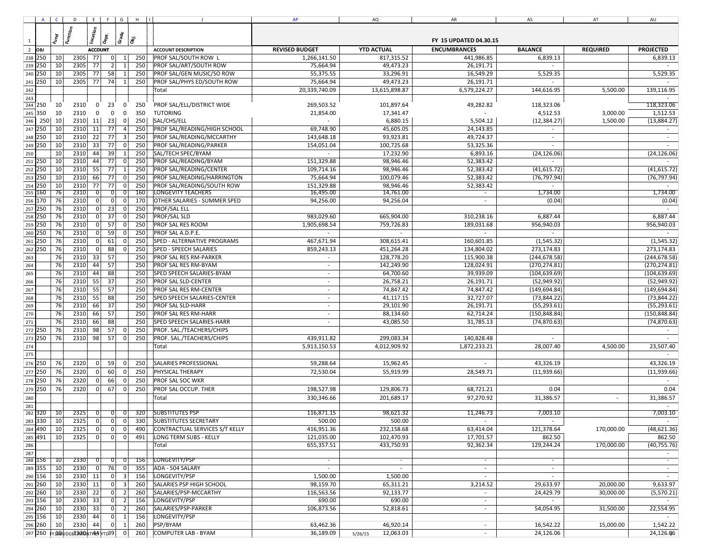|                |     |                 | A C D E F G H I                                             |                      |                    |            |                                                | AP                         | AQ                   | ${\sf AR}$                | AS            | AT         | AU            |
|----------------|-----|-----------------|-------------------------------------------------------------|----------------------|--------------------|------------|------------------------------------------------|----------------------------|----------------------|---------------------------|---------------|------------|---------------|
|                |     |                 |                                                             |                      |                    |            |                                                |                            |                      |                           |               |            |               |
|                |     |                 |                                                             |                      |                    |            |                                                |                            |                      |                           |               |            |               |
| $\mathbf{1}$   |     |                 |                                                             |                      |                    |            |                                                |                            |                      |                           |               |            |               |
| $\overline{2}$ |     |                 |                                                             |                      |                    |            |                                                |                            |                      |                           |               |            |               |
| 238 250        |     | 10 <sup>1</sup> | 2305 77<br>2305 77                                          | 0 <br>2              | -1<br>$\mathbf{1}$ | 250        | PROF SAL/SOUTH ROW L<br>PROF SAL/ART/SOUTH ROW | 1,266,141.50               | 817,315.52           | 441,986.85                | 6,839.13      |            | 6,839.13      |
| 239 250        |     | 10<br>10        | 77                                                          |                      |                    | 250<br>250 |                                                | 75,664.94                  | 49,473.23            | 26,191.71                 |               |            |               |
| 240            | 250 |                 | 2305<br>2305                                                | 58<br>74             |                    |            | PROF SAL/GEN MUSIC/SO ROW                      | 55,375.55                  | 33,296.91            | 16,549.29                 | 5,529.35      |            | 5,529.35      |
| 241            | 250 | 10              | 77                                                          |                      | 1                  | 250        | PROF SAL/PHYS ED/SOUTH ROW<br>Total            | 75,664.94<br>20,339,740.09 | 49,473.23            | 26,191.71<br>6,579,224.27 | 144,616.95    | 5,500.00   | 139,116.95    |
| 242<br>243     |     |                 |                                                             |                      |                    |            |                                                |                            | 13,615,898.87        |                           |               |            |               |
| 244 250        |     | 10              | 2310<br>$\mathbf 0$                                         | 23                   | $\mathbf{0}$       | 250        | PROF SAL/ELL/DISTRICT WIDE                     | 269,503.52                 | 101,897.64           | 49,282.82                 | 118,323.06    |            | 118,323.06    |
| 245 350        |     | 10              | 2310<br>$\mathbf 0$                                         | $\mathbf 0$          | $\mathbf 0$        | 350        | <b>TUTORING</b>                                | 21,854.00                  | 17,341.47            |                           | 4,512.53      | 3,000.00   | 1,512.53      |
| 246            | 250 | 10              | 2310<br>11                                                  | 23                   | -ol                | 250        | SAL/CHS/ELL                                    |                            | 6,880.15             | 5,504.12                  | (12, 384.27)  | 1,500.00   | (13,884.27)   |
| 247            | 250 | 10              | 2310<br>11                                                  | 77                   |                    | 250        | PROF SAL/READING/HIGH SCHOOL                   | 69,748.90                  | 45,605.05            | 24.143.85                 |               |            |               |
| 248 250        |     | 10              | 2310 22                                                     | 77                   | 3                  | 250        | PROF SAL/READING/MCCARTHY                      | 143,648.18                 | 93,923.81            | 49,724.37                 |               |            |               |
| 249 250        |     | 10              | 2310<br>33                                                  | 77                   | $\Omega$           | 250        | PROF SAL/READING/PARKER                        | 154,051.04                 | 100,725.68           | 53,325.36                 |               |            |               |
| 250            |     | 10              | 2310<br>44                                                  | 39                   | $\mathbf{1}$       | 250        | SAL/TECH SPEC/BYAM                             |                            | 17,232.90            | 6,893.16                  | (24, 126.06)  |            | (24, 126.06)  |
| 251            | 250 | 10              | 2310<br>44                                                  | 77                   | $\Omega$           | 250        | PROF SAL/READING/BYAM                          | 151,329.88                 | 98,946.46            | 52,383.42                 |               |            |               |
| 252            | 250 | 10              | 2310<br>55                                                  | 77                   | $\vert$ 1          | 250        | PROF SAL/READING/CENTER                        | 109,714.16                 | 98,946.46            | 52,383.42                 | (41, 615.72)  |            | (41, 615.72)  |
| 253            | 250 | 10              | 2310<br>66                                                  | 77                   | $\Omega$           | 250        | PROF SAL/READING/HARRINGTON                    | 75,664.94                  | 100,079.46           | 52,383.42                 | (76, 797.94)  |            | (76, 797.94)  |
| 254 250        |     | 10              | 2310<br>77                                                  | 77                   | $\overline{0}$     | 250        | PROF SAL/READING/SOUTH ROW                     | 151,329.88                 | 98,946.46            | 52,383.42                 |               |            |               |
| 255 160        |     | 76              | 2310                                                        | $\overline{0}$<br> 0 | $\overline{0}$     | 160        | LONGEVITY TEACHERS                             | 16,495.00                  | 14,761.00            | $\sim$                    | 1,734.00      |            | 1,734.00      |
| 256 170        |     | 76              | 2310                                                        | $\overline{0}$       | $\Omega$           | 170        | <b>OTHER SALARIES - SUMMER SPED</b>            | 94,256.00                  | 94,256.04            |                           | (0.04)        |            | (0.04)        |
| 257 250        |     | 76              | 2310                                                        | 23<br>οI             | $\Omega$           | 250        | PROF/SAL ELL                                   |                            |                      |                           |               |            |               |
| 258 250        |     | 76              | 2310                                                        | 37                   |                    | 250        | PROF/SAL SLD                                   | 983,029.60                 | 665,904.00           | 310,238.16                | 6,887.44      |            | 6,887.44      |
| 259 250        |     | 76              | 2310                                                        | 57<br>$\Omega$       | $\overline{0}$     | 250        | PROF SAL RES ROOM                              | 1,905,698.54               | 759,726.83           | 189,031.68                | 956.940.03    |            | 956,940.03    |
| 260 250        |     | 76              | 2310                                                        | 59                   |                    | 250        | PROF SAL A.D.P.E.                              |                            |                      |                           |               |            |               |
| 261            | 250 | 76              | 2310                                                        | 61<br>$\Omega$       | $\Omega$           | 250        | SPED - ALTERNATIVE PROGRAMS                    | 467,671.94                 | 308,615.41           | 160,601.85                | (1,545.32)    |            | (1, 545.32)   |
| 262            | 250 | 76              | 2310                                                        | 88                   |                    | 250        | <b>SPED - SPEECH SALARIES</b>                  | 859,243.13                 | 451,264.28           | 134,804.02                | 273,174.83    |            | 273,174.83    |
| 263            |     | 76              | 2310<br>33                                                  | 57                   |                    | 250        | PROF SAL RES RM-PARKER                         | $\sim$                     | 128,778.20           | 115,900.38                | (244, 678.58) |            | (244, 678.58) |
| 264            |     | 76              | 2310<br>44                                                  | 57                   |                    | 250        | PROF SAL RES RM-BYAM                           | $\sim$                     | 142,249.90           | 128,024.91                | (270, 274.81) |            | (270, 274.81) |
| 265            |     | 76              | 2310<br>44                                                  | 88                   |                    | 250        | SPED SPEECH SALARIES-BYAM                      | $\sim$                     | 64,700.60            | 39,939.09                 | (104, 639.69) |            | (104, 639.69) |
| 266            |     | 76              | 2310<br>55                                                  | 37                   |                    | 250        | <b>PROF SAL SLD-CENTER</b>                     | $\sim$                     | 26,758.21            | 26,191.71                 | (52, 949.92)  |            | (52,949.92)   |
| 267            |     | 76              | 2310<br>55                                                  | 57                   |                    | 250        | PROF SAL RES RM-CENTER                         | $\sim$                     | 74,847.42            | 74,847.42                 | (149, 694.84) |            | (149, 694.84) |
| 268            |     | 76              | 2310<br>55                                                  | 88                   |                    | 250        | SPED SPEECH SALARIES-CENTER                    | $\sim$                     | 41,117.15            | 32,727.07                 | (73, 844.22)  |            | (73, 844.22)  |
| 269            |     | 76              | 2310<br>66                                                  | 37                   |                    | 250        | <b>PROF SAL SLD-HARR</b>                       | $\sim$                     | 29,101.90            | 26,191.71                 | (55, 293.61)  |            | (55, 293.61)  |
| 270            |     | 76              | 2310<br>66                                                  | 57                   |                    | 250        | <b>PROF SAL RES RM-HARR</b>                    | $\sim$                     | 88,134.60            | 62,714.24                 | (150, 848.84) |            | (150, 848.84) |
| 271            |     | 76              | 2310<br>66                                                  | 88                   |                    | 250        | <b>SPED SPEECH SALARIES-HARR</b>               | $\sim$                     | 43,085.50            | 31,785.13                 | (74, 870.63)  |            | (74, 870.63)  |
| 272 250        |     | 76              | 2310<br>98                                                  | 57                   | $\overline{0}$     | 250        | PROF. SAL./TEACHERS/CHIPS                      |                            |                      |                           |               |            |               |
| 273 250        |     | 76              | 2310<br>98                                                  | 57                   | 0                  | 250        | PROF. SAL./TEACHERS/CHIPS                      | 439,911.82                 | 299,083.34           | 140,828.48                |               |            |               |
| 274            |     |                 |                                                             |                      |                    |            | Total                                          | 5,913,150.53               | 4,012,909.92         | 1,872,233.21              | 28,007.40     | 4,500.00   | 23,507.40     |
| 275            |     |                 |                                                             |                      |                    |            |                                                |                            |                      |                           |               |            |               |
| 276 250        |     | 76              | 2320                                                        | 59<br>$\Omega$       | $\Omega$           | 250        | SALARIES PROFESSIONAL                          | 59,288.64                  | 15,962.45            |                           | 43,326.19     |            | 43,326.19     |
| 277 250        |     | 76              | 2320                                                        | 60                   | $\Omega$           | 250        | PHYSICAL THERAPY                               | 72,530.04                  | 55,919.99            | 28,549.71                 | (11,939.66)   |            | (11,939.66)   |
| 278 250        |     | 76              | 2320                                                        | 66                   | $\overline{0}$     | 250        | <b>PROF SAL SOC WKR</b>                        |                            |                      |                           |               |            |               |
| 279 250        |     | 76              | 2320                                                        | 67<br>01             | $\overline{0}$     | 250        | <b>PROF SAL OCCUP. THER</b>                    | 198,527.98                 | 129,806.73           | 68,721.21                 | 0.04          |            | 0.04          |
| 280            |     |                 |                                                             |                      |                    |            | Total                                          | 330,346.66                 | 201,689.17           | 97,270.92                 | 31,386.57     |            | 31,386.57     |
| 281            |     |                 |                                                             |                      |                    |            |                                                |                            |                      |                           |               |            |               |
| 282 320        |     | $\overline{10}$ | 2325                                                        | 0                    | 01                 | 320        | <b>SUBSTITUTES PSP</b>                         | 116,871.15                 | 98,621.32            | 11,246.73                 | 7,003.10      |            | 7,003.10      |
| 283 330        |     | 10              | 2325                                                        | 0 <sup>1</sup><br> 0 | $\overline{0}$     | 330        | <b>SUBSTITUTES SECRETARY</b>                   | 500.00                     | 500.00               |                           | $\sim$        |            |               |
| 284 490        |     | 10              | 2325                                                        | 0 <br> 0             | 0                  | 490        | CONTRACTUAL SERVICES S/T KELLY                 | 416,951.36                 | 232,158.68           | 63,414.04                 | 121,378.64    | 170,000.00 | (48, 621.36)  |
| 285 491        |     | 10              | 2325                                                        | 0 <br> 0             | 0                  | 491        | LONG TERM SUBS - KELLY                         | 121,035.00                 | 102,470.93           | 17,701.57                 | 862.50        |            | 862.50        |
| 286            |     |                 |                                                             |                      |                    |            | Total                                          | 655,357.51                 | 433,750.93           | 92,362.34                 | 129,244.24    | 170,000.00 | (40, 755.76)  |
| 287            |     |                 |                                                             |                      |                    |            |                                                |                            |                      |                           |               |            |               |
| 288 156        |     | 10              | 2330                                                        | 0                    |                    | 156        | LONGEVITY/PSP                                  | $\sim$                     | $\sim$               | $\sim$                    | $\sim$        |            | $\sim$        |
| 289 355        |     | 10              | 2330                                                        | 76                   | $\overline{0}$     | 355        | ADA - 504 SALARY                               |                            | $\sim$               | $\sim$                    | $\sim$        |            | $\sim$        |
| 290 156        |     | 10              | 2330 11                                                     | 0                    | $\overline{3}$     | 156        | LONGEVITY/PSP                                  | 1,500.00                   | 1,500.00             | $\sim$                    | $\sim$        |            | $\sim$        |
| 291 260        |     | 10              | 2330 11                                                     | $\mathbf{0}$         |                    | 260        | SALARIES PSP HIGH SCHOOL                       | 98,159.70                  | 65,311.21            | 3,214.52                  | 29,633.97     | 20,000.00  | 9,633.97      |
| 292 260        |     | 10              | $2330 \begin{array}{ c c } \hline 22 \\ \hline \end{array}$ | 0                    | $\overline{2}$     | 260        | SALARIES/PSP-MCCARTHY                          | 116,563.56                 | 92,133.77            | $\sim$                    | 24,429.79     | 30,000.00  | (5,570.21)    |
| 293 156        |     | 10              | 2330 33                                                     | $\overline{0}$       | $\overline{2}$     | 156        | LONGEVITY/PSP                                  | 690.00                     | 690.00               | $\sim$                    |               |            |               |
| 294 260        |     | 10              | 2330 33                                                     | 0                    | $\overline{2}$     | 260        | SALARIES/PSP-PARKER                            | 106,873.56                 | 52,818.61            | $\sim$                    | 54,054.95     | 31,500.00  | 22,554.95     |
| 295 156        |     | 10              | 2330 44                                                     | $\overline{0}$       |                    | 156        | LONGEVITY/PSP                                  |                            |                      |                           |               |            |               |
| 296 260        |     | 10 <sup>1</sup> | 2330   44                                                   | 0                    | $\vert$ 1          | 260        | PSP/BYAM                                       | 63,462.36                  | 46,920.14            | $\sim$                    | 16,542.22     | 15,000.00  | 1,542.22      |
|                |     |                 | 297 260 FY150 UDGE2300NTA4 TD39                             |                      | $\overline{0}$     | 260        | <b>COMPUTER LAB - BYAM</b>                     | 36,189.09                  | 12,063.03<br>5/26/15 |                           | 24,126.06     |            | 24,126.06     |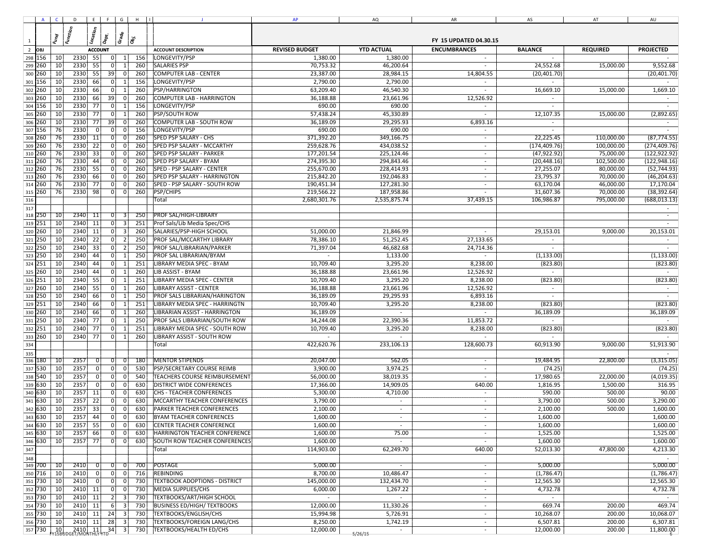|                                      |                          |          | A C D E F G H I                                                                                        |          |                      |     | <b>J</b>                             | <b>AP</b>      | AQ           | AR                       | AS                           | AT         | AU            |
|--------------------------------------|--------------------------|----------|--------------------------------------------------------------------------------------------------------|----------|----------------------|-----|--------------------------------------|----------------|--------------|--------------------------|------------------------------|------------|---------------|
|                                      |                          |          |                                                                                                        |          |                      |     |                                      |                |              |                          |                              |            |               |
|                                      |                          |          |                                                                                                        |          |                      |     |                                      |                |              |                          |                              |            |               |
| $\mathbf{1}$                         |                          |          |                                                                                                        |          |                      |     |                                      |                |              |                          |                              |            |               |
| $\overline{2}$                       |                          |          |                                                                                                        |          |                      |     |                                      |                |              |                          |                              |            |               |
|                                      | 298 156                  | 10       | 2330 55                                                                                                |          | 0 <br>1              | 156 | LONGEVITY/PSP                        | 1,380.00       | 1,380.00     | $\sim$                   | $\sim$                       |            |               |
|                                      | 299 260                  | 10       | 2330<br>55                                                                                             |          | 0 <br>1              | 260 | <b>SALARIES PSP</b>                  | 70,753.32      | 46,200.64    | $\sim$                   | 24,552.68                    | 15,000.00  | 9,552.68      |
| 300                                  | 260                      | 10       | 2330<br>55                                                                                             |          | 39<br>$\Omega$       | 260 | <b>COMPUTER LAB - CENTER</b>         | 23,387.00      | 28,984.15    | 14,804.55                | (20, 401.70)                 |            | (20, 401.70)  |
| 301                                  | 156                      | 10       | 2330<br>66                                                                                             |          | 0 <br>1              | 156 | LONGEVITY/PSP                        | 2,790.00       | 2,790.00     | $\sim$                   | $\sim$                       |            |               |
| 302                                  | 260                      | 10       | 2330                                                                                                   | 66       | 0<br>-1              | 260 | PSP/HARRINGTON                       | 63,209.40      | 46,540.30    | $\sim$                   | 16,669.10                    | 15,000.00  | 1,669.10      |
|                                      | 303 260                  | 10       | 2330<br>66                                                                                             |          | 39<br>$\mathbf 0$    | 260 | COMPUTER LAB - HARRINGTON            | 36,188.88      | 23,661.96    | 12,526.92                |                              |            |               |
| 304                                  | 156                      | 10       | 2330                                                                                                   | 77       | 0 <br>1              | 156 | LONGEVITY/PSP                        | 690.00         | 690.00       | $\sim$                   |                              |            |               |
|                                      | 305 260                  | 10       | 2330                                                                                                   | 77       | 0 <br>1              | 260 | <b>PSP/SOUTH ROW</b>                 | 57,438.24      | 45,330.89    |                          | 12,107.35                    | 15,000.00  | (2,892.65)    |
|                                      | 306 260                  | 10       | 2330                                                                                                   | 77       | 39<br>$\overline{0}$ | 260 | COMPUTER LAB - SOUTH ROW             | 36,189.09      | 29,295.93    | 6,893.16                 | $\sim$                       |            |               |
|                                      | 307 156                  | 76       | 2330                                                                                                   | 0        | 0 <br>$\Omega$       | 156 | LONGEVITY/PSP                        | 690.00         | 690.00       | $\sim$                   |                              |            |               |
|                                      | 308 260                  | 76       | 2330                                                                                                   | 11       | 0 <br>$\Omega$       | 260 | <b>SPED PSP SALARY - CHS</b>         | 371,392.20     | 349,166.75   | $\sim$                   | 22,225.45                    | 110,000.00 | (87, 774.55)  |
| 309                                  | 260                      | 76       | 2330<br>22                                                                                             |          | $\overline{0}$       | 260 | SPED PSP SALARY - MCCARTHY           | 259,628.76     | 434,038.52   | $\sim$                   | (174, 409.76)                | 100,000.00 | (274, 409.76) |
|                                      | 310 260                  | 76       | 2330<br>33                                                                                             |          | 0 <br>$\Omega$       | 260 | <b>SPED PSP SALARY - PARKER</b>      | 177,201.54     | 225,124.46   | $\sim$                   |                              | 75,000.00  | (122, 922.92) |
| 311                                  | 260                      | 76       | 2330<br>44                                                                                             |          | 0 <br>$\Omega$       | 260 | <b>SPED PSP SALARY - BYAM</b>        | 274,395.30     | 294,843.46   | $\sim$                   | (47, 922.92)<br>(20, 448.16) | 102,500.00 | (122, 948.16) |
|                                      | 312 260                  |          | 2330                                                                                                   |          | 0                    | 260 |                                      | 255,670.00     | 228,414.93   |                          |                              |            | (52, 744.93)  |
|                                      | 313 260                  | 76<br>76 | 55                                                                                                     |          | 0 <br>$\Omega$       | 260 | SPED - PSP SALARY - CENTER           |                |              | $\sim$                   | 27,255.07                    | 80,000.00  |               |
|                                      |                          |          | 2330                                                                                                   | 66       | 0                    |     | <b>SPED PSP SALARY - HARRINGTON</b>  | 215,842.20     | 192,046.83   | $\sim$                   | 23,795.37                    | 70,000.00  | (46, 204.63)  |
|                                      | 314 260                  | 76       | 2330                                                                                                   | 77       | 0                    | 260 | SPED - PSP SALARY - SOUTH ROW        | 190,451.34     | 127,281.30   |                          | 63,170.04                    | 46,000.00  | 17,170.04     |
|                                      | 315 260                  | 76       | 2330                                                                                                   | 98       | 0 <br>$\Omega$       | 260 | PSP/CHIPS                            | 219,566.22     | 187,958.86   |                          | 31,607.36                    | 70,000.00  | (38, 392.64)  |
| 316                                  |                          |          |                                                                                                        |          |                      |     | Total                                | 2,680,301.76   | 2,535,875.74 | 37,439.15                | 106,986.87                   | 795,000.00 | (688, 013.13) |
| $\frac{1}{317}$                      |                          |          |                                                                                                        |          |                      |     |                                      |                |              |                          |                              |            |               |
|                                      | 318 250                  | 10       | 2340 11                                                                                                |          | 0 <br>3              | 250 | <b>PROF SAL/HIGH-LIBRARY</b>         |                |              |                          |                              |            | $\sim$        |
|                                      | 319 251                  | 10       | 2340 11                                                                                                |          | 0 <br>$\vert$ 3      | 251 | Prof Sals/Lib Media Spec/CHS         |                |              |                          |                              |            |               |
|                                      | 320 260                  | 10       | 2340 11                                                                                                |          | 0 <br>$\lceil$       | 260 | SALARIES/PSP-HIGH SCHOOL             | 51,000.00      | 21,846.99    | $\sim$                   | 29,153.01                    | 9,000.00   | 20,153.01     |
|                                      | 321 250                  | 10       | 2340<br>22                                                                                             |          | 0 <br>$\overline{2}$ | 250 | PROF SAL/MCCARTHY LIBRARY            | 78,386.10      | 51,252.45    | 27,133.65                |                              |            |               |
|                                      | 322 250                  | 10       | 2340<br>33                                                                                             |          | 0 <br>$\overline{2}$ | 250 | PROF SAL/LIBRARIAN/PARKER            | 71,397.04      | 46,682.68    | 24,714.36                |                              |            |               |
|                                      | 323 250                  | 10       | 2340<br>44                                                                                             |          | 0 <br>-1             | 250 | PROF SAL LIBRARIAN/BYAM              | $\sim$         | 1,133.00     | $\sim$                   | (1, 133.00)                  |            | (1, 133.00)   |
|                                      | 324 251                  | 10       | 2340<br>44                                                                                             |          | 0                    | 251 | LIBRARY MEDIA SPEC - BYAM            | 10,709.40      | 3,295.20     | 8,238.00                 | (823.80)                     |            | (823.80)      |
|                                      | 325 260                  | 10       | 2340<br>44                                                                                             |          | 0                    | 260 | LIB ASSIST - BYAM                    | 36,188.88      | 23,661.96    | 12,526.92                |                              |            |               |
|                                      | 326 251                  | 10       | 2340<br>55                                                                                             |          | 0                    | 251 | LIBRARY MEDIA SPEC - CENTER          | 10,709.40      | 3,295.20     | 8,238.00                 | (823.80)                     |            | (823.80)      |
|                                      | 327 260                  | 10       | 2340<br>55                                                                                             |          | 0                    | 260 | LIBRARY ASSIST - CENTER              | 36,188.88      | 23,661.96    | 12,526.92                |                              |            |               |
|                                      | 328 250                  | 10       | 2340<br>66                                                                                             |          | 0                    | 250 | PROF SALS LIBRARIAN/HARINGTON        | 36,189.09      | 29,295.93    | 6,893.16                 |                              |            |               |
|                                      | 329 251                  | 10       | 2340<br>66                                                                                             |          | $\overline{0}$       | 251 | LIBRARY MEDIA SPEC - HARRINGTN       | 10,709.40      | 3,295.20     | 8,238.00                 | (823.80)                     |            | (823.80)      |
|                                      | 330 260                  | 10       | 2340<br>66                                                                                             |          | 0                    | 260 | LIBRARIAN ASSIST - HARRINGTON        | 36,189.09      | $\sim$       |                          | 36,189.09                    |            | 36,189.09     |
| 331                                  | 250                      | 10       | 2340<br>77                                                                                             |          | $\overline{0}$       | 250 | PROF SALS LIBRARIAN/SOUTH ROW        | 34,244.08      | 22,390.36    | 11,853.72                |                              |            |               |
|                                      | 332 251                  | 10       | 2340<br>77                                                                                             |          | 0                    | 251 | LIBRARY MEDIA SPEC - SOUTH ROW       | 10,709.40      | 3,295.20     | 8,238.00                 | (823.80)                     |            | (823.80)      |
|                                      | 333 260                  | 10       | 2340<br>77                                                                                             |          | 0 <br>1              | 260 | LIBRARY ASSIST - SOUTH ROW           |                |              |                          |                              |            |               |
| $\overline{\overline{\mathbf{334}}}$ |                          |          |                                                                                                        |          |                      |     | Total                                | 422,620.76     | 233,106.13   | 128,600.73               | 60,913.90                    | 9,000.00   | 51,913.90     |
| 335                                  |                          |          |                                                                                                        |          |                      |     |                                      |                |              |                          |                              |            |               |
|                                      | 336 180                  | 10       | 2357                                                                                                   | 01       | 01<br>-01            | 180 | <b>MENTOR STIPENDS</b>               | 20,047.00      | 562.05       |                          | 19,484.95                    | 22,800.00  | (3,315.05)    |
|                                      | 337 530                  | 10       | 2357                                                                                                   |          | 0 <br>$\overline{0}$ | 530 | <b>PSP/SECRETARY COURSE REIMB</b>    | 3,900.00       | 3,974.25     | $\sim$                   | (74.25)                      |            | (74.25)       |
|                                      | 338 540                  | 10       | 2357                                                                                                   | 0        | 0 <br>$\overline{0}$ | 540 | TEACHERS COURSE REIMBURSEMENT        | 56,000.00      | 38,019.35    |                          |                              | 22,000.00  | (4,019.35)    |
|                                      |                          |          |                                                                                                        |          |                      |     |                                      |                |              |                          | 17,980.65                    |            |               |
|                                      | 339 630                  | 10       | 2357                                                                                                   | $\Omega$ | 0 <br>$\overline{0}$ | 630 | <b>DISTRICT WIDE CONFERENCES</b>     | 17,366.00      | 14,909.05    | 640.00                   | 1,816.95                     | 1,500.00   | 316.95        |
|                                      | 340 630                  | 10       | 2357 11                                                                                                |          | 0 <br>$\overline{0}$ | 630 | CHS - TEACHER CONFERENCES            | 5,300.00       | 4,710.00     | $\sim$                   | 590.00                       | 500.00     | 90.00         |
| 341                                  | 630                      | 10       | 2357                                                                                                   | 22       | 0 <br>$\overline{0}$ | 630 | MCCARTHY TEACHER CONFERENCES         | 3,790.00       | $\sim$       | $\sim$                   | 3,790.00                     | 500.00     | 3,290.00      |
|                                      | 342 630                  | 10       | 2357<br>33                                                                                             |          | 0<br>$\Omega$        | 630 | <b>PARKER TEACHER CONFERENCES</b>    | 2,100.00       |              | $\sim$                   | 2,100.00                     | 500.00     | 1,600.00      |
|                                      | 343 630                  | 10       | 2357                                                                                                   | 44       | 0 <br>$\overline{0}$ | 630 | <b>BYAM TEACHER CONFERENCES</b>      | 1,600.00       | $\sim$       | $\sim$                   | 1,600.00                     |            | 1,600.00      |
|                                      | 344 630 10<br>345 630 10 |          | 2357 55                                                                                                |          | 0 <br> 0             |     | 630 CENTER TEACHER CONFERENCE        | 1,600.00       |              |                          | 1,600.00                     |            | 1,600.00      |
|                                      |                          |          | 2357                                                                                                   | 66       | 0 <br>$\overline{0}$ | 630 | HARRINGTON TEACHER CONFERENCE        | 1,600.00       | 75.00        |                          | 1,525.00                     |            | 1,525.00      |
|                                      | 346 630                  | 10       | 2357 77                                                                                                |          | 0 <br> 0             | 630 | <b>SOUTH ROW TEACHER CONFERENCES</b> | 1,600.00       |              |                          | 1,600.00                     |            | 1,600.00      |
| 347                                  |                          |          |                                                                                                        |          |                      |     | Total                                | 114,903.00     | 62,249.70    | 640.00                   | 52,013.30                    | 47,800.00  | 4,213.30      |
| 348                                  |                          |          |                                                                                                        |          |                      |     |                                      |                |              |                          |                              |            | $\sim$        |
|                                      | 349 700 10               |          | 2410                                                                                                   | 0        | 0 <br>-01            | 700 | POSTAGE                              | 5,000.00       |              | $\blacksquare$           | 5,000.00                     |            | 5,000.00      |
|                                      | 350 716                  | 10       | 2410                                                                                                   |          | 0 <br>$\Omega$       | 716 | <b>REBINDING</b>                     | 8,700.00       | 10,486.47    | $\sim$                   | (1,786.47)                   |            | (1,786.47)    |
|                                      | 351 730                  | 10       | 2410                                                                                                   | 0        | 0 <br>$\Omega$       | 730 | <b>TEXTBOOK ADOPTIONS - DISTRICT</b> | 145,000.00     | 132,434.70   | $\sim$                   | 12,565.30                    |            | 12,565.30     |
|                                      | 352 730                  | 10       | 2410 11                                                                                                |          | 0 <br>$\Omega$       | 730 | <b>MEDIA SUPPLIES/CHS</b>            | 6,000.00       | 1,267.22     | $\sim$                   | 4,732.78                     |            | 4,732.78      |
|                                      | 353 730                  | 10       | $2410$ 11                                                                                              |          | $\overline{2}$<br>3  | 730 | <b>TEXTBOOKS/ART/HIGH SCHOOL</b>     | $\overline{a}$ | $\sim$       | $\sim$                   | $\sim$                       |            | $\sim$        |
|                                      | 354 730                  | 10       | 2410<br>11                                                                                             |          | 6 <br>3              | 730 | <b>BUSINESS ED/HIGH/ TEXTBOOKS</b>   | 12,000.00      | 11,330.26    | $\sim$                   | 669.74                       | 200.00     | 469.74        |
|                                      | 355 730                  | 10       | 2410 11                                                                                                |          | 24<br>3              | 730 | TEXTBOOKS/ENGLISH/CHS                | 15,994.98      | 5,726.91     | $\sim$                   | 10,268.07                    | 200.00     | 10,068.07     |
|                                      | 356 730                  | 10       | 2410 11                                                                                                | 28       | 3                    | 730 | TEXTBOOKS/FOREIGN LANG/CHS           | 8,250.00       | 1,742.19     | $\sim$                   | 6,507.81                     | 200.00     | 6,307.81      |
|                                      | 357 730                  |          | $\begin{array}{ c c c c c }\n 10 & 2410 & 11 & 34 \\ \hline\n1158006 & 7000 & 111 & 34 \\ \end{array}$ |          | 3                    | 730 | <b>TEXTBOOKS/HEALTH ED/CHS</b>       | 12,000.00      | $\sim$       | $\overline{\phantom{a}}$ | 12,000.00                    | 200.00     | 11,800.00     |
|                                      |                          |          |                                                                                                        |          |                      |     |                                      |                | 5/26/15      |                          |                              |            |               |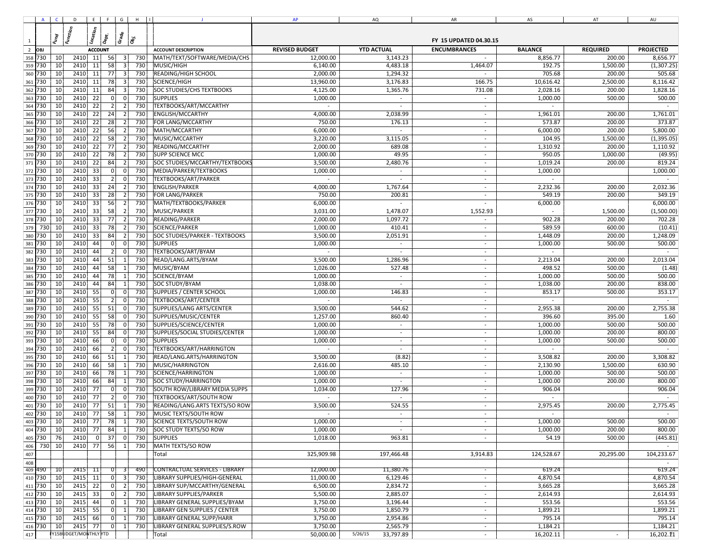|                |         |                 | A C D E F G H II     |                 |                  |                |     | $\mathbf{J}$                          | AP                       | AQ                       | AR                       | AS         | AT             | AU          |
|----------------|---------|-----------------|----------------------|-----------------|------------------|----------------|-----|---------------------------------------|--------------------------|--------------------------|--------------------------|------------|----------------|-------------|
|                |         |                 |                      |                 |                  |                |     |                                       |                          |                          |                          |            |                |             |
|                |         |                 |                      |                 |                  |                |     |                                       |                          |                          |                          |            |                |             |
| $\overline{1}$ |         |                 |                      |                 |                  |                |     |                                       |                          |                          |                          |            |                |             |
| $\frac{1}{2}$  |         |                 |                      |                 |                  |                |     |                                       |                          |                          |                          |            |                |             |
|                | 358 730 | 10 <sub>l</sub> | 2410 11              |                 | 56               | 3              | 730 | MATH/TEXT/SOFTWARE/MEDIA/CHS          | 12,000.00                | 3,143.23                 | $\sim$                   | 8,856.77   | 200.00         | 8,656.77    |
| 359 730        |         | 10              | 2410 11              |                 | 58               | 3              | 730 | MUSIC/HIGH                            | 6,140.00                 | 4,483.18                 | 1,464.07                 | 192.75     | 1,500.00       | (1,307.25)  |
| 360            | 730     | 10              | 2410 11              |                 | 77               | $\overline{3}$ | 730 | <b>READING/HIGH SCHOOL</b>            | 2,000.00                 | 1,294.32                 | $\sim$                   | 705.68     | 200.00         | 505.68      |
| 361 730        |         | 10              | 2410 11              |                 | 78               | 3              | 730 | SCIENCE/HIGH                          | 13,960.00                | 3,176.83                 | 166.75                   | 10,616.42  | 2,500.00       | 8,116.42    |
| 362 730        |         | 10              | 2410 11              |                 | 84               | 3              | 730 | <b>SOC STUDIES/CHS TEXTBOOKS</b>      | 4,125.00                 | 1,365.76                 | 731.08                   | 2,028.16   | 200.00         | 1,828.16    |
| 363 730        |         | 10              | 2410 22              |                 | 0                | 0              | 730 | <b>SUPPLIES</b>                       | 1,000.00                 | $\sim$                   | $\overline{\phantom{a}}$ | 1,000.00   | 500.00         | 500.00      |
| 364            | 730     | 10              | 2410                 | 22              | $\vert$ 2        | 2              | 730 | TEXTBOOKS/ART/MCCARTHY                | $\overline{\phantom{a}}$ | $\sim$                   | $\sim$                   |            |                | $\sim$      |
| 365 730        |         | 10              | 2410                 | 22              | 24               | 2              | 730 | <b>ENGLISH/MCCARTHY</b>               | 4,000.00                 | 2,038.99                 | $\sim$                   | 1,961.01   | 200.00         | 1,761.01    |
| 366 730        |         | 10              | 2410                 | 22              | 28               | 2              | 730 | FOR LANG/MCCARTHY                     | 750.00                   | 176.13                   | $\sim$                   | 573.87     | 200.00         | 373.87      |
| 367 730        |         | 10              | 2410                 | 22              | 56               | $\overline{2}$ | 730 | MATH/MCCARTHY                         | 6,000.00                 | $\sim$                   | $\overline{\phantom{a}}$ | 6,000.00   | 200.00         | 5,800.00    |
| 368            | 730     | 10              | 2410                 | 22              | 58               | 2              | 730 | MUSIC/MCCARTHY                        | 3,220.00                 | 3,115.05                 | $\sim$                   | 104.95     | 1,500.00       | (1, 395.05) |
| 369 730        |         | 10              | 2410                 | $\overline{22}$ | 77               | 2              | 730 |                                       | 2,000.00                 | 689.08                   | $\sim$                   | 1,310.92   | 200.00         | 1,110.92    |
|                |         |                 |                      |                 |                  |                |     | READING/MCCARTHY                      |                          |                          |                          |            |                |             |
| 370 730        |         | 10              | 2410                 | 22              | 78               | 2              | 730 | <b>SUPP SCIENCE MCC</b>               | 1,000.00                 | 49.95                    | $\sim$                   | 950.05     | 1,000.00       | (49.95)     |
| 371 730        |         | 10              | 2410                 | 22              | 84               | $\overline{2}$ | 730 | SOC STUDIES/MCCARTHY/TEXTBOOKS        | 3,500.00                 | 2,480.76                 | $\overline{\phantom{a}}$ | 1,019.24   | 200.00         | 819.24      |
| 372 730        |         | 10              | 2410                 | 33              | $\overline{0}$   | 0              | 730 | MEDIA/PARKER/TEXTBOOKS                | 1,000.00                 |                          | $\overline{\phantom{a}}$ | 1,000.00   |                | 1,000.00    |
| 373 730        |         | 10              | 2410                 | 33              | 2                | 0              | 730 | TEXTBOOKS/ART/PARKER                  |                          |                          |                          |            |                |             |
| 374 730        |         | 10              | 2410                 | 33              | 24               | 2              | 730 | <b>ENGLISH/PARKER</b>                 | 4,000.00                 | 1,767.64                 | $\overline{\phantom{a}}$ | 2,232.36   | 200.00         | 2,032.36    |
| 375 730        |         | 10              | 2410                 | 33              | 28               | 2              | 730 | FOR LANG/PARKER                       | 750.00                   | 200.81                   |                          | 549.19     | 200.00         | 349.19      |
| 376 730        |         | 10              | 2410                 | 33              | 56               | 2              | 730 | MATH/TEXTBOOKS/PARKER                 | 6,000.00                 | $\sim$                   | $\sim$                   | 6,000.00   |                | 6,000.00    |
| 377 730        |         | 10              | 2410                 | 33              | 58               | 2 <sup>1</sup> | 730 | MUSIC/PARKER                          | 3,031.00                 | 1,478.07                 | 1,552.93                 |            | 1,500.00       | (1,500.00)  |
| 378 730        |         | 10              | 2410                 | 33              | 77               | 2              | 730 | READING/PARKER                        | 2,000.00                 | 1,097.72                 | $\blacksquare$           | 902.28     | 200.00         | 702.28      |
| 379            | 730     | 10              | 2410                 | 33              | 78               | $\overline{2}$ | 730 | SCIENCE/PARKER                        | 1,000.00                 | 410.41                   | $\overline{\phantom{a}}$ | 589.59     | 600.00         | (10.41)     |
| 380            | 730     | 10              | 2410                 | 33              | 84               | $\overline{2}$ | 730 | <b>SOC STUDIES/PARKER - TEXTBOOKS</b> | 3,500.00                 | 2,051.91                 | $\sim$                   | 1,448.09   | 200.00         | 1,248.09    |
| 381            | 730     | 10              | 2410                 | 44              | 0                | $\overline{0}$ | 730 | <b>SUPPLIES</b>                       | 1,000.00                 | $\sim$                   | $\sim$                   | 1,000.00   | 500.00         | 500.00      |
|                | 382 730 | 10              | 2410                 | 44              | 2                | 0 I            | 730 | TEXTBOOKS/ART/BYAM                    | $\sim$                   | $\sim$                   | $\sim$                   | $\sim$     |                | $\sim$      |
| 383            | 730     | 10              | 2410                 | 44              | 51               | $\mathbf{1}$   | 730 | READ/LANG.ARTS/BYAM                   | 3,500.00                 | 1,286.96                 | $\sim$                   | 2,213.04   | 200.00         | 2,013.04    |
| 384 730        |         | 10              | 2410                 | 44              | 58               | $\vert$ 1      | 730 | MUSIC/BYAM                            | 1,026.00                 | 527.48                   | $\overline{\phantom{a}}$ | 498.52     | 500.00         | (1.48)      |
| 385            | 730     | 10              | 2410                 | 44              | 78               | $\mathbf{1}$   | 730 | SCIENCE/BYAM                          | 1,000.00                 | $\sim$                   | $\sim$                   | 1,000.00   | 500.00         | 500.00      |
|                | 386 730 | 10              | 2410                 | 44              | 84               | 1              | 730 | <b>SOC STUDY/BYAM</b>                 | 1,038.00                 | $\overline{\phantom{a}}$ | $\overline{\phantom{a}}$ | 1,038.00   | 200.00         | 838.00      |
| 387 730        |         | 10              | 2410                 | 55              | 0                | $\overline{0}$ | 730 | <b>SUPPLIES / CENTER SCHOOL</b>       | 1,000.00                 | 146.83                   | $\sim$                   | 853.17     | 500.00         | 353.17      |
|                | 388 730 | 10              | 2410                 | 55              | $\left  \right $ | $\overline{0}$ | 730 | TEXTBOOKS/ART/CENTER                  | $\sim$                   | $\sim$                   | $\sim$                   | $\sim$     |                | $\sim$      |
|                |         |                 |                      |                 |                  |                |     |                                       |                          |                          |                          |            |                |             |
| 389            | 730     | 10              | 2410                 | 55              | 51               | 0              | 730 | SUPPLIES/LANG ARTS/CENTER             | 3,500.00                 | 544.62                   | $\sim$                   | 2,955.38   | 200.00         | 2,755.38    |
|                | 390 730 | 10              | 2410                 | 55              | 58               | 0              | 730 | SUPPLIES/MUSIC/CENTER                 | 1,257.00                 | 860.40                   | $\overline{\phantom{a}}$ | 396.60     | 395.00         | 1.60        |
| 391 730        |         | 10              | 2410                 | 55              | 78               | $\overline{0}$ | 730 | SUPPLIES/SCIENCE/CENTER               | 1,000.00                 | $\sim$                   | $\sim$                   | 1,000.00   | 500.00         | 500.00      |
| 392 730        |         | 10              | 2410                 | - 55            | 84               | 0 l            | 730 | SUPPLIES/SOCIAL STUDIES/CENTER        | 1,000.00                 | $\sim$                   | $\sim$                   | 1,000.00   | 200.00         | 800.00      |
| 393 730        |         | 10              | 2410                 | 66              | 0                | $\overline{0}$ | 730 | <b>SUPPLIES</b>                       | 1,000.00                 | $\sim$                   | $\sim$                   | 1,000.00   | 500.00         | 500.00      |
| 394 730        |         | 10              | 2410                 | 66              | 2                | $\overline{0}$ | 730 | TEXTBOOKS/ART/HARRINGTON              |                          | $\sim$                   | $\overline{\phantom{a}}$ |            |                |             |
| 395 730        |         | 10              | 2410                 | 66              | 51               | $\mathbf{1}$   | 730 | READ/LANG.ARTS/HARRINGTON             | 3,500.00                 | (8.82)                   | $\sim$                   | 3,508.82   | 200.00         | 3,308.82    |
| 396 730        |         | 10              | 2410                 | 66              | 58               | $\mathbf{1}$   | 730 | MUSIC/HARRINGTON                      | 2,616.00                 | 485.10                   | $\overline{\phantom{a}}$ | 2,130.90   | 1,500.00       | 630.90      |
| 397 730        |         | 10              | 2410                 | 66              | 78               | $\mathbf{1}$   | 730 | SCIENCE/HARRINGTON                    | 1,000.00                 | $\overline{\phantom{a}}$ | $\overline{\phantom{a}}$ | 1,000.00   | 500.00         | 500.00      |
| 398            | 730     | 10              | 2410                 | 66              | 84               |                | 730 | <b>SOC STUDY/HARRINGTON</b>           | 1,000.00                 |                          |                          | 1,000.00   | 200.00         | 800.00      |
| 399            | 730     | 10              | 2410                 | 77              | 0                | 0              | 730 | SOUTH ROW/LIBRARY MEDIA SUPPS         | 1,034.00                 | 127.96                   | $\overline{\phantom{a}}$ | 906.04     |                | 906.04      |
| 400            | 730     | 10              | 2410                 | 77              | 2                | 0              | 730 | <b>TEXTBOOKS/ART/SOUTH ROW</b>        |                          | $\sim$                   | $\sim$                   |            |                |             |
| 401            | 730     | 10              | 2410                 | 77              | 51               | $\mathbf{1}$   | 730 | READING/LANG.ARTS TEXTS/SO ROW        | 3,500.00                 | 524.55                   | $\sim$                   | 2,975.45   | 200.00         | 2,775.45    |
| 402            | 730     | 10              | 2410                 | 77              | 58               | 11             | 730 | MUSIC TEXTS/SOUTH ROW                 |                          | $\sim$                   | $\sim$                   |            |                |             |
|                | 403 730 | 10              | 2410                 | 77              | 78               | 1              | 730 | <b>SCIENCE TEXTS/SOUTH ROW</b>        | 1,000.00                 | $\sim$                   |                          | 1,000.00   | 500.00         | 500.00      |
|                | 404 730 | 10 <sup>1</sup> | 2410 77              |                 | 84               | 11             | 730 | SOC STUDY TEXTS/SO ROW                | 1,000.00                 | $\sim$                   | $\overline{\phantom{a}}$ | 1,000.00   | 200.00         | 800.00      |
|                | 405 730 | 76              | 2410                 | -01             | 37               | 0              | 730 | <b>SUPPLIES</b>                       | 1,018.00                 | 963.81                   | $\overline{\phantom{a}}$ | 54.19      | 500.00         | (445.81)    |
| 406            | 730     | 10              | 2410 77              |                 | 56               | 1              | 730 | MATH TEXTS/SO ROW                     |                          |                          |                          |            |                |             |
| 407            |         |                 |                      |                 |                  |                |     | Total                                 | 325,909.98               | 197,466.48               | 3,914.83                 | 124,528.67 | 20,295.00      | 104,233.67  |
|                |         |                 |                      |                 |                  |                |     |                                       |                          |                          |                          |            |                |             |
| 408            |         |                 | 2415 11              |                 |                  |                | 490 |                                       | 12,000.00                | 11,380.76                |                          | 619.24     |                | 619.24      |
| 410 730        | 409 490 | 10              |                      |                 | 0                | 3              |     | <b>CONTRACTUAL SERVICES - LIBRARY</b> |                          |                          | $\sim$                   |            |                |             |
|                |         | 10              | 2415 11              |                 | 0                | $\vert$ 3      | 730 | LIBRARY SUPPLIES/HIGH-GENERAL         | 11,000.00                | 6,129.46                 | $\sim$                   | 4,870.54   |                | 4,870.54    |
|                | 411 730 | 10              | $2415 \mid 22$       |                 | 0                | $\vert$ 2      | 730 | LIBRARY SUP/MCCARTHY/GENERAL          | 6,500.00                 | 2,834.72                 | $\sim$                   | 3,665.28   |                | 3,665.28    |
| 412 730        |         | 10              | 2415 33              |                 | 0                | $\vert$ 2      | 730 | LIBRARY SUPPLIES/PARKER               | 5,500.00                 | 2,885.07                 | $\blacksquare$           | 2,614.93   |                | 2,614.93    |
|                | 413 730 | 10              | 2415 44              |                 | 0                | $\vert$ 1      | 730 | LIBRARY GENERAL SUPPLIES/BYAM         | 3,750.00                 | 3,196.44                 | $\sim$                   | 553.56     |                | 553.56      |
| 414 730        |         | 10              | 2415 55              |                 | 0                | 1              | 730 | <b>LIBRARY GEN SUPPLIES / CENTER</b>  | 3,750.00                 | 1,850.79                 | $\sim$                   | 1,899.21   |                | 1,899.21    |
|                | 415 730 | 10 <sup>1</sup> | 2415                 | 66              | 0                | 1              | 730 | LIBRARY GENERAL SUPP/HARR             | 3,750.00                 | 2,954.86                 | $\sim$                   | 795.14     |                | 795.14      |
|                | 416 730 | 10              | 2415                 | 77              | 0                | 1              | 730 | LIBRARY GENERAL SUPPLIES/S.ROW        | 3,750.00                 | 2,565.79                 | $\blacksquare$           | 1,184.21   |                | 1,184.21    |
| 417            |         |                 | Y15BUDGET/MONTHLYYTD |                 |                  |                |     | Total                                 | 50,000.00                | 5/26/15<br>33,797.89     | $\sim$                   | 16,202.11  | $\blacksquare$ | 16,202.11   |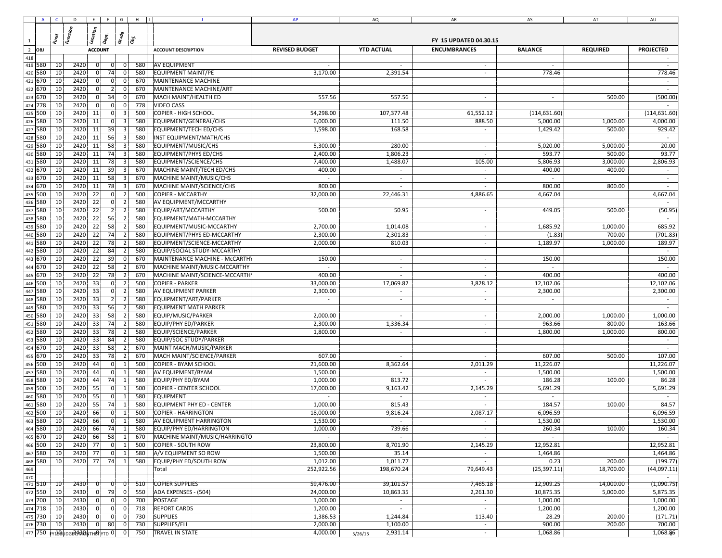|                | $A \cup C$ |                 |                                |             |                            | $D \mid E \mid F \mid G \mid H \mid I$ |                                  | AP             | AQ                       | AR                       | AS            | AT        | AU                          |
|----------------|------------|-----------------|--------------------------------|-------------|----------------------------|----------------------------------------|----------------------------------|----------------|--------------------------|--------------------------|---------------|-----------|-----------------------------|
|                |            |                 |                                |             |                            |                                        |                                  |                |                          |                          |               |           |                             |
|                |            |                 |                                |             |                            |                                        |                                  |                |                          |                          |               |           |                             |
| $\mathbf{1}$   |            |                 |                                |             |                            |                                        |                                  |                |                          |                          |               |           |                             |
| $\overline{2}$ |            |                 |                                |             |                            |                                        |                                  |                |                          |                          |               |           |                             |
| 418            |            |                 |                                |             |                            |                                        |                                  |                |                          |                          |               |           |                             |
|                | 419 580    | $\overline{10}$ | 2420                           | 0           | $\overline{0}$             | 580<br>$\overline{0}$                  | <b>AV EQUIPMENT</b>              |                |                          | $\overline{\phantom{a}}$ |               |           | $\sim$                      |
|                | 420 580    | 10              | 2420                           | 0           | 74<br> 0                   | 580                                    | <b>EQUIPMENT MAINT/PE</b>        | 3,170.00       | 2,391.54                 | $\sim$                   | 778.46        |           | 778.46                      |
|                | 421 670    | 10              | 2420                           |             | 0 <br>$\overline{0}$       | 670                                    | MAINTENANCE MACHINE              |                |                          |                          |               |           |                             |
| 422            | 670        | 10              | 2420                           | $\Omega$    | 2 <br>$\overline{0}$       | 670                                    | MAINTENANCE MACHINE/ART          |                |                          |                          |               |           | $\sim$                      |
|                | 423 670    | 10              | 2420                           |             | 34<br>$\Omega$             | 670                                    | MACH MAINT/HEALTH ED             | 557.56         | 557.56                   | $\overline{\phantom{a}}$ |               | 500.00    | (500.00)                    |
| 424            | 778        | 10              | 2420                           | $\Omega$    | $\overline{0}$<br>$\Omega$ | 778                                    | <b>VIDEO CASS</b>                |                |                          |                          |               |           |                             |
| 425            | 500        | 10              | 2420                           | 11          | 0                          | 500                                    | COPIER - HIGH SCHOOL             | 54,298.00      | 107,377.48               | 61,552.12                | (114, 631.60) |           | (114, 631.60)               |
| 426            | 580        | 10              | 2420                           | 11          | 0 <br>$\overline{3}$       | 580                                    | EQUIPMENT/GENERAL/CHS            | 6,000.00       | 111.50                   | 888.50                   | 5,000.00      | 1,000.00  | 4,000.00                    |
| 427            | 580        | 10              | 2420                           | 11          | 39<br>3                    | 580                                    | EQUIPMENT/TECH ED/CHS            | 1,598.00       | 168.58                   |                          | 1,429.42      | 500.00    | 929.42                      |
| 428            | 580        | 10              | 2420                           | 11          | 56<br>3                    | 580                                    | INST EQUIPMENT/MATH/CHS          |                |                          |                          |               |           | $\sim$                      |
| 429            | 580        | 10              | 2420                           | 11          | 58                         | 580                                    | EQUIPMENT/MUSIC/CHS              | 5,300.00       | 280.00                   | $\sim$                   | 5,020.00      | 5,000.00  | 20.00                       |
| 430            | 580        | 10              | 2420                           | 11          | 74<br>3                    | 580                                    | <b>EQUIPMENT/PHYS ED/CHS</b>     | 2,400.00       | 1,806.23                 | $\sim$                   | 593.77        | 500.00    | 93.77                       |
| 431            | 580        | 10              | 2420                           | 11          | 78                         | 580                                    | EQUIPMENT/SCIENCE/CHS            | 7,400.00       | 1,488.07                 | 105.00                   | 5,806.93      | 3,000.00  | 2,806.93                    |
| 432            | 670        | 10              | 2420                           | 11          | 39<br>3                    | 670                                    | MACHINE MAINT/TECH ED/CHS        | 400.00         |                          | $\overline{\phantom{a}}$ | 400.00        | 400.00    |                             |
| 433            | 670        | 10              | 2420                           | 11          | 58<br>3                    | 670                                    | MACHINE MAINT/MUSIC/CHS          | $\sim$         | $\sim$                   | $\sim$                   | $\sim$        |           | $\sim$                      |
|                | 434 670    | 10              | 2420                           | 11          | 78<br>$\lceil$             | 670                                    | MACHINE MAINT/SCIENCE/CHS        | 800.00         | $\overline{\phantom{a}}$ | $\overline{\phantom{a}}$ | 800.00        | 800.00    | $\sim$                      |
| 435            | 500        | 10              | 2420                           | 22          | 0 l<br>$\overline{2}$      | 500                                    | <b>COPIER - MCCARTHY</b>         | 32,000.00      | 22,446.31                | 4,886.65                 | 4,667.04      |           | 4,667.04                    |
|                | 436 580    | 10              | 2420                           | 22          | 0 <br>$\overline{2}$       | 580                                    | AV EQUIPMENT/MCCARTHY            |                |                          |                          |               |           | $\sim$                      |
| 437            | 580        | 10              | 2420                           | 22          | 2 <br>$\overline{2}$       | 580                                    | EQUIP/ART/MCCARTHY               | 500.00         | 50.95                    | $\sim$                   | 449.05        | 500.00    | (50.95)                     |
|                | 438 580    | 10              | 2420                           | 22          | 56<br>$\overline{2}$       | 580                                    | EQUIPMENT/MATH-MCCARTHY          |                |                          |                          |               |           | $\sim$                      |
| 439            | 580        | 10              | 2420                           | 22          | 58<br>$\overline{2}$       | 580                                    | EQUIPMENT/MUSIC-MCCARTHY         | 2,700.00       | 1,014.08                 | $\sim$                   | 1,685.92      | 1,000.00  | 685.92                      |
|                | 440 580    | 10              | 2420                           | 22          | 74<br>$\overline{2}$       | 580                                    | EQUIPMENT/PHYS ED-MCCARTHY       | 2,300.00       | 2,301.83                 | $\overline{\phantom{a}}$ | (1.83)        | 700.00    | (701.83)                    |
|                |            |                 |                                |             |                            |                                        |                                  |                |                          |                          |               |           |                             |
| 441            | 580        | 10              | 2420                           | 22          | 78<br>$\overline{2}$       | 580                                    | EQUIPMENT/SCIENCE-MCCARTHY       | 2,000.00       | 810.03                   | $\sim$                   | 1,189.97      | 1,000.00  | 189.97                      |
|                | 442 580    | 10              | 2420                           | 22          | 84<br>$\overline{2}$       | 580                                    | EQUIP/SOCIAL STUDY-MCCARTHY      |                |                          |                          |               |           | $\sim$                      |
|                | 443 670    | 10              | 2420                           | 22          | 39<br>$\overline{0}$       | 670                                    | MAINTENANCE MACHINE - McCARTHY   | 150.00         | $\sim$                   | $\sim$                   | 150.00        |           | 150.00                      |
|                | 444 670    | 10              | 2420                           | 22          | 58<br>$\overline{2}$       | 670                                    | MACHINE MAINT/MUSIC-MCCARTHY     | $\sim$         | $\sim$                   | $\sim$                   |               |           | $\sim$                      |
| 445            | 670        | 10              | 2420                           | 22          | 78<br>$\overline{2}$       | 670                                    | MACHINE MAINT/SCIENCE-MCCARTHY   | 400.00         | $\sim$                   | $\sim$                   | 400.00        |           | 400.00                      |
|                | 446 500    | 10              | 2420                           | 33          | $\overline{2}$<br> 0       | 500                                    | <b>COPIER - PARKER</b>           | 33,000.00      | 17,069.82                | 3,828.12                 | 12,102.06     |           | 12,102.06                   |
| 447            | 580        | 10              | 2420                           | 33          | 0 <br>$\overline{2}$       | 580                                    | AV EQUIPMENT PARKER              | 2,300.00       | $\overline{\phantom{a}}$ | $\overline{\phantom{a}}$ | 2,300.00      |           | 2,300.00                    |
| 448            | 580        | 10              | 2420                           | 33          | 2 <br>$\overline{2}$       | 580                                    | EQUIPMENT/ART/PARKER             |                | $\overline{\phantom{a}}$ | $\overline{\phantom{a}}$ | ÷             |           |                             |
| 449            | 580        | 10              | 2420                           | 33          | 56<br>$\overline{2}$       | 580                                    | <b>EQUIPMENT MATH PARKER</b>     |                |                          |                          |               |           |                             |
| 450            | 580        | 10              | 2420                           | 33          | 58                         | 580                                    | EQUIP/MUSIC/PARKER               | 2,000.00       |                          |                          | 2,000.00      | 1,000.00  | 1,000.00                    |
| 451            | 580        | 10              | 2420                           | 33          | 74<br>$\overline{2}$       | 580                                    | <b>EQUIP/PHY ED/PARKER</b>       | 2,300.00       | 1,336.34                 | $\overline{\phantom{a}}$ | 963.66        | 800.00    | 163.66                      |
| 452            | 580        | 10              | 2420                           | 33          | 78                         | 580                                    | EQUIP/SCIENCE/PARKER             | 1,800.00       | $\overline{\phantom{a}}$ |                          | 1,800.00      | 1,000.00  | 800.00                      |
| 453            | 580        | 10              | 2420                           | 33          | 84<br>$\overline{2}$       | 580                                    | EQUIP/SOC STUDY/PARKER           |                |                          |                          |               |           | $\mathcal{L}_{\mathcal{A}}$ |
| 454            | 670        | 10              | 2420                           | 33          | 58                         | 670                                    | MAINT MACH/MUSIC/PARKER          |                |                          |                          |               |           | $\overline{\phantom{a}}$    |
| 455            | 670        | 10              | 2420                           | 33          | 78<br>$\overline{2}$       | 670                                    | MACH MAINT/SCIENCE/PARKER        | 607.00         | $\overline{\phantom{a}}$ |                          | 607.00        | 500.00    | 107.00                      |
| 456            | 500        | 10              | 2420                           | 44          | 0 l                        | 500                                    | COPIER - BYAM SCHOOL             | 21,600.00      | 8,362.64                 | 2,011.29                 | 11,226.07     |           | 11,226.07                   |
| 457            | 580        | 10              | 2420                           | 44          | 0 l<br>$\overline{1}$      | 580                                    | AV EQUIPMENT/BYAM                | 1,500.00       |                          |                          | 1,500.00      |           | 1,500.00                    |
| 458            | 580        | 10              | 2420                           | 44          | 74                         | 580                                    | EQUIP/PHY ED/BYAM                | 1,000.00       | 813.72                   | $\sim$                   | 186.28        | 100.00    | 86.28                       |
| 459            | 500        | 10              | 2420                           | 55          | 0 <br>-1                   | 500                                    | <b>COPIER - CENTER SCHOOL</b>    | 17,000.00      | 9,163.42                 | 2,145.29                 | 5,691.29      |           | 5,691.29                    |
| 460            | 580        | 10              | 2420                           | 55          | 0 l                        | 580                                    | <b>EQUIPMENT</b>                 | $\overline{a}$ | $\sim$                   | $\sim$                   | $\sim$        |           | $\sim$                      |
| 461            | 580        | 10              | 2420                           | 55          | 74<br>- 1                  | 580                                    | <b>EQUIPMENT PHY ED - CENTER</b> | 1,000.00       | 815.43                   |                          | 184.57        | 100.00    | 84.57                       |
| 462            | 500        | 10              | 2420                           | 66          | 0                          | 500                                    | <b>COPIER - HARRINGTON</b>       | 18,000.00      | 9,816.24                 | 2,087.17                 | 6,096.59      |           | 6,096.59                    |
|                | 463 580    | 10              | 2420                           | 66          | 0 <br>1                    | 580                                    | AV EQUIPMENT HARRINGTON          | 1,530.00       | $\sim$                   | $\sim$                   | 1,530.00      |           | 1,530.00                    |
|                | 464 580    | 10              | 2420                           | 66          | 74<br>$\vert$ 1            | 580                                    | EQUIP/PHY ED/HARRINGTON          | 1,000.00       | 739.66                   | $\sim$                   | 260.34        | 100.00    | 160.34                      |
|                | 465 670    | 10              | 2420                           | 66          | 58<br>$\vert$ 1            | 670                                    | MACHINE MAINT/MUSIC/HARRINGTO    | $\sim$         | $\sim$                   |                          |               |           | $\sim$                      |
|                | 466 500    | 10 <sup>1</sup> | 2420 77                        |             | 0 <br>$\vert$ 1            | 500                                    | <b>COPIER - SOUTH ROW</b>        | 23,800.00      | 8,701.90                 | 2,145.29                 | 12,952.81     |           | 12,952.81                   |
|                | 467 580    | 10              | 2420 77                        |             | 0 <br>$\vert$ 1            | 580                                    | A/V EQUIPMENT SO ROW             | 1,500.00       | 35.14                    | $\sim$                   | 1,464.86      |           | 1,464.86                    |
|                | 468 580    | 10              | 2420 77                        |             | 74<br> 1                   | 580                                    | EQUIP/PHY ED/SOUTH ROW           | 1,012.00       | 1,011.77                 | $\sim$                   | 0.23          | 200.00    | (199.77)                    |
| 469            |            |                 |                                |             |                            |                                        | Total                            | 252,922.56     | 198,670.24               | 79,649.43                | (25, 397.11)  | 18,700.00 | (44,097.11)                 |
| 470            |            |                 |                                |             |                            |                                        |                                  |                |                          |                          |               |           | $\sim$                      |
|                | 471 510    | 10              | 2430                           |             | $\overline{0}$             | 510                                    | <b>COPIER SUPPLIES</b>           | 59,476.00      | 39,101.57                | 7,465.18                 | 12,909.25     | 14,000.00 | (1,090.75)                  |
|                | 472 550    | 10              | 2430                           | 0           | 79<br>- 01                 | 550                                    | ADA EXPENSES - (504)             | 24,000.00      | 10,863.35                | 2,261.30                 | 10,875.35     | 5,000.00  | 5,875.35                    |
|                | 473 700    | 10              | 2430                           | $\mathbf 0$ | $\overline{0}$             | 700<br>0 I                             | POSTAGE                          | 1,000.00       | $\sim$                   | $\sim$                   | 1,000.00      |           | 1,000.00                    |
|                | 474 718    | 10              | 2430                           | - 0 I       | 0                          | 718<br> 0                              | <b>REPORT CARDS</b>              | 1,200.00       | $\sim$                   | $\sim$                   | 1,200.00      |           | 1,200.00                    |
|                | 475 730    | 10              | 2430                           |             | 0                          | 730<br> 0                              | <b>SUPPLIES</b>                  | 1,386.53       | 1,244.84                 | 113.40                   | 28.29         | 200.00    | (171.71)                    |
|                | 476 730    | 10              | 2430                           | 0           | 80<br> 0                   | 730                                    | SUPPLIES/ELL                     | 2,000.00       | 1,100.00                 | $\sim$                   | 900.00        | 200.00    | 700.00                      |
|                |            |                 | 477 750 FY168UDGE4438NTHONTD 0 |             |                            | 750<br> 0                              | <b>TRAVEL IN STATE</b>           | 4,000.00       | 2,931.14<br>5/26/15      | $\sim$                   | 1,068.86      |           | 1,068.86                    |
|                |            |                 |                                |             |                            |                                        |                                  |                |                          |                          |               |           |                             |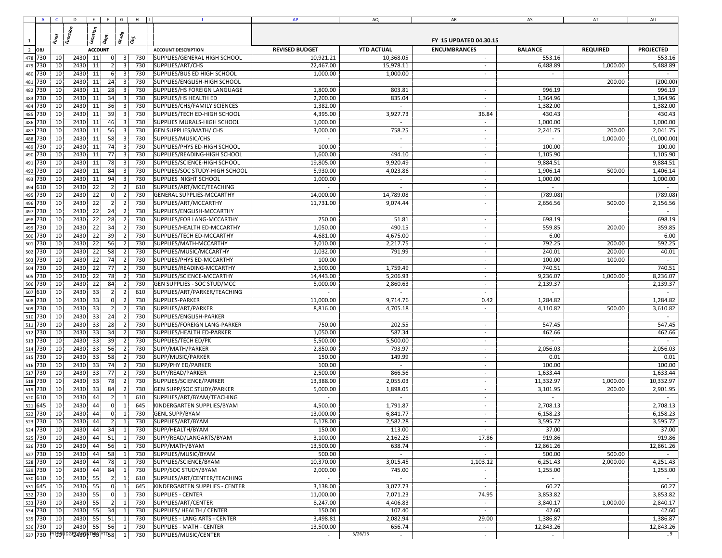|                |         |    | $A \begin{pmatrix} 0 & 1 \\ 0 & 1 \end{pmatrix}$ $B \begin{pmatrix} 0 & 1 \\ 0 & 1 \end{pmatrix}$ |    |                  |                         |     | $\mathbf{J}$                       | AP        | AQ                                     | AR                          | AS        | AT       | AU                          |
|----------------|---------|----|---------------------------------------------------------------------------------------------------|----|------------------|-------------------------|-----|------------------------------------|-----------|----------------------------------------|-----------------------------|-----------|----------|-----------------------------|
|                |         |    |                                                                                                   |    |                  |                         |     |                                    |           |                                        |                             |           |          |                             |
| 1              |         |    |                                                                                                   |    |                  |                         |     |                                    |           |                                        |                             |           |          |                             |
| $\overline{2}$ |         |    |                                                                                                   |    |                  |                         |     |                                    |           |                                        |                             |           |          |                             |
|                | 478 730 | 10 | 2430 11                                                                                           |    | 0                | $\vert$ 3               | 730 | SUPPLIES/GENERAL HIGH SCHOOL       | 10,921.21 | 10,368.05                              | $\sim$                      | 553.16    |          | 553.16                      |
|                | 479 730 | 10 | $2430$ 11                                                                                         |    | $\vert$ 2        | $\vert$ 3               | 730 | SUPPLIES/ART/CHS                   | 22,467.00 | 15,978.11                              | $\overline{\phantom{a}}$    | 6,488.89  | 1,000.00 | 5,488.89                    |
|                | 480 730 | 10 | 2430                                                                                              | 11 | $6 \mid$         | $\vert$ 3               | 730 | SUPPLIES/BUS ED HIGH SCHOOL        | 1,000.00  | 1,000.00                               | $\sim$                      |           |          |                             |
|                | 481 730 | 10 | 2430                                                                                              | 11 | 24               | $\vert$ 3               | 730 | SUPPLIES/ENGLISH-HIGH SCHOOL       |           |                                        |                             |           | 200.00   | (200.00)                    |
|                | 482 730 | 10 | 2430                                                                                              | 11 | 28               | 3                       | 730 | SUPPLIES/HS FOREIGN LANGUAGE       | 1,800.00  | 803.81                                 | $\overline{\phantom{a}}$    | 996.19    |          | 996.19                      |
|                | 483 730 | 10 | 2430                                                                                              | 11 | 34               | $\overline{3}$          | 730 | SUPPLIES/HS HEALTH ED              | 2,200.00  | 835.04                                 | $\overline{\phantom{a}}$    | 1,364.96  |          | 1,364.96                    |
|                | 484 730 | 10 | 2430                                                                                              | 11 | 36               | 3                       | 730 | SUPPLIES/CHS/FAMILY SCIENCES       | 1,382.00  |                                        | $\overline{\phantom{a}}$    | 1,382.00  |          | 1,382.00                    |
| 485            | 730     | 10 | 2430                                                                                              | 11 | 39               | 3                       | 730 | SUPPLIES/TECH ED-HIGH SCHOOL       | 4,395.00  | 3,927.73                               | 36.84                       | 430.43    |          | 430.43                      |
|                | 486 730 | 10 | 2430                                                                                              | 11 | 46               | 3                       | 730 | SUPPLIES MURALS-HIGH SCHOOL        | 1,000.00  | $\sim$                                 | $\mathcal{L}_{\mathcal{A}}$ | 1,000.00  |          | 1,000.00                    |
| 487            | 730     | 10 | 2430                                                                                              | 11 | 56               | $\vert$ 3               | 730 | <b>GEN SUPPLIES/MATH/ CHS</b>      | 3,000.00  | 758.25                                 | $\overline{\phantom{a}}$    | 2,241.75  | 200.00   | 2,041.75                    |
|                | 488 730 | 10 | 2430                                                                                              | 11 | 58               | $\vert$ 3               | 730 | SUPPLIES/MUSIC/CHS                 | $\sim$    | $\sim$                                 | $\mathbf{r}$                |           | 1,000.00 | (1,000.00)                  |
| 489            | 730     | 10 | 2430                                                                                              | 11 | 74               | 3                       | 730 | SUPPLIES/PHYS ED-HIGH SCHOOL       | 100.00    | $\sim$                                 | $\mathcal{L}_{\mathcal{A}}$ | 100.00    |          | 100.00                      |
|                | 490 730 | 10 | 2430                                                                                              | 11 | 77               | $\vert$ 3               | 730 | SUPPLIES/READING-HIGH SCHOOL       | 1,600.00  | 494.10                                 | $\overline{\phantom{a}}$    | 1,105.90  |          | 1,105.90                    |
| 491            | 730     | 10 | 2430                                                                                              | 11 | 78               | 3                       | 730 | SUPPLIES/SCIENCE-HIGH SCHOOL       | 19,805.00 | 9,920.49                               | $\overline{\phantom{a}}$    | 9,884.51  |          | 9,884.51                    |
|                | 492 730 | 10 | 2430                                                                                              | 11 | 84               | $\vert$ 3               | 730 | SUPPLIES/SOC STUDY-HIGH SCHOOL     | 5,930.00  | 4,023.86                               | $\overline{\phantom{a}}$    | 1,906.14  | 500.00   | 1,406.14                    |
| 493            | 730     | 10 | 2430                                                                                              | 11 | 94               | $\vert$ 3               | 730 | SUPPLIES NIGHT SCHOOL              | 1,000.00  | $\sim$                                 | $\sim$                      | 1,000.00  |          | 1,000.00                    |
|                | 494 610 | 10 | 2430                                                                                              | 22 | $\left  \right $ | 2                       | 610 | SUPPLIES/ART/MCC/TEACHING          | $\sim$    | $\sim$                                 | $\overline{\phantom{a}}$    | $\sim$    |          | $\sim$                      |
|                | 495 730 | 10 | 2430                                                                                              | 22 | 0                | 2                       | 730 | <b>GENERAL SUPPLIES-MCCARTHY</b>   | 14,000.00 | 14,789.08                              | $\overline{\phantom{a}}$    | (789.08)  |          | (789.08)                    |
|                | 496 730 | 10 | 2430                                                                                              | 22 | $\overline{2}$   | $\overline{2}$          | 730 | SUPPLIES/ART/MCCARTHY              | 11,731.00 | 9,074.44                               | $\overline{\phantom{a}}$    | 2,656.56  | 500.00   | 2,156.56                    |
| 497            | 730     | 10 | 2430                                                                                              | 22 | 24               | $\overline{2}$          | 730 | SUPPLIES/ENGLISH-MCCARTHY          |           |                                        |                             |           |          | $\sim$                      |
|                | 498 730 | 10 | 2430                                                                                              | 22 | 28               | 2                       | 730 | SUPPLIES/FOR LANG-MCCARTHY         | 750.00    | 51.81                                  | $\sim$                      | 698.19    |          | 698.19                      |
|                | 499 730 | 10 | 2430                                                                                              | 22 | 34               | $\overline{2}$          | 730 | SUPPLIES/HEALTH ED-MCCARTHY        | 1,050.00  | 490.15                                 | $\sim$                      | 559.85    | 200.00   | 359.85                      |
|                | 500 730 | 10 | 2430                                                                                              | 22 | 39               | 2                       | 730 | SUPPLIES/TECH ED-MCCARTHY          | 4,681.00  | 4,675.00                               | $\sim$                      | 6.00      |          | 6.00                        |
|                | 501 730 | 10 | 2430                                                                                              | 22 | 56               | $\overline{2}$          | 730 | SUPPLIES/MATH-MCCARTHY             | 3,010.00  | 2,217.75                               | $\sim$                      | 792.25    | 200.00   | 592.25                      |
|                | 502 730 | 10 | 2430                                                                                              | 22 | 58               | 2                       | 730 | SUPPLIES/MUSIC/MCCARTHY            | 1,032.00  | 791.99                                 | $\sim$                      | 240.01    | 200.00   | 40.01                       |
|                | 503 730 | 10 | 2430                                                                                              | 22 | 74               | $\overline{2}$          | 730 | SUPPLIES/PHYS ED-MCCARTHY          | 100.00    | $\overline{\phantom{a}}$               | $\sim$                      | 100.00    | 100.00   | $\sim$                      |
|                | 504 730 | 10 | 2430                                                                                              | 22 | 77               | $\vert$ 2               | 730 | SUPPLIES/READING-MCCARTHY          | 2,500.00  | 1,759.49                               | $\overline{\phantom{a}}$    | 740.51    |          | 740.51                      |
|                | 505 730 | 10 | 2430                                                                                              | 22 | 78               | 2                       | 730 | SUPPLIES/SCIENCE-MCCARTHY          | 14,443.00 | 5,206.93                               | $\overline{\phantom{a}}$    | 9,236.07  | 1,000.00 | 8,236.07                    |
|                | 506 730 | 10 | 2430                                                                                              | 22 | 84               | $\overline{2}$          | 730 | <b>GEN SUPPLIES - SOC STUD/MCC</b> | 5,000.00  | 2,860.63                               |                             | 2,139.37  |          | 2,139.37                    |
|                | 507 610 | 10 | 2430                                                                                              | 33 | $\vert$ 2        | $\overline{2}$          | 610 | SUPPLIES/ART/PARKER/TEACHING       |           |                                        | $\mathbf{r}$                |           |          |                             |
|                | 508 730 | 10 | 2430                                                                                              | 33 | 0                | $\overline{a}$          | 730 | SUPPLIES-PARKER                    | 11,000.00 | 9,714.76                               | 0.42                        | 1,284.82  |          | 1,284.82                    |
|                | 509 730 | 10 | 2430                                                                                              | 33 | 2                | $\overline{2}$          | 730 | SUPPLIES/ART/PARKER                | 8,816.00  | 4,705.18                               | $\overline{\phantom{a}}$    | 4,110.82  | 500.00   | 3,610.82                    |
|                | 510 730 | 10 | 2430                                                                                              | 33 | 24               | $\overline{\mathbf{c}}$ | 730 | SUPPLIES/ENGLISH-PARKER            |           |                                        |                             |           |          |                             |
|                | 511 730 | 10 | 2430                                                                                              | 33 | 28               | $\overline{2}$          | 730 | SUPPLIES/FOREIGN LANG-PARKER       | 750.00    | 202.55                                 | $\overline{\phantom{a}}$    | 547.45    |          | 547.45                      |
|                | 512 730 | 10 | 2430                                                                                              | 33 | 34               | $\overline{2}$          | 730 | SUPPLIES/HEALTH ED-PARKER          | 1,050.00  | 587.34                                 | $\mathbf{r}$                | 462.66    |          | 462.66                      |
|                | 513 730 | 10 | 2430                                                                                              | 33 | 39               | 2                       | 730 | SUPPLIES/TECH ED/PK                | 5,500.00  | 5,500.00                               | $\mathbf{r}$                |           |          |                             |
|                | 514 730 | 10 | 2430                                                                                              | 33 | 56               | $\overline{2}$          | 730 | SUPP/MATH/PARKER                   | 2,850.00  | 793.97                                 | $\mathcal{L}_{\mathcal{A}}$ | 2,056.03  |          | 2,056.03                    |
|                | 515 730 | 10 | 2430                                                                                              | 33 | 58               | $\overline{2}$          | 730 | SUPP/MUSIC/PARKER                  | 150.00    | 149.99                                 | $\sim$                      | 0.01      |          | 0.01                        |
|                | 516 730 | 10 | 2430                                                                                              | 33 | 74               | $\overline{2}$          | 730 | SUPP/PHY ED/PARKER                 | 100.00    | $\sim$                                 | $\sim$                      | 100.00    |          | 100.00                      |
|                | 517 730 | 10 | 2430                                                                                              | 33 | 77               | $\overline{2}$          | 730 | SUPP/READ/PARKER                   | 2,500.00  | 866.56                                 | $\overline{\phantom{a}}$    | 1,633.44  |          | 1,633.44                    |
|                | 518 730 | 10 | 2430                                                                                              | 33 | 78               | $\overline{2}$          | 730 | SUPPLIES/SCIENCE/PARKER            | 13,388.00 | 2,055.03                               | $\sim$                      | 11,332.97 | 1,000.00 | 10,332.97                   |
|                | 519 730 | 10 | 2430                                                                                              | 33 | 84               | $\overline{2}$          | 730 | <b>GEN SUPP/SOC STUDY/PARKER</b>   | 5,000.00  | 1,898.05                               | $\overline{\phantom{a}}$    | 3,101.95  | 200.00   | 2,901.95                    |
|                | 520 610 | 10 | 2430                                                                                              | 44 | $\left  \right $ | $\mathbf{1}$            | 610 | SUPPLIES/ART/BYAM/TEACHING         | $\sim$    | $\overline{\phantom{a}}$               | $\overline{\phantom{a}}$    | $\sim$    |          | $\sim$                      |
|                | 521 645 | 10 | 2430                                                                                              | 44 | 0                | 1                       | 645 | KINDERGARTEN SUPPLIES/BYAM         | 4,500.00  | 1,791.87                               | $\overline{\phantom{a}}$    | 2,708.13  |          | 2,708.13                    |
|                | 522 730 | 10 | 2430                                                                                              | 44 | 0                | 1                       | 730 | <b>GENL SUPP/BYAM</b>              | 13,000.00 | 6,841.77                               | $\overline{\phantom{a}}$    | 6,158.23  |          | 6,158.23                    |
|                | 523 730 | 10 | 2430                                                                                              | 44 | 2                | 1                       | 730 | SUPPLIES/ART/BYAM                  | 6,178.00  | 2,582.28                               | $\overline{\phantom{a}}$    | 3,595.72  |          | 3,595.72                    |
|                | 524 730 | 10 | 2430                                                                                              | 44 | 34               | 1                       | 730 | SUPP/HEALTH/BYAM                   | 150.00    | 113.00                                 | $\sim$                      | 37.00     |          | 37.00                       |
|                | 525 730 | 10 | 2430                                                                                              | 44 | 51               | 1                       | 730 | SUPP/READ/LANGARTS/BYAM            | 3,100.00  | 2,162.28                               | 17.86                       | 919.86    |          | 919.86                      |
|                | 526 730 | 10 | 2430                                                                                              | 44 | 56               | $\vert$ 1               | 730 | SUPP/MATH/BYAM                     | 13,500.00 | 638.74                                 | $\sim$                      | 12,861.26 |          | 12,861.26                   |
|                | 527 730 | 10 | $2430$ 44                                                                                         |    | 58               | 1                       | 730 | SUPPLIES/MUSIC/BYAM                | 500.00    | $\sim$                                 | $\sim$                      | 500.00    | 500.00   | $\sim$                      |
|                | 528 730 | 10 | 2430                                                                                              | 44 | 78               | 1                       | 730 | SUPPLIES/SCIENCE/BYAM              | 10,370.00 | 3,015.45                               | 1,103.12                    | 6,251.43  | 2,000.00 | 4,251.43                    |
|                | 529 730 | 10 | 2430                                                                                              | 44 | 84               | $\mathbf{1}$            | 730 | SUPP/SOC STUDY/BYAM                | 2,000.00  | 745.00                                 | $\overline{\phantom{a}}$    | 1,255.00  |          | 1,255.00                    |
|                | 530 610 | 10 | 2430                                                                                              | 55 | $\vert$ 2        | $\mathbf{1}$            | 610 | SUPPLIES/ART/CENTER/TEACHING       |           | $\overline{\phantom{a}}$               | $\overline{\phantom{a}}$    |           |          | $\sim$                      |
|                | 531 645 | 10 | 2430                                                                                              | 55 | 0                | $\mathbf{1}$            | 645 | KINDERGARTEN SUPPLIES - CENTER     | 3,138.00  | 3,077.73                               | $\mathcal{L}_{\mathcal{A}}$ | 60.27     |          | 60.27                       |
|                | 532 730 | 10 | 2430                                                                                              | 55 | 0                | $\mathbf{1}$            | 730 | <b>SUPPLIES - CENTER</b>           | 11,000.00 | 7,071.23                               | 74.95                       | 3,853.82  |          | 3,853.82                    |
|                | 533 730 | 10 | 2430                                                                                              | 55 | $\overline{2}$   |                         | 730 | SUPPLIES/ART/CENTER                | 8,247.00  | 4,406.83                               | $\overline{\phantom{a}}$    | 3,840.17  | 1,000.00 | 2,840.17                    |
|                | 534 730 | 10 | 2430                                                                                              | 55 | 34               | $\mathbf{1}$            | 730 | <b>SUPPLIES/ HEALTH / CENTER</b>   | 150.00    | 107.40                                 | $\overline{\phantom{a}}$    | 42.60     |          | 42.60                       |
|                | 535 730 | 10 | 2430                                                                                              | 55 | 51               |                         | 730 | SUPPLIES - LANG ARTS - CENTER      | 3,498.81  | 2,082.94                               | 29.00                       | 1,386.87  |          | 1,386.87                    |
|                | 536 730 | 10 | 2430                                                                                              | 55 | 56               | $\mathbf{1}$            | 730 | <b>SUPPLIES - MATH - CENTER</b>    | 13,500.00 | 656.74                                 | $\overline{\phantom{a}}$    | 12,843.26 |          | 12,843.26<br>$\overline{9}$ |
|                |         |    | 537 730 FY156 UDGEZ490NTHSY YTD58                                                                 |    |                  | $\mathbf{1}$            | 730 | SUPPLIES/MUSIC/CENTER              | $\sim$    | 5/26/15<br>$\mathcal{L}_{\mathcal{A}}$ | $\overline{\phantom{a}}$    |           |          |                             |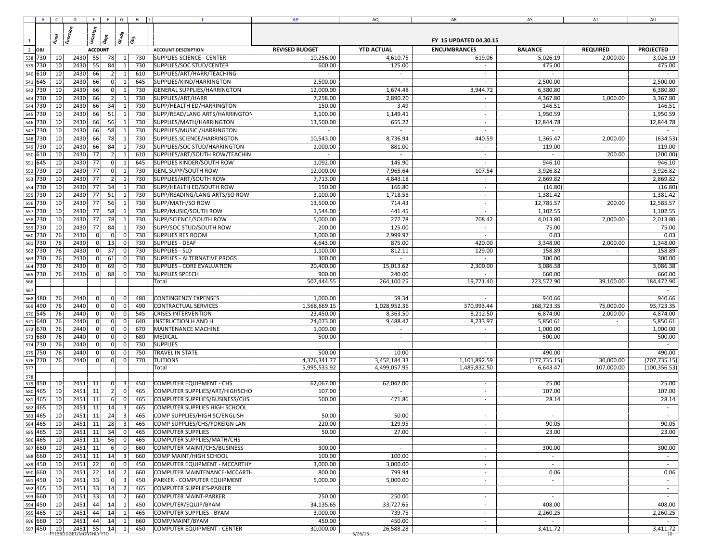|                | $A \cup C$ |          | D E F G H II          |    |                |                                  |            | J.                                  | AP             | AQ                       | AR                       | AS                       | AT         | AU            |
|----------------|------------|----------|-----------------------|----|----------------|----------------------------------|------------|-------------------------------------|----------------|--------------------------|--------------------------|--------------------------|------------|---------------|
|                |            |          |                       |    |                |                                  |            |                                     |                |                          |                          |                          |            |               |
| $\mathbf{1}$   |            |          |                       |    |                |                                  |            |                                     |                |                          |                          |                          |            |               |
| $\overline{2}$ |            |          |                       |    |                |                                  |            |                                     |                |                          |                          |                          |            |               |
|                | 538 730    | 10       | 2430 55               |    | 78             | $\vert$ 1                        | 730        | SUPPLIES-SCIENCE - CENTER           | 10,256.00      | 4,610.75                 | 619.06                   | 5,026.19                 | 2,000.00   | 3,026.19      |
| 539            | 730        | 10       | 2430                  | 55 | 84             | 1                                | 730        | SUPPLIES/SOC STUD/CENTER            | 600.00         | 125.00                   |                          | 475.00                   |            | 475.00        |
| 540            | 610        | 10       | 2430                  | 66 | 2              | $\vert$ 1                        | 610        | SUPPLIES/ART/HARR/TEACHING          |                | $\sim$                   | $\sim$                   |                          |            |               |
| 541            | 645        | 10       | 2430                  | 66 | 0              | $\mathbf{1}$                     | 645        | SUPPLIES/KIND/HARRINGTON            | 2,500.00       |                          | $\mathbf{r}$             | 2,500.00                 |            | 2,500.00      |
|                | 542 730    | 10       | 2430                  | 66 | 0              | $\vert$ 1                        | 730        | GENERAL SUPPLIES/HARRINGTON         | 12,000.00      | 1,674.48                 | 3,944.72                 | 6,380.80                 |            | 6,380.80      |
| 543            | 730        | 10       | 2430                  | 66 | $\overline{2}$ |                                  | 730        | SUPPLIES/ART/HARR                   | 7,258.00       | 2,890.20                 | $\overline{\phantom{a}}$ | 4,367.80                 | 1,000.00   | 3,367.80      |
| 544 730        |            | 10       | 2430                  | 66 | 34             | $\overline{1}$                   | 730        | SUPP/HEALTH ED/HARRINGTON           | 150.00         | 3.49                     | $\sim$                   | 146.51                   |            | 146.51        |
| 545 730        |            | 10       | 2430                  | 66 | 51             | $\overline{1}$                   | 730        | SUPP/READ/LANG ARTS/HARRINGTON      | 3,100.00       | 1,149.41                 | $\sim$                   | 1,950.59                 |            | 1,950.59      |
|                | 546 730    | 10       | 2430                  | 66 | 56             | -1                               | 730        | SUPPLIES/MATH/HARRINGTON            | 13,500.00      | 655.22                   | $\overline{\phantom{a}}$ | 12,844.78                |            | 12,844.78     |
|                | 547 730    | 10       | 2430                  | 66 | 58             |                                  | 730        | SUPPLIES/MUSIC / HARRINGTON         | $\mathbb{Z}^2$ | $\sim$                   | $\overline{\phantom{a}}$ | $\overline{\phantom{a}}$ |            | $\sim$        |
|                | 548 730    | 10       | 2430                  | 66 | 78             | -1                               | 730        | SUPPLIES.SCIENCE/HARRINGTON         | 10,543.00      | 8,736.94                 | 440.59                   | 1,365.47                 | 2,000.00   | (634.53)      |
| 549 730        |            | 10       | 2430                  | 66 | 84             | $\vert$ 1                        | 730        | SUPPLIES/SOC STUD/HARRINGTON        | 1,000.00       | 881.00                   | $\sim$                   | 119.00                   |            | 119.00        |
|                | 550 610    | 10       | 2430 77               |    | $\overline{2}$ | $\vert$ 1                        | 610        | SUPPLIES/ART/SOUTH ROW/TEACHIN      | $\sim$         | $\sim$                   | $\overline{\phantom{a}}$ | $\sim$                   | 200.00     | (200.00)      |
| 551            | 645        | 10       | 2430                  | 77 | 0              | $\vert$ 1                        | 645        | <b>SUPPLIES KINDER/SOUTH ROW</b>    | 1,092.00       | 145.90                   | $\sim$                   | 946.10                   |            | 946.10        |
|                | 552 730    | 10       | 2430                  | 77 | 0              | $\vert$ 1                        | 730        | <b>GENL SUPP/SOUTH ROW</b>          | 12,000.00      | 7,965.64                 | 107.54                   | 3,926.82                 |            | 3,926.82      |
| 553 730        |            | 10       | 2430                  | 77 | $\overline{2}$ | $1\vert$                         | 730        | SUPPLIES/ART/SOUTH ROW              | 7,713.00       | 4,843.18                 | $\overline{\phantom{a}}$ | 2,869.82                 |            | 2,869.82      |
|                | 554 730    | 10       | 2430 77               |    | 34             | $\vert$ 1                        | 730        | SUPP/HEALTH ED/SOUTH ROW            | 150.00         | 166.80                   | $\sim$                   | (16.80)                  |            | (16.80)       |
| 555 730        |            | 10       | 2430                  | 77 | 51             | 1                                | 730        | SUPP/READING/LANG ARTS/SO ROW       | 3,100.00       | 1,718.58                 | $\sim$                   | 1,381.42                 |            | 1,381.42      |
|                | 556 730    | 10       | 2430 77               |    | 56             | $\vert$ 1                        | 730        | SUPP/MATH/SO ROW                    | 13,500.00      | 714.43                   | $\sim$                   | 12,785.57                | 200.00     | 12,585.57     |
| 557 730        |            | 10       | 2430                  | 77 | 58             | 1                                | 730        | SUPP/MUSIC/SOUTH ROW                | 1,544.00       | 441.45                   | $\sim$                   | 1,102.55                 |            | 1,102.55      |
| 558 730        |            | 10       | 2430                  | 77 | 78             | $\vert$ 1                        | 730        | SUPP/SCIENCE/SOUTH ROW              | 5,000.00       | 277.78                   | 708.42                   | 4,013.80                 | 2,000.00   | 2,013.80      |
| 559 730        |            | 10       | 2430                  | 77 | 84             | 1                                | 730        | SUPP/SOC STUD/SOUTH ROW             | 200.00         | 125.00                   |                          | 75.00                    |            | 75.00         |
| 560 730        |            | 76       | 2430                  | 0  | $\mathbf 0$    | 0                                | 730        | <b>SUPPLIES RES ROOM</b>            | 3,000.00       | 2,999.97                 |                          | 0.03                     |            | 0.03          |
|                | 561 730    | 76       | 2430                  | 0  | 13             | 0                                | 730        | <b>SUPPLIES - DEAF</b>              | 4,643.00       | 875.00                   | 420.00                   | 3,348.00                 | 2,000.00   | 1,348.00      |
| 562            | 730        | 76       | 2430                  | Οİ | 37             | $\overline{0}$                   | 730        | <b>SUPPLIES - SLD</b>               | 1,100.00       | 812.11                   | 129.00                   | 158.89                   |            | 158.89        |
|                | 563 730    | 76       | 2430                  | 0  | 61             | 0                                | 730        | <b>SUPPLIES - ALTERNATIVE PROGS</b> | 300.00         | $\sim$                   | $\sim$                   | 300.00                   |            | 300.00        |
| 564            | 730        | 76       | 2430                  | 01 | 69             | $\overline{0}$                   | 730        | <b>SUPPLIES - CORE EVALUATION</b>   | 20,400.00      | 15,013.62                | 2,300.00                 | 3,086.38                 |            | 3,086.38      |
|                | 565 730    | 76       | 2430                  | 0  | 88             | 0                                | 730        | <b>SUPPLIES SPEECH</b>              | 900.00         | 240.00                   |                          | 660.00                   |            | 660.00        |
| 566            |            |          |                       |    |                |                                  |            | Total                               | 507,444.55     | 264,100.25               | 19,771.40                | 223,572.90               | 39,100.00  | 184,472.90    |
| 567            |            |          |                       |    |                |                                  |            |                                     |                |                          |                          |                          |            |               |
| 568            | 480        | 76       | 2440                  | 0  | 0              | $\overline{0}$                   | 480        | <b>CONTINGENCY EXPENSES</b>         | 1,000.00       | 59.34                    |                          | 940.66                   |            | 940.66        |
| 569            | 490        | 76       | 2440                  | 01 | 0              | $\overline{0}$                   | 490        | CONTRACTUAL SERVICES                | 1,568,669.15   | 1,028,952.36             | 370,993.44               | 168,723.35               | 75,000.00  | 93,723.35     |
|                | 570 545    | 76       | 2440                  | 01 | 0              | $\overline{0}$                   | 545        | <b>CRISES INTERVENTION</b>          | 23,450.00      | 8,363.50                 | 8,212.50                 | 6,874.00                 | 2,000.00   | 4,874.00      |
| 571            | 640        | 76       | 2440                  | 01 | 0              | $\overline{0}$                   | 640        | <b>INSTRUCTION H AND H</b>          | 24,073.00      | 9,488.42                 | 8,733.97                 | 5,850.61                 | $\sim$     | 5,850.61      |
| 572 670        |            | 76       | 2440                  | 0  | 0              | $\overline{0}$                   | 670        | MAINTENANCE MACHINE                 | 1,000.00       | $\overline{\phantom{a}}$ | $\sim$                   | 1,000.00                 |            | 1,000.00      |
| 573<br>574 730 | 680        | 76<br>76 | 2440<br>2440          | 01 | 0 <br> 0       | $\overline{0}$<br>$\overline{0}$ | 680<br>730 | MEDICAL<br><b>SUPPLIES</b>          | 500.00         | $\overline{\phantom{a}}$ | $\overline{\phantom{a}}$ | 500.00                   |            | 500.00        |
|                | 575 750    | 76       | 2440                  | 0  | 0              | $\overline{0}$                   | 750        | TRAVEL IN STATE                     | 500.00         | 10.00                    |                          | 490.00                   |            | 490.00        |
|                | 576 770    | 76       | 2440                  | Οİ | 0              | $\overline{0}$                   | 770        | <b>TUITIONS</b>                     | 4,376,341.77   | 3,452,184.33             | 1,101,892.59             | (177, 735.15)            | 30,000.00  | (207, 735.15) |
| 577            |            |          |                       |    |                |                                  |            | Total                               | 5,995,533.92   | 4,499,057.95             | 1,489,832.50             | 6,643.47                 | 107,000.00 | (100, 356.53) |
| 578            |            |          |                       |    |                |                                  |            |                                     |                |                          |                          |                          |            |               |
|                | 579 450    | 10       | $2451$ 11             |    | 0              | $\lceil 3 \rceil$                | 450        | <b>COMPUTER EQUIPMENT - CHS</b>     | 62,067.00      | 62,042.00                | $\sim$                   | 25.00                    |            | 25.00         |
| 580            | 465        | 10       | 2451                  | 11 | $\overline{2}$ | 0                                | 465        | COMPUTER SUPPLIES/ART/HIGHSCHO      | 107.00         |                          | $\sim$                   | 107.00                   |            | 107.00        |
| 581            | 465        | 10       | 2451                  | 11 | 6              | 0                                | 465        | COMPUTER SUPPLIES/BUSINESS/CHS      | 500.00         | 471.86                   | $\overline{\phantom{a}}$ | 28.14                    |            | 28.14         |
| 582            | 465        | 10       | 2451                  | 11 | 14             | 3                                | 465        | COMPUTER SUPPLIES HIGH SCHOOL       |                |                          |                          |                          |            |               |
| 583            | 465        | 10       | 2451                  | 11 | 24             | 3                                | 465        | COMP SUPPLIES/HIGH SC/ENGLISH       | 50.00          | 50.00                    |                          |                          |            |               |
| 584            | 465        | 10       | 2451                  | 11 | 28             | 3                                | 465        | COMP SUPPLIES/CHS/FOREIGN LAN       | 220.00         | 129.95                   |                          | 90.05                    |            | 90.05         |
|                | 585 465    | 10       | 2451 11               |    | 34             | 0                                | 465        | <b>COMPUTER SUPPLIES</b>            | 50.00          | 27.00                    | $\overline{\phantom{a}}$ | 23.00                    |            | 23.00         |
|                | 586 465    | 10       | 2451                  | 11 | 56             | 0                                | 465        | COMPUTER SUPPLIES/MATH/CHS          |                |                          |                          |                          |            | $\sim$        |
| 587            | 660        | 10       | 2451                  | 11 | 6              | $\overline{0}$                   | 660        | COMPUTER MAINT/CHS/BUSINESS         | 300.00         | $\sim$                   | $\overline{\phantom{a}}$ | 300.00                   |            | 300.00        |
|                | 588 660    | 10       | 2451 11               |    | 14             | 3                                | 660        | COMP MAINT/HIGH SCHOOL              | 100.00         | 100.00                   | $\sim$                   | $\sim$                   |            | $\sim$        |
|                | 589 450    | 10       | 2451                  | 22 | 0              | $\overline{0}$                   | 450        | COMPUTER EQUIPMENT - MCCARTHY       | 3,000.00       | 3,000.00                 | $\sim$                   | $\sim$                   |            | $\sim$        |
|                | 590 660    | 10       | 2451                  | 22 | 14             | 2                                | 660        | COMPUTER MAINTENANCE-MCCARTH        | 800.00         | 799.94                   | $\overline{\phantom{a}}$ | 0.06                     |            | 0.06          |
|                | 591 450    | 10       | 2451                  | 33 | 0              | $\vert$ 3                        | 450        | PARKER - COMPUTER EQUIPMENT         | 5,000.00       | 5,000.00                 | $\sim$                   | $\sim$                   |            | $\sim$        |
|                | 592 465    | 10       | 2451                  | 33 | 14             | 2                                | 465        | COMPUTER SUPPLIES-PARKER            |                |                          |                          |                          |            | $\sim$        |
|                | 593 660    | 10       | 2451                  | 33 | 14             | 2                                | 660        | <b>COMPUTER MAINT-PARKER</b>        | 250.00         | 250.00                   | $\sim$                   | $\sim$                   |            | $\sim$        |
|                | 594 450    | 10       | 2451                  | 44 | 14             | $\vert$ 1                        | 450        | COMPUTER/EQUIP/BYAM                 | 34,135.65      | 33,727.65                | $\overline{\phantom{a}}$ | 408.00                   |            | 408.00        |
|                | 595 465    | 10       | 2451                  | 44 | 14             | $\vert$ 1                        | 465        | <b>COMPUTER SUPPLIES - BYAM</b>     | 3,000.00       | 739.75                   | $\overline{\phantom{a}}$ | 2,260.25                 |            | 2,260.25      |
|                | 596 660    | 10       | 2451                  | 44 | 14             | $\vert$ 1                        | 660        | COMP/MAINT/BYAM                     | 450.00         | 450.00                   | $\sim$                   | $\sim$                   |            | $\sim$        |
|                | 597 450    | 10       | 2451                  | 55 | 14             | 1                                | 450        | COMPUTER EQUIPMENT - CENTER         | 30,000.00      | 26,588.28                | $\sim$                   | 3,411.72                 |            | 3,411.72      |
|                |            |          | YISBUDGET/MONTHLY YTD |    |                |                                  |            |                                     |                | 5/26/15                  |                          |                          |            | 10            |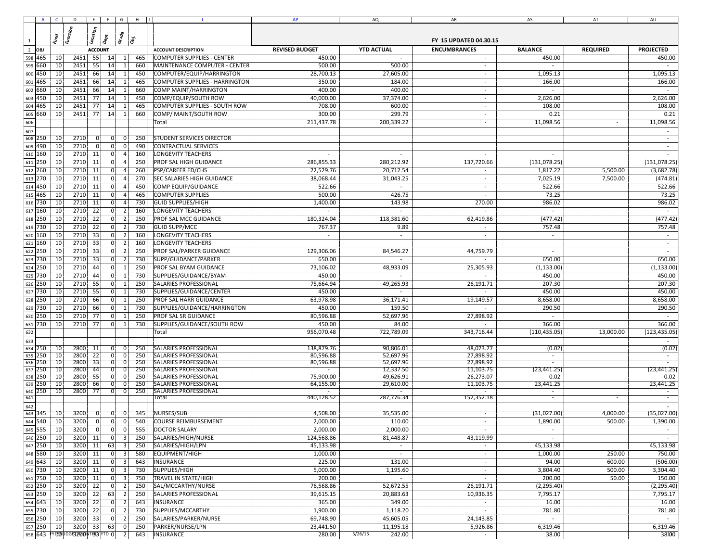|                |            |                 | $A \begin{pmatrix} 0 & 0 \\ 0 & 1 \end{pmatrix}$ $E \begin{pmatrix} 0 & 0 \\ 0 & 1 \end{pmatrix}$ |             |                 |                  |            |                                                              | AP                      | AQ                       | AR                       | AS                       | AT        | AU            |
|----------------|------------|-----------------|---------------------------------------------------------------------------------------------------|-------------|-----------------|------------------|------------|--------------------------------------------------------------|-------------------------|--------------------------|--------------------------|--------------------------|-----------|---------------|
|                |            |                 |                                                                                                   |             |                 |                  |            |                                                              |                         |                          |                          |                          |           |               |
|                |            |                 |                                                                                                   |             |                 |                  |            |                                                              |                         |                          |                          |                          |           |               |
| $\overline{1}$ |            |                 |                                                                                                   |             |                 |                  |            |                                                              |                         |                          |                          |                          |           |               |
| $\overline{2}$ |            |                 |                                                                                                   |             |                 |                  |            |                                                              |                         |                          |                          |                          |           |               |
| 598 465        |            | 10 <sup>1</sup> | 2451                                                                                              | - 55        | 14              | $\vert$ 1        | 465        | <b>COMPUTER SUPPLIES - CENTER</b>                            | 450.00                  | $\sim$                   | $\sim$                   | 450.00                   |           | 450.00        |
| 599 660        |            | 10              | 2451                                                                                              | 55          | 14              | $\vert$ 1        | 660        | MAINTENANCE COMPUTER - CENTER                                | 500.00                  | 500.00                   | $\sim$                   | $\sim$                   |           | $\sim$        |
| 600            | 450        | 10              | 2451                                                                                              | 66          | 14              |                  | 450        | COMPUTER/EQUIP/HARRINGTON                                    | 28,700.13               | 27,605.00                | $\sim$                   | 1,095.13                 |           | 1,095.13      |
| 601            | 465        | 10              | 2451                                                                                              | 66          | 14              | $\vert$ 1        | 465        | <b>COMPUTER SUPPLIES - HARRINGTON</b>                        | 350.00                  | 184.00                   | $\sim$                   | 166.00                   |           | 166.00        |
| 602            | 660        | 10              | 2451                                                                                              | 66          | 14              | $\vert$ 1        | 660        | COMP MAINT/HARRINGTON                                        | 400.00                  | 400.00                   | $\sim$                   | $\overline{\phantom{a}}$ |           | $\sim$        |
| 603 450        |            | 10              | 2451                                                                                              | 77          | 14              | $\vert$ 1        | 450        | COMP/EQUIP/SOUTH ROW                                         | 40,000.00               | 37,374.00                | $\sim$                   | 2,626.00                 |           | 2,626.00      |
| 604            | 465        | 10              | 2451                                                                                              | 77          | 14              | $\mathbf{1}$     | 465        | COMPUTER SUPPLIES - SOUTH ROW                                | 708.00                  | 600.00                   | $\sim$                   | 108.00                   |           | 108.00        |
| 605            | 660        | 10 <sup>1</sup> | 2451                                                                                              | - 77        | 14              | $1\vert$         | 660        | COMP/ MAINT/SOUTH ROW                                        | 300.00                  | 299.79                   | $\sim$                   | 0.21                     |           | 0.21          |
| 606            |            |                 |                                                                                                   |             |                 |                  |            | Total                                                        | 211,437.78              | 200,339.22               | $\sim$                   | 11,098.56                | $\sim$    | 11,098.56     |
| 607            |            |                 |                                                                                                   |             |                 |                  |            |                                                              |                         |                          |                          |                          |           |               |
| 608            | 250        | 10 <sub>1</sub> | 2710                                                                                              |             | $\overline{0}$  |                  | 250        | <b>STUDENT SERVICES DIRECTOR</b>                             |                         |                          |                          |                          |           | $\sim$        |
| 609 490        |            | 10              | 2710                                                                                              | $\mathbf 0$ | 0               | $\overline{0}$   | 490        | <b>CONTRACTUAL SERVICES</b>                                  |                         |                          |                          |                          |           |               |
| 610 160        |            | 10              | 2710                                                                                              | 11          | $\overline{0}$  | $\vert$          | 160        | <b>LONGEVITY TEACHERS</b>                                    |                         |                          |                          |                          |           |               |
| 611 250        |            | 10              | 2710                                                                                              | 11          | $\vert 0 \vert$ |                  | 250        | PROF SAL HIGH GUIDANCE                                       | 286,855.33              | 280,212.92               | 137,720.66               | (131, 078.25)            |           | (131,078.25)  |
| 612 260        |            | 10              | 2710                                                                                              | 11          | 0l              | $\vert$          | 260        | PSP/CAREER ED/CHS                                            | 22,529.76               | 20,712.54                |                          |                          | 5,500.00  | (3,682.78)    |
|                |            |                 |                                                                                                   |             |                 | $\overline{4}$   |            |                                                              |                         |                          |                          | 1,817.22                 |           |               |
| 613 270        |            | 10              | 2710                                                                                              | 11          | 0               |                  | 270        | <b>SEC SALARIES HIGH GUIDANCE</b>                            | 38,068.44               | 31,043.25                | $\overline{\phantom{a}}$ | 7,025.19                 | 7,500.00  | (474.81)      |
| 614 450        |            | 10              | 2710                                                                                              | 11          | 0               | $\overline{4}$   | 450        | COMP EQUIP/GUIDANCE                                          | 522.66                  |                          | $\sim$                   | 522.66                   |           | 522.66        |
| 615            | 465        | 10              | 2710                                                                                              | 11          | $\overline{0}$  | $\overline{a}$   | 465        | <b>COMPUTER SUPPLIES</b>                                     | 500.00                  | 426.75                   |                          | 73.25                    |           | 73.25         |
| 616 730        |            | 10              | 2710                                                                                              | 11          | 0l              | $\overline{4}$   | 730        | <b>GUID SUPPLIES/HIGH</b>                                    | 1,400.00                | 143.98                   | 270.00                   | 986.02                   |           | 986.02        |
| 617 160        |            | 10              | 2710                                                                                              | 22          | 0               | $\overline{2}$   | 160        | <b>LONGEVITY TEACHERS</b>                                    |                         | $\sim$                   |                          | $\sim$                   |           | $\sim$        |
| 618 250        |            | 10              | 2710                                                                                              | 22          | 0               | $\overline{2}$   | 250        | PROF SAL MCC GUIDANCE                                        | 180,324.04              | 118,381.60               | 62,419.86                | (477.42)                 |           | (477.42)      |
| 619            | 730        | 10              | 2710                                                                                              | 22          | 0               | $\overline{2}$   | 730        | <b>GUID SUPP/MCC</b>                                         | 767.37                  | 9.89                     | $\sim$                   | 757.48                   |           | 757.48        |
| 620 160        |            | 10              | 2710                                                                                              | 33          | 0               | $\overline{2}$   | 160        | <b>LONGEVITY TEACHERS</b>                                    | $\sim$                  | $\sim$                   | $\sim$                   | $\sim$                   |           | $\sim$        |
| 621            | 160        | 10              | 2710                                                                                              | 33          | 0               | $\overline{2}$   | 160        | <b>LONGEVITY TEACHERS</b>                                    |                         |                          |                          |                          |           | $\sim$        |
| 622 250        |            | 10              | 2710                                                                                              | 33          | 0               | $\overline{2}$   | 250        | PROF SAL/PARKER GUIDANCE                                     | 129,306.06              | 84,546.27                | 44,759.79                | $\sim$                   |           | $\sim$        |
| 623            | 730        | 10              | 2710                                                                                              | 33          | 0               | $\overline{2}$   | 730        | SUPP/GUIDANCE/PARKER                                         | 650.00                  | $\overline{\phantom{a}}$ |                          | 650.00                   |           | 650.00        |
| 624 250        |            | 10              | 2710                                                                                              | 44          | 0               | $\vert$ 1        | 250        | PROF SAL BYAM GUIDANCE                                       | 73,106.02               | 48,933.09                | 25,305.93                | (1, 133.00)              |           | (1, 133.00)   |
| 625            | 730        | 10              | 2710                                                                                              | 44          | 0               | $\vert$ 1        | 730        | SUPPLIES/GUIDANCE/BYAM                                       | 450.00                  | $\sim$                   |                          | 450.00                   |           | 450.00        |
| 626 250        |            | 10              | 2710 55                                                                                           |             | 0               | $\vert$ 1        | 250        | SALARIES PROFESSIONAL                                        | 75,664.94               | 49,265.93                | 26,191.71                | 207.30                   |           | 207.30        |
| 627 730        |            | 10              | 2710                                                                                              | 55          | 0               | 1                | 730        | SUPPLIES/GUIDANCE/CENTER                                     | 450.00                  | $\overline{\phantom{a}}$ |                          | 450.00                   |           | 450.00        |
| 628 250        |            | 10              | 2710                                                                                              | 66          | 0               | $\vert$ 1        | 250        | <b>PROF SAL HARR GUIDANCE</b>                                | 63,978.98               | 36,171.41                | 19,149.57                | 8,658.00                 |           | 8,658.00      |
| 629 730        |            | 10              | 2710                                                                                              | 66          | 0               | 1                | 730        | SUPPLIES/GUIDANCE/HARRINGTON                                 | 450.00                  | 159.50                   |                          | 290.50                   |           | 290.50        |
| 630 250        |            | 10              | 2710 77                                                                                           |             | 0               | $\vert$ 1        | 250        | <b>PROF SAL SR GUIDANCE</b>                                  | 80,596.88               | 52,697.96                | 27,898.92                | $\sim$                   |           | $\sim$        |
| 631 730        |            | 10              | 2710 77                                                                                           |             | 0               | $\vert$ 1        | 730        | SUPPLIES/GUIDANCE/SOUTH ROW                                  | 450.00                  | 84.00                    |                          | 366.00                   |           | 366.00        |
|                |            |                 |                                                                                                   |             |                 |                  |            |                                                              | 956,070.48              | 722,789.09               | 343,716.44               |                          |           | (123, 435.05) |
| 632            |            |                 |                                                                                                   |             |                 |                  |            | Total                                                        |                         |                          |                          | (110, 435.05)            | 13,000.00 |               |
| 633            |            |                 |                                                                                                   |             |                 |                  |            |                                                              |                         |                          |                          |                          |           |               |
| 634<br>635     | 250<br>250 | 10<br>10        | 2800 11<br>$2800$ 22                                                                              |             | 0 <br> 0        | 01<br>01         | 250<br>250 | <b>SALARIES PROFESSIONAL</b><br><b>SALARIES PROFESSIONAL</b> | 138,879.76<br>80,596.88 | 90,806.01<br>52,697.96   | 48,073.77<br>27,898.92   | (0.02)<br>$\sim$         |           | (0.02)        |
| 636            | 250        | 10              | 2800                                                                                              | $-33$       | 0               | 0                | 250        | <b>SALARIES PROFESSIONAL</b>                                 | 80,596.88               | 52,697.96                | 27,898.92                | $\sim$                   |           |               |
| 637            | 250        | 10              | 2800                                                                                              | $-44$       | 0               | -01              | 250        | SALARIES PROFESSIONAL                                        |                         | 12,337.50                | 11,103.75                | (23, 441.25)             |           | (23, 441.25)  |
| 638            | 250        | $\overline{10}$ | 2800 55                                                                                           |             | -ot             | 0                | 250        | <b>SALARIES PROFESSIONAL</b>                                 | 75,900.00               | 49,626.91                | 26,273.07                | 0.02                     |           | 0.02          |
| 639            | 250        | 10              | 2800                                                                                              | 66          | $\vert$         | 0                | 250        | <b>SALARIES PROFESSIONAL</b>                                 | 64,155.00               | 29,610.00                | 11,103.75                | 23,441.25                |           | 23,441.25     |
| 640            | 250        | 10              | 2800                                                                                              | - 77        | 0               | 01               | 250        | <b>SALARIES PROFESSIONAL</b>                                 |                         |                          |                          |                          |           |               |
| 641            |            |                 |                                                                                                   |             |                 |                  |            | Total                                                        | 440,128.52              | 287,776.34               | 152,352.18               | $\overline{\phantom{a}}$ |           | $\sim$        |
| 642            |            |                 |                                                                                                   |             |                 |                  |            |                                                              |                         |                          |                          |                          |           |               |
| 643 345        |            | 10              | 3200                                                                                              |             | 01              | 01               | 345        | NURSES/SUB                                                   | 4,508.00                | 35,535.00                |                          | (31,027.00)              | 4,000.00  | (35,027.00)   |
| 644 540        |            | 10              | 3200                                                                                              | 0 I         | 0               | 0                | 540        | <b>COURSE REIMBURSEMENT</b>                                  | 2,000.00                | 110.00                   |                          | 1,890.00                 | 500.00    | 1,390.00      |
| 645 555        |            | 10 <sub>l</sub> | 3200                                                                                              | 0           | 0               | - 0 I            | 555        | <b>DOCTOR SALARY</b>                                         | 2,000.00                | 2,000.00                 |                          | $\sim$                   |           |               |
| 646 250        |            | 10 <sup>1</sup> | 3200 11                                                                                           |             | 0               | $\overline{3}$   | 250        | SALARIES/HIGH/NURSE                                          | 124,568.86              | 81,448.87                | 43,119.99                | $\sim$                   |           | $\sim$        |
| 647 250        |            | 10              | 3200                                                                                              | 11          | 63              | $\overline{3}$   | 250        | SALARIES/HIGH/LPN                                            | 45,133.98               | $\sim$                   | $\sim$                   | 45,133.98                |           | 45,133.98     |
| 648 580        |            | 10              | 3200 11                                                                                           |             | 0               | $\overline{3}$   | 580        | EQUIPMENT/HIGH                                               | 1,000.00                | $\sim$                   | $\sim$                   | 1,000.00                 | 250.00    | 750.00        |
| 649 643        |            | 10              | 3200                                                                                              | 11          | 0               | $\overline{3}$   | 643        | <b>INSURANCE</b>                                             | 225.00                  | 131.00                   | $\sim$                   | 94.00                    | 600.00    | (506.00)      |
| 650 730        |            | 10              | $3200$ 11                                                                                         |             | 0               | $\overline{3}$   | 730        | SUPPLIES/HIGH                                                | 5,000.00                | 1,195.60                 | $\sim$                   | 3,804.40                 | 500.00    | 3,304.40      |
| 651 750        |            | 10              | 3200                                                                                              | 11          | 0               | $\overline{3}$   | 750        | TRAVEL IN STATE/HIGH                                         | 200.00                  | $\sim$                   | $\sim$                   | 200.00                   | 50.00     | 150.00        |
| 652 250        |            | 10              | 3200 22                                                                                           |             | 0               | $\overline{2}$   | 250        | SAL/MCCARTHY/NURSE                                           | 76,568.86               | 52,672.55                | 26,191.71                | (2, 295.40)              |           | (2, 295.40)   |
| 653 250        |            | 10              | 3200                                                                                              | 22          | 63              | $\vert$ 2        | 250        | SALARIES PROFESSIONAL                                        | 39,615.15               | 20,883.63                | 10,936.35                | 7,795.17                 |           | 7,795.17      |
| 654 643        |            | 10 <sup>1</sup> | $3200$ 22                                                                                         |             | 0               | $\left  \right $ | 643        | INSURANCE                                                    | 365.00                  | 349.00                   | $\sim$                   | 16.00                    |           | 16.00         |
| 655 730        |            | 10              | 3200 22                                                                                           |             | 0               | 2                | 730        | SUPPLIES/MCCARTHY                                            | 1,900.00                | 1,118.20                 | $\sim$                   | 781.80                   |           | 781.80        |
| 656 250        |            | 10 <sup>1</sup> | 3200                                                                                              | - 33        | 0               | $\overline{2}$   | 250        | SALARIES/PARKER/NURSE                                        | 69,748.90               | 45,605.05                | 24,143.85                | $\sim$                   |           | $\sim$        |
| 657 250        |            | 10 <sup>1</sup> | 3200                                                                                              | 33          | 63              | 0                | 250        | PARKER/NURSE/LPN                                             | 23,441.50               | 11,195.18                | 5,926.86                 | 6,319.46                 |           | 6,319.46      |
| 658 643        |            |                 | AATEG hDCE3500M1H33A1D 0                                                                          |             |                 | $\left  \right $ | 643        |                                                              |                         | 5/26/15<br>242.00        | $\sim$                   | 38.00                    |           | 38100         |
|                |            |                 |                                                                                                   |             |                 |                  |            | INSURANCE                                                    | 280.00                  |                          |                          |                          |           |               |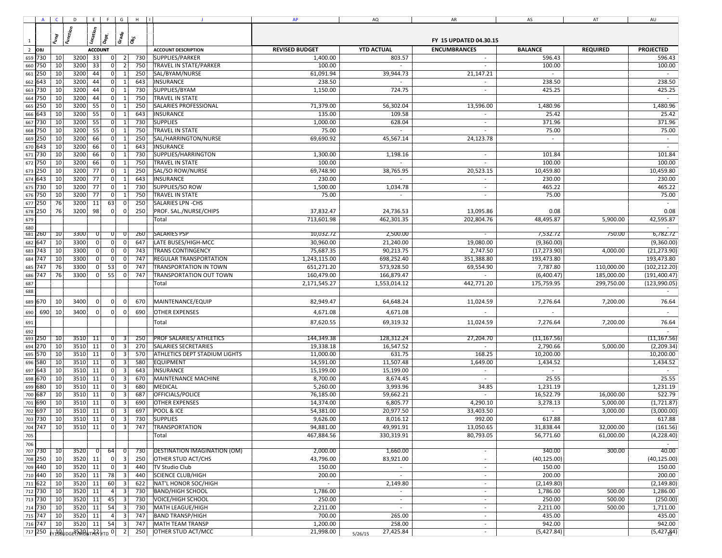|                  |            |                 |                                 |                 |                                           |                    |                                      | AP           | AQ                       | AR                       | AS           | AT         | AU                       |
|------------------|------------|-----------------|---------------------------------|-----------------|-------------------------------------------|--------------------|--------------------------------------|--------------|--------------------------|--------------------------|--------------|------------|--------------------------|
|                  |            |                 |                                 |                 |                                           |                    |                                      |              |                          |                          |              |            |                          |
|                  |            |                 |                                 |                 |                                           |                    |                                      |              |                          |                          |              |            |                          |
| $\mathbf{1}$     |            |                 |                                 |                 |                                           |                    |                                      |              |                          |                          |              |            |                          |
| $\overline{2}$   |            |                 |                                 |                 |                                           |                    |                                      |              |                          |                          |              |            |                          |
|                  | 659 730    | 10              | 3200                            | 33              | 0 <br>$\vert$ 2                           | 730                | SUPPLIES/PARKER                      | 1,400.00     | 803.57                   | $\sim$                   | 596.43       |            | 596.43                   |
|                  | 660 750    | 10              | 3200                            | 33              | 0 <br>$\overline{2}$                      | 750                | TRAVEL IN STATE/PARKER               | 100.00       | $\sim$                   |                          | 100.00       |            | 100.00                   |
| 661              | 250        | 10              | 3200                            | 44              | 0<br>$\mathbf{1}$                         | 250                | SAL/BYAM/NURSE                       | 61,091.94    | 39,944.73                | 21,147.21                | $\sim$       |            | $\sim$                   |
| 662              | 643        | 10              | 3200                            | 44              | 0 <br>$\overline{1}$                      | 643                | <b>INSURANCE</b>                     | 238.50       |                          | $\sim$                   | 238.50       |            | 238.50                   |
| 663              | 730        | 10              | 3200                            | 44              | 0<br>$\overline{1}$                       | 730                | SUPPLIES/BYAM                        | 1,150.00     | 724.75                   | $\sim$                   | 425.25       |            | 425.25                   |
| 664              | 750        | 10              | 3200                            | 44              | 0                                         | 750                | <b>TRAVEL IN STATE</b>               |              |                          |                          |              |            |                          |
| 665              | 250        | 10              | 3200                            | 55              | 01<br>- 1                                 | 250                | SALARIES PROFESSIONAL                | 71,379.00    | 56,302.04                | 13,596.00                | 1,480.96     |            | 1,480.96                 |
| 666              | 643        | 10              | 3200                            | 55              | 0                                         | 643                | <b>INSURANCE</b>                     | 135.00       | 109.58                   |                          | 25.42        |            | 25.42                    |
| 667              | 730        | 10              | 3200                            | 55              | 0                                         | 730                | <b>SUPPLIES</b>                      | 1,000.00     | 628.04                   | $\sim$                   | 371.96       |            | 371.96                   |
| 668              | 750        | 10              | 3200                            | 55              | 0                                         | 750                | TRAVEL IN STATE                      | 75.00        |                          |                          | 75.00        |            | 75.00                    |
| 669              | 250        | 10              | 3200                            | 66              | 01                                        | 250                | SAL/HARRINGTON/NURSE                 | 69,690.92    | 45,567.14                | 24,123.78                | $\sim$       |            | $\overline{\phantom{a}}$ |
| 670              | 643        | 10              | 3200                            | 66              | $\overline{0}$                            | 643                | <b>INSURANCE</b>                     |              |                          |                          |              |            |                          |
| 671              | 730        | 10              | 3200                            | 66              | 0 <sup>1</sup><br>-1                      | 730                | SUPPLIES/HARRINGTON                  | 1,300.00     | 1,198.16                 |                          | 101.84       |            | 101.84                   |
|                  |            | 10              | 3200                            |                 | $\overline{0}$                            | 750                | TRAVEL IN STATE                      | 100.00       |                          |                          | 100.00       |            | 100.00                   |
| 672              | 750        |                 | 3200                            | 66              | $\overline{0}$<br>$\overline{1}$          | 250                |                                      |              |                          |                          |              |            | 10,459.80                |
| 673              | 250        | 10              |                                 | 77              |                                           |                    | SAL/SO ROW/NURSE                     | 69,748.90    | 38,765.95                | 20,523.15                | 10,459.80    |            |                          |
| 674              | 643        | 10              | 3200                            | 77              | 0 l                                       | 643                | <b>INSURANCE</b>                     | 230.00       |                          | $\sim$                   | 230.00       |            | 230.00                   |
| 675              | 730        | 10              | 3200                            | 77              | 0 <br>$\overline{1}$                      | 730                | SUPPLIES/SO ROW                      | 1,500.00     | 1,034.78                 | $\sim$                   | 465.22       |            | 465.22                   |
| 676              | 750        | 10              | 3200                            | 77              | 0                                         | 750                | <b>TRAVEL IN STATE</b>               | 75.00        | $\sim$                   | $\sim$                   | 75.00        |            | 75.00                    |
| 677              | 250        | 76              | 3200                            | 11              | 63                                        | 250<br>0           | SALARIES LPN - CHS                   |              |                          |                          |              |            | $\sim$                   |
| 678              | 250        | 76              | 3200                            | 98              | $\overline{0}$                            | 250<br>$\mathbf 0$ | PROF. SAL./NURSE/CHIPS               | 37,832.47    | 24,736.53                | 13,095.86                | 0.08         |            | 0.08                     |
| 679              |            |                 |                                 |                 |                                           |                    | Total                                | 713,601.98   | 462,301.35               | 202,804.76               | 48,495.87    | 5,900.00   | 42,595.87                |
| 680              |            |                 |                                 |                 |                                           |                    |                                      |              |                          |                          |              |            |                          |
|                  | 681 260    | - 10            | 3300                            |                 |                                           | 260                | <b>SALARIES PSP</b>                  | 10,032.72    | 2,500.00                 |                          | 7,532.72     | 750.00     | 6,782.72                 |
| 682              | 647        | 10              | 3300                            |                 | 0 l                                       | 647                | LATE BUSES/HIGH-MCC                  | 30,960.00    | 21,240.00                | 19,080.00                | (9,360.00)   |            | (9,360.00)               |
| 683              | 743        | 10              | 3300                            |                 | 0                                         | 743                | <b>TRANS CONTINGENCY</b>             | 75,687.35    | 90,213.75                | 2,747.50                 | (17, 273.90) | 4,000.00   | (21, 273.90)             |
| 684              | 747        | 10              | 3300                            |                 | 0                                         | 747                | REGULAR TRANSPORTATION               | 1,243,115.00 | 698,252.40               | 351,388.80               | 193,473.80   |            | 193,473.80               |
| 685              | 747        | 76              | 3300                            |                 | 53                                        | 747                | <b>TRANSPORTATION IN TOWN</b>        | 651,271.20   | 573,928.50               | 69,554.90                | 7,787.80     | 110,000.00 | (102, 212.20)            |
| 686              | 747        | 76              | 3300                            |                 | 55                                        | 747<br>$\mathbf 0$ | <b>TRANSPORTATION OUT TOWN</b>       | 160,479.00   | 166,879.47               |                          | (6,400.47)   | 185,000.00 | (191, 400.47)            |
| 687              |            |                 |                                 |                 |                                           |                    | Total                                | 2,171,545.27 | 1,553,014.12             | 442,771.20               | 175,759.95   | 299,750.00 | (123,990.05)             |
| 688              |            |                 |                                 |                 |                                           |                    |                                      |              |                          |                          |              |            |                          |
|                  | 670        | 10              | 3400                            |                 | $\Omega$<br>$\Omega$                      | 670                |                                      |              |                          |                          |              |            | 76.64                    |
| 689              |            |                 |                                 |                 |                                           |                    | MAINTENANCE/EQUIP                    | 82,949.47    | 64,648.24                | 11,024.59                | 7,276.64     | 7,200.00   |                          |
| 690              | 690        | 10              | 3400                            | $\Omega$        | 0                                         | 690<br>0           | <b>OTHER EXPENSES</b>                | 4,671.08     | 4,671.08                 |                          |              |            |                          |
| 691              |            |                 |                                 |                 |                                           |                    | Total                                | 87,620.55    | 69,319.32                | 11,024.59                | 7,276.64     | 7,200.00   | 76.64                    |
| 692              |            |                 |                                 |                 |                                           |                    |                                      |              |                          |                          |              |            |                          |
|                  | 693 250    | $\overline{10}$ | 3510                            | $_{11}$         | 0                                         | 250                | <b>PROF SALARIES/ ATHLETICS</b>      | 144,349.38   | 128,312.24               | 27,204.70                | (11, 167.56) |            | (11, 167.56)             |
| 694              | 270        | 10              | 3510                            | 11              | 0 <br>3                                   | 270                | <b>SALARIES SECRETARIES</b>          | 19,338.18    | 16,547.52                |                          | 2,790.66     | 5,000.00   | (2,209.34)               |
| 695              | 570        | 10              | 3510                            | 11              | 0 l                                       | 570                | <b>ATHLETICS DEPT STADIUM LIGHTS</b> | 11,000.00    | 631.75                   | 168.25                   | 10,200.00    |            | 10,200.00                |
| 696              | 580        | 10              | 3510                            | 11              | $\overline{0}$<br>3                       | 580                | <b>EQUIPMENT</b>                     | 14,591.00    | 11,507.48                | 1,649.00                 | 1,434.52     |            | 1,434.52                 |
| 697              | 643        | 10              | 3510                            | 11              | $\overline{0}$<br>3                       | 643                | <b>INSURANCE</b>                     | 15,199.00    | 15,199.00                | $\sim$                   | $\sim$       |            |                          |
| 698              | 670        | 10              | 3510                            | 11              | 0                                         | 670<br>3           | MAINTENANCE MACHINE                  | 8,700.00     | 8,674.45                 |                          | 25.55        |            | 25.55                    |
| 699              | 680        | 10              | 3510                            | 11              | 0 l<br>3                                  | 680                | <b>MEDICAL</b>                       | 5,260.00     | 3,993.96                 | 34.85                    | 1,231.19     |            | 1,231.19                 |
|                  |            |                 |                                 |                 |                                           |                    |                                      |              |                          |                          |              |            |                          |
| 700              | 687        | 10              | 3510                            | 11              | 0 <br>3<br>$\overline{0}$<br>$\mathbf{a}$ | 687                | OFFICIALS/POLICE                     | 76,185.00    | 59,662.21                |                          | 16,522.79    | 16,000.00  | 522.79                   |
| 701              | 690        | 10              | 3510                            | 11              |                                           | 690                | <b>OTHER EXPENSES</b>                | 14,374.00    | 6,805.77                 | 4,290.10                 | 3,278.13     | 5,000.00   | (1,721.87)               |
| 702              | 697        | 10              | 3510                            | 11              | 0<br>3                                    | 697                | POOL & ICE                           | 54,381.00    | 20,977.50                | 33,403.50                | $\sim$       | 3,000.00   | (3,000.00)               |
| 703              | 730        | 10              | 3510                            | 11              | 0<br>3                                    | 730                | <b>SUPPLIES</b>                      | 9,626.00     | 8,016.12                 | 992.00                   | 617.88       |            | 617.88                   |
|                  | 704 747 10 |                 |                                 | 3510 11         | 0                                         | 3 <br>747          | <b>TRANSPORTATION</b>                | 94,881.00    | 49,991.91                | 13,050.65                | 31,838.44    | 32,000.00  | (161.56)                 |
| 705              |            |                 |                                 |                 |                                           |                    | Total                                | 467,884.56   | 330,319.91               | 80,793.05                | 56,771.60    | 61,000.00  | (4,228.40)               |
| $\overline{706}$ |            |                 |                                 |                 |                                           |                    |                                      |              |                          |                          |              |            |                          |
|                  | 707 730 10 |                 | 3520                            | 0               | 64                                        | 730                | DESTINATION IMAGINATION (OM)         | 2,000.00     | 1,660.00                 | $\sim$                   | 340.00       | 300.00     | 40.00                    |
|                  | 708 250    | 10              | $3520$ 11                       |                 | 0 <br>$\overline{\mathbf{3}}$             | 250                | <b>OTHER STUD ACT/CHS</b>            | 43,796.00    | 83,921.00                | $\sim$                   | (40, 125.00) |            | (40, 125.00)             |
|                  | 709 440    | 10              | 3520                            | $\overline{11}$ | 0                                         | 3<br>440           | <b>TV Studio Club</b>                | 150.00       | $\sim$                   | $\sim$                   | 150.00       |            | 150.00                   |
|                  | 710 440    | 10              | 3520                            | $\overline{11}$ | 78                                        | 440<br>3           | <b>SCIENCE CLUB/HIGH</b>             | 200.00       | $\sim$                   | $\sim$                   | 200.00       |            | 200.00                   |
|                  | 711622     | 10              | 3520                            | 11              | 60<br>3                                   | 622                | NAT'L HONOR SOC/HIGH                 | $\sim$       | 2,149.80                 | $\sim$                   | (2, 149.80)  |            | (2, 149.80)              |
|                  | 712 730    | 10              | 3520                            | 11              | 4                                         | 730                | <b>BAND/HIGH SCHOOL</b>              | 1,786.00     | $\blacksquare$           | $\overline{\phantom{a}}$ | 1,786.00     | 500.00     | 1,286.00                 |
|                  | 713 730    | 10              | 3520                            | 11              | 45<br>3                                   | 730                | <b>VOICE/HIGH SCHOOL</b>             | 250.00       | $\overline{\phantom{a}}$ | $\sim$                   | 250.00       | 500.00     | (250.00)                 |
|                  | 714 730    | 10              | 3520                            | 11              | 54                                        | 730                | MATH LEAGUE/HIGH                     | 2,211.00     | $\sim$                   |                          | 2,211.00     | 500.00     | 1,711.00                 |
|                  | 715 747    | 10              | 3520                            | 11              | 4 <br>3                                   | 747                | <b>BAND TRANSP/HIGH</b>              | 700.00       | 265.00                   | $\sim$                   | 435.00       |            | 435.00                   |
|                  | 716 747    | 10              | 3520                            | 11              | 54                                        | 747                | <b>MATH TEAM TRANSP</b>              | 1,200.00     | 258.00                   | $\sim$                   | 942.00       |            | 942.00                   |
|                  |            |                 | 717 250 FY198UDGE7580NTR2 NTD 0 |                 |                                           | 250<br>$\vert$ 2   | OTHER STUD ACT/MCC                   | 21,998.00    | 27,425.84<br>5/26/15     | $\sim$                   | (5,427.84)   |            | (5,427,84)               |
|                  |            |                 |                                 |                 |                                           |                    |                                      |              |                          |                          |              |            |                          |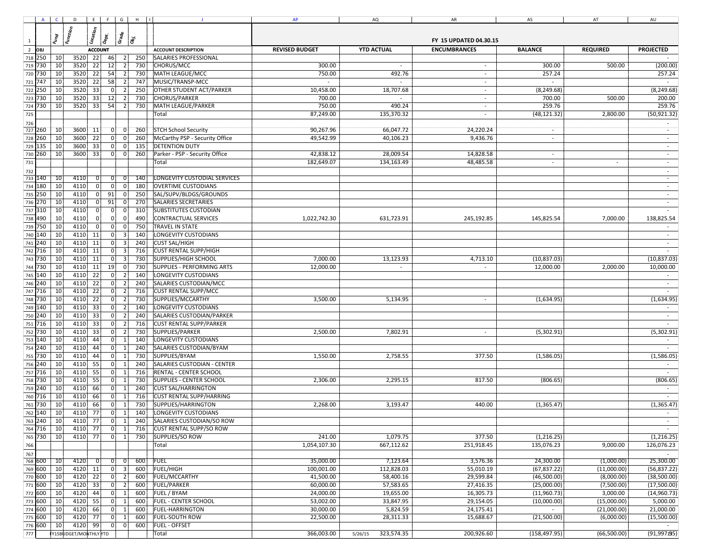|                |                    | $A \cap C$      | $D \mid E \mid F \mid G \mid H \mid I$ |           |                      |                                                |     | $\mathbf{J}$                              | AP           | AQ                       | AR         | AS                       | AT          | AU                       |
|----------------|--------------------|-----------------|----------------------------------------|-----------|----------------------|------------------------------------------------|-----|-------------------------------------------|--------------|--------------------------|------------|--------------------------|-------------|--------------------------|
|                |                    |                 |                                        |           |                      |                                                |     |                                           |              |                          |            |                          |             |                          |
|                |                    |                 |                                        |           |                      |                                                |     |                                           |              |                          |            |                          |             |                          |
| $\overline{1}$ |                    |                 |                                        |           |                      |                                                |     |                                           |              |                          |            |                          |             |                          |
| $\overline{2}$ |                    |                 |                                        |           |                      |                                                |     |                                           |              |                          |            |                          |             |                          |
|                | 718 250            | 10 <sub>l</sub> | 3520                                   | 22        | 46                   | $\overline{2}$                                 | 250 | <b>SALARIES PROFESSIONAL</b>              |              |                          |            |                          |             | $\sim$                   |
|                | 719 730            | 10              | 3520 22                                |           | 12                   | $\vert$ 2                                      | 730 | <b>CHORUS/MCC</b>                         | 300.00       | $\sim$                   | $\sim$     | 300.00                   | 500.00      | (200.00)                 |
|                | 720 730            | 10              | 3520                                   | 22        | 54                   | 730<br>2 <sup>1</sup>                          |     | <b>MATH LEAGUE/MCC</b>                    | 750.00       | 492.76                   | $\sim$     | 257.24                   |             | 257.24                   |
|                | 721 747            | 10              | 3520                                   | 22        | 58                   | $\vert$ 2<br>747                               |     | MUSIC/TRANSP-MCC                          | $\sim$       | $\sim$                   | $\sim$     | $\sim$                   |             | $\sim$                   |
|                | 722 250            | 10              | 3520                                   | 33        | 0                    | 2 <br>250                                      |     | <b>OTHER STUDENT ACT/PARKER</b>           | 10,458.00    | 18,707.68                | $\sim$     | (8, 249.68)              |             | (8, 249.68)              |
|                | 723 730            | 10              | 3520                                   | 33        | 12                   | $\overline{2}$<br>730                          |     | CHORUS/PARKER                             | 700.00       | $\overline{\phantom{a}}$ | $\sim$     | 700.00                   | 500.00      | 200.00                   |
|                | 724 730            | 10              | 3520                                   | 33        | 54                   | 730<br>2                                       |     | MATH LEAGUE/PARKER                        | 750.00       | 490.24                   | $\sim$     | 259.76                   |             | 259.76                   |
| 725            |                    |                 |                                        |           |                      |                                                |     | Total                                     | 87,249.00    | 135,370.32               | $\sim$     | (48, 121.32)             | 2,800.00    | (50, 921.32)             |
| 726            |                    |                 |                                        |           |                      |                                                |     |                                           |              |                          |            |                          |             |                          |
|                | 727 260            | 10              | $3600$ 11                              |           | 0                    | 260<br>0                                       |     | <b>STCH School Security</b>               | 90,267.96    | 66,047.72                | 24,220.24  | $\overline{\phantom{a}}$ |             | $\sim$                   |
|                | 728 260            | 10              | 3600                                   | 22        | 0                    | $\overline{0}$                                 | 260 | McCarthy PSP - Security Office            | 49,542.99    | 40,106.23                | 9,436.76   | $\overline{\phantom{a}}$ |             | $\overline{\phantom{a}}$ |
|                | 729 135            | 10              | 3600                                   | 33        | 0                    | 135<br>$\overline{0}$                          |     | <b>DETENTION DUTY</b>                     |              |                          |            |                          |             |                          |
|                | 730 260            | 10              | 3600                                   | 33        | 0                    | 0                                              | 260 | Parker - PSP - Security Office            | 42,838.12    | 28,009.54                | 14,828.58  | $\overline{\phantom{a}}$ |             | $\sim$                   |
| 731            |                    |                 |                                        |           |                      |                                                |     | Total                                     | 182,649.07   | 134,163.49               | 48,485.58  | $\sim$                   |             | $\sim$                   |
| 732            |                    |                 |                                        |           |                      |                                                |     |                                           |              |                          |            |                          |             | $\sim$                   |
|                | 733 140            | 10              | 4110                                   |           | 01                   | 140                                            |     | LONGEVITY CUSTODIAL SERVICES              |              |                          |            |                          |             |                          |
|                | 734 180            | 10              | 4110                                   | 0 I       | 0                    | 180<br>-01                                     |     | <b>OVERTIME CUSTODIANS</b>                |              |                          |            |                          |             | $\sim$                   |
| 735            | 250                | 10              | 4110                                   | 01        | 91<br>91             | 250<br>0 I<br>270<br>-01                       |     | SAL/SUPV/BLDGS/GROUNDS                    |              |                          |            |                          |             | $\sim$                   |
|                | 736 270            | 10              | 4110                                   | 01        |                      |                                                |     | <b>SALARIES SECRETARIES</b>               |              |                          |            |                          |             | $\sim$                   |
|                | 737 310            | 10              | 4110                                   | $\Omega$  | 0                    | 310<br>$\overline{0}$                          |     | <b>SUBSTITUTES CUSTODIAN</b>              |              |                          |            |                          |             | $\sim$                   |
|                | 738 490            | 10<br>10        | 4110                                   | 01        | 0                    | 0 <br>490                                      |     | <b>CONTRACTUAL SERVICES</b>               | 1,022,742.30 | 631,723.91               | 245,192.85 | 145,825.54               | 7,000.00    | 138,825.54               |
|                | 739 750            |                 | 4110<br>4110 11                        | 0         | 0                    | 750<br>0 l                                     |     | <b>TRAVEL IN STATE</b>                    |              |                          |            |                          |             |                          |
|                | 740 140            | 10              |                                        |           | 0                    | $\overline{3}$<br>140                          |     | LONGEVITY CUSTODIANS                      |              |                          |            |                          |             | $\sim$                   |
|                | 741 240            | 10              | 4110                                   | 11        | 0                    | $\overline{3}$                                 | 240 | <b>CUST SAL/HIGH</b>                      |              |                          |            |                          |             | $\sim$                   |
|                | 742 716            | 10              | 4110 11                                |           | 0                    | $\overline{\mathbf{3}}$                        | 716 | <b>CUST RENTAL SUPP/HIGH</b>              |              |                          |            |                          |             |                          |
|                | 743 730            | 10              | 4110                                   | 11        | 0                    | $\overline{3}$<br>730                          |     | SUPPLIES/HIGH SCHOOL                      | 7,000.00     | 13,123.93                | 4,713.10   | (10, 837.03)             |             | (10, 837.03)             |
|                | 744 730            | 10              | 4110 11                                |           | 19                   | $\overline{0}$                                 | 730 | SUPPLIES - PERFORMING ARTS                | 12,000.00    | $\sim$                   | $\sim$     | 12,000.00                | 2,000.00    | 10,000.00                |
|                | 745 140            | 10              | 4110<br>4110                           | 22<br>22  | 0 <br> 0             | $\overline{2}$<br>140<br>$\overline{2}$        | 240 | LONGEVITY CUSTODIANS                      |              |                          |            |                          |             | $\sim$                   |
|                | 746 240            | 10              |                                        |           | $\overline{0}$       | $\overline{2}$                                 |     | SALARIES CUSTODIAN/MCC                    |              |                          |            |                          |             |                          |
|                | 747 716            | 10<br>10        | 4110                                   | 22        |                      |                                                | 716 | <b>CUST RENTAL SUPP/MCC</b>               |              |                          |            |                          |             |                          |
|                | 748 730<br>749 140 | 10              | 4110<br>4110                           | 22<br>33  | 0 <br>$\overline{0}$ | 730<br>$\overline{2}$<br>$\overline{2}$<br>140 |     | SUPPLIES/MCCARTHY<br>LONGEVITY CUSTODIANS | 3,500.00     | 5,134.95                 | $\sim$     | (1,634.95)               |             | (1,634.95)               |
|                |                    | 10              | 4110                                   | 33        | 0                    | 240<br>$\overline{2}$                          |     | SALARIES CUSTODIAN/PARKER                 |              |                          |            |                          |             |                          |
|                | 750 240<br>751 716 | 10              | 4110                                   | 33        | 0                    | $\overline{2}$<br>716                          |     | <b>CUST RENTAL SUPP/PARKER</b>            |              |                          |            |                          |             |                          |
|                | 752 730            | 10              | 4110                                   | 33        | 0                    | 730<br>$\overline{2}$                          |     | SUPPLIES/PARKER                           | 2,500.00     | 7,802.91                 |            | (5,302.91)               |             | (5,302.91)               |
|                | 753 140            | 10              | 4110                                   | 44        | 0                    | $\overline{1}$<br>140                          |     | LONGEVITY CUSTODIANS                      |              |                          |            |                          |             |                          |
|                | 754 240            | 10              | 4110                                   | 44        | 0l                   | 240<br>$\mathbf{1}$                            |     | SALARIES CUSTODIAN/BYAM                   |              |                          |            |                          |             |                          |
|                | 755 730            | 10              | 4110                                   | 44        | 0                    | 730<br>$\overline{1}$                          |     | SUPPLIES/BYAM                             | 1,550.00     | 2,758.55                 | 377.50     | (1,586.05)               |             | (1,586.05)               |
| 756            | 240                | 10              | 4110                                   | 55        | 0                    | 240<br>$\mathbf{1}$                            |     | SALARIES CUSTODIAN - CENTER               |              |                          |            |                          |             |                          |
|                | 757 716            | 10              | 4110                                   | 55        | 0                    | 716<br>$\overline{1}$                          |     | RENTAL - CENTER SCHOOL                    |              |                          |            |                          |             |                          |
|                | 758 730            | 10              | 4110                                   | 55        | $\overline{0}$       | 730<br>-1                                      |     | SUPPLIES - CENTER SCHOOL                  | 2,306.00     | 2,295.15                 | 817.50     | (806.65)                 |             | (806.65)                 |
|                | 759 240            | 10              | 4110 66                                |           | 0                    | 240<br>-1                                      |     | <b>CUST SAL/HARRINGTON</b>                |              |                          |            |                          |             | $\sim$                   |
| 760            | 716                | 10              | 4110                                   | 66        | 0                    | -1                                             | 716 | <b>CUST RENTAL SUPP/HARRING</b>           |              |                          |            |                          |             | $\sim$                   |
|                | 761 730            | 10              | 4110                                   | 66        | 0                    | 730<br>-1                                      |     | SUPPLIES/HARRINGTON                       | 2,268.00     | 3,193.47                 | 440.00     | (1,365.47)               |             | (1, 365.47)              |
|                | 762 140            | 10              | 4110                                   | 77        | 0                    | -1                                             | 140 | LONGEVITY CUSTODIANS                      |              |                          |            |                          |             |                          |
|                | 763 240            | 10              | 4110                                   | <b>77</b> | 0                    | $\vert$ 1                                      | 240 | SALARIES CUSTODIAN/SO ROW                 |              |                          |            |                          |             | $\sim$                   |
|                | 764 716            | 10 <sub>l</sub> | 4110 77                                |           | 0                    | 1                                              |     | 716 CUST RENTAL SUPP/SO ROW               |              |                          |            |                          |             | $\sim$                   |
|                | 765 730            | 10 <sup>1</sup> | 4110 77                                |           | 0                    | 1                                              | 730 | <b>SUPPLIES/SO ROW</b>                    | 241.00       | 1,079.75                 | 377.50     | (1,216.25)               |             | (1, 216.25)              |
| 766            |                    |                 |                                        |           |                      |                                                |     | Total                                     | 1,054,107.30 | 667,112.62               | 251,918.45 | 135,076.23               | 9,000.00    | 126,076.23               |
| 767            |                    |                 |                                        |           |                      |                                                |     |                                           |              |                          |            |                          |             |                          |
|                | 768 600            | 10              | 4120                                   |           | 0                    | 600                                            |     | <b>FUEL</b>                               | 35,000.00    | 7,123.64                 | 3,576.36   | 24,300.00                | (1,000.00)  | 25,300.00                |
|                | 769 600            | 10              | 4120 11                                |           | 0                    | 600<br>3                                       |     | <b>FUEL/HIGH</b>                          | 100,001.00   | 112,828.03               | 55,010.19  | (67, 837.22)             | (11,000.00) | (56, 837.22)             |
|                | 770 600            | 10 <sup>1</sup> | 4120 22                                |           | 0                    | $\overline{2}$<br>600                          |     | <b>FUEL/MCCARTHY</b>                      | 41,500.00    | 58,400.16                | 29,599.84  | (46,500.00)              | (8,000.00)  | (38,500.00)              |
|                | 771 600            | 10              | 4120 33                                |           | 0                    | 600<br>$\overline{2}$                          |     | <b>FUEL/PARKER</b>                        | 60,000.00    | 57,583.65                | 27,416.35  | (25,000.00)              | (7,500.00)  | (17,500.00)              |
|                | 772 600            | 10              | 4120                                   | 44        | 0                    | 600<br>$\mathbf{1}$                            |     | FUEL / BYAM                               | 24,000.00    | 19,655.00                | 16,305.73  | (11,960.73)              | 3,000.00    | (14,960.73)              |
|                | 773 600            | 10              | 4120                                   | 55        | $\overline{0}$       | 600                                            |     | <b>FUEL - CENTER SCHOOL</b>               | 53,002.00    | 33,847.95                | 29,154.05  | (10,000.00)              | (15,000.00) | 5,000.00                 |
|                | 774 600            | 10 <sup>1</sup> | $4120$ 66                              |           | 0                    | 600<br>1                                       |     | <b>FUEL-HARRINGTON</b>                    | 30,000.00    | 5,824.59                 | 24,175.41  |                          | (21,000.00) | 21,000.00                |
|                | 775 600            | 10              | 4120 77                                |           | 0                    | 600<br>$\mathbf{1}$                            |     | <b>FUEL-SOUTH ROW</b>                     | 22,500.00    | 28,311.33                | 15,688.67  | (21,500.00)              | (6,000.00)  | (15,500.00)              |
|                | 776 600            | 10              | 4120                                   | 99        | 0                    | 0                                              | 600 | <b>FUEL - OFFSET</b>                      |              |                          |            |                          |             |                          |
| $\boxed{777}$  |                    |                 | <b>FY15BUDGET/MONTHLYYTD</b>           |           |                      |                                                |     | Total                                     | 366,003.00   | 323,574.35<br>5/26/15    | 200,926.60 | (158, 497.95)            | (66,500.00) | (91, 997195)             |
|                |                    |                 |                                        |           |                      |                                                |     |                                           |              |                          |            |                          |             |                          |